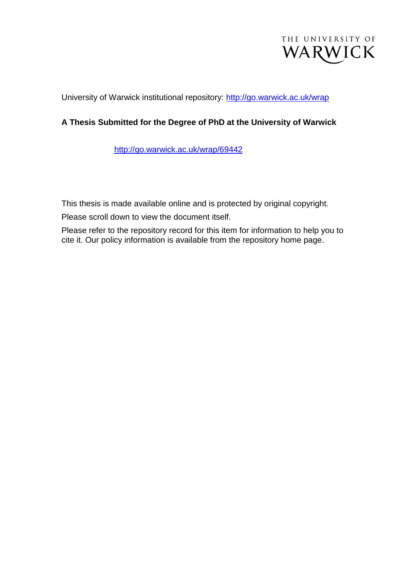

University of Warwick institutional repository:<http://go.warwick.ac.uk/wrap>

## **A Thesis Submitted for the Degree of PhD at the University of Warwick**

[http://go.warwick.ac.uk/wrap/69442](http://go.warwick.ac.uk/wrap/68071)

This thesis is made available online and is protected by original copyright.

Please scroll down to view the document itself.

Please refer to the repository record for this item for information to help you to cite it. Our policy information is available from the repository home page.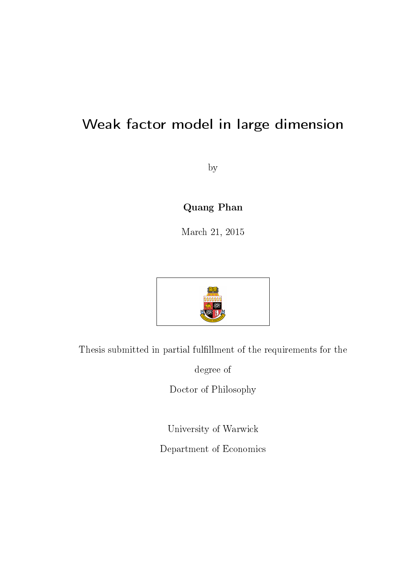# Weak factor model in large dimension

by

# Quang Phan

March 21, 2015



Thesis submitted in partial fulllment of the requirements for the

degree of

Doctor of Philosophy

University of Warwick

Department of Economics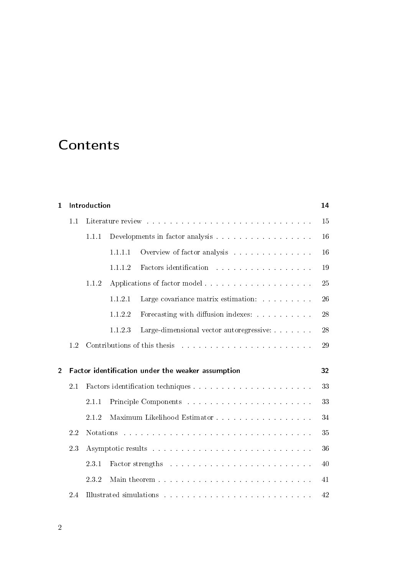# **Contents**

| 1              |     | Introduction     |         |                                                                                                                                                                                                                                | 14 |
|----------------|-----|------------------|---------|--------------------------------------------------------------------------------------------------------------------------------------------------------------------------------------------------------------------------------|----|
|                | 1.1 |                  |         |                                                                                                                                                                                                                                | 15 |
|                |     | 1.1.1            |         |                                                                                                                                                                                                                                | 16 |
|                |     |                  | 1111    | Overview of factor analysis entertainment of the set of the set of the set of the set of the set of the set of the set of the set of the set of the set of the set of the set of the set of the set of the set of the set of t | 16 |
|                |     |                  | 1.1.1.2 | Factors identification resources in the set of the set of the set of the set of the set of the set of the set of the set of the set of the set of the set of the set of the set of the set of the set of the set of the set of | 19 |
|                |     | 1.1.2            |         | Applications of factor model                                                                                                                                                                                                   | 25 |
|                |     |                  | 1.1.2.1 | Large covariance matrix estimation.                                                                                                                                                                                            | 26 |
|                |     |                  | 1.1.2.2 | Forecasting with diffusion indexes:                                                                                                                                                                                            | 28 |
|                |     |                  | 1.1.2.3 | Large-dimensional vector autoregressive:                                                                                                                                                                                       | 28 |
|                | 1.2 |                  |         | Contributions of this thesis entering the service of the series of this theory is a service of the series of the service of the service of the service of the service of the service of the service of the service of the serv | 29 |
|                |     |                  |         |                                                                                                                                                                                                                                |    |
| $\overline{2}$ |     |                  |         | Factor identification under the weaker assumption                                                                                                                                                                              | 32 |
|                | 2.1 |                  |         |                                                                                                                                                                                                                                | 33 |
|                |     | 2.1.1            |         |                                                                                                                                                                                                                                | 33 |
|                |     | 2.1.2            |         | Maximum Likelihood Estimator                                                                                                                                                                                                   | 34 |
|                | 2.2 | <b>Notations</b> |         | والمتعاون والمتعاون والمتعاون والمتعاون والمتعاون والمتعاون والمتعاون والمتعاون والمتعاون والمتعاون والمتعاون                                                                                                                  | 35 |
|                | 23  |                  |         |                                                                                                                                                                                                                                | 36 |
|                |     | 231              |         | Factor strengths entering the service of the service of the service of the service of the service of the service of the service of the service of the service of the service of the service of the service of the service of t | 40 |
|                |     | 2.3.2            |         |                                                                                                                                                                                                                                | 41 |
|                | 2.4 |                  |         |                                                                                                                                                                                                                                | 42 |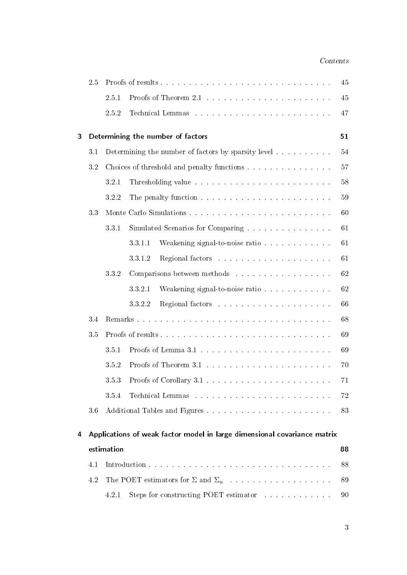### Contents

|   | 2.5 |            |                                                                                                 | 45     |
|---|-----|------------|-------------------------------------------------------------------------------------------------|--------|
|   |     | 2.5.1      |                                                                                                 | 45     |
|   |     | 2.5.2      |                                                                                                 | 47     |
| 3 |     |            | Determining the number of factors                                                               | 51     |
|   | 3.1 |            | Determining the number of factors by sparsity level                                             | $54\,$ |
|   | 3.2 |            | Choices of threshold and penalty functions                                                      | 57     |
|   |     | 3.2.1      |                                                                                                 | 58     |
|   |     | 3.2.2      |                                                                                                 | 59     |
|   | 33  |            |                                                                                                 | 60     |
|   |     | 331        | Simulated Scenarios for Comparing                                                               | 61     |
|   |     |            | 3311<br>Weakening signal-to-noise ratio                                                         | 61     |
|   |     |            | 3312                                                                                            | 61     |
|   |     | 3.3.2      | Comparisons between methods                                                                     | 62     |
|   |     |            | 3321<br>Weakening signal-to-noise ratio                                                         | 62     |
|   |     |            | 3322                                                                                            | 66     |
|   | 3.4 |            |                                                                                                 | 68     |
|   | 3.5 |            |                                                                                                 | 69     |
|   |     | 351        |                                                                                                 | 69     |
|   |     | 3.5.2      |                                                                                                 | 70     |
|   |     | 3.5.3      |                                                                                                 | 71     |
|   |     | 3.5.4      |                                                                                                 | 72     |
|   | 3.6 |            |                                                                                                 | 83     |
| 4 |     |            | Applications of weak factor model in large dimensional covariance matrix                        |        |
|   |     | estimation |                                                                                                 | 88     |
|   | 4.1 |            |                                                                                                 | 88     |
|   | 4.2 |            |                                                                                                 | 89     |
|   |     | 4.2.1      | Steps for constructing POET estimator and all all all the steps for constructing POET estimator | 90     |
|   |     |            |                                                                                                 |        |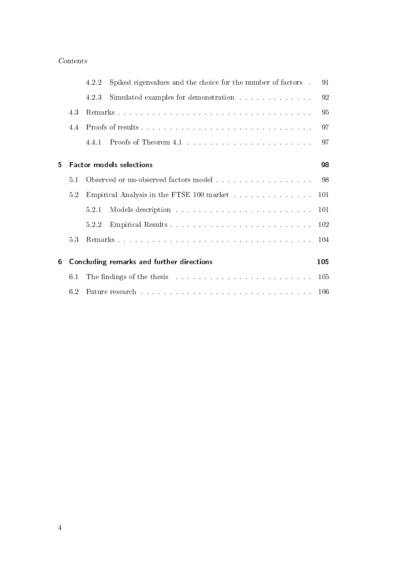### Contents

|   |     | 4.2.2                                            | Spiked eigenvalues and the choice for the number of factors                                                                                                                                                                    | 91  |
|---|-----|--------------------------------------------------|--------------------------------------------------------------------------------------------------------------------------------------------------------------------------------------------------------------------------------|-----|
|   |     | 4.2.3                                            | Simulated examples for demonstration resources and services are seen as a series of the series of the series of $\sim$                                                                                                         | 92  |
|   | 4.3 |                                                  |                                                                                                                                                                                                                                | 95  |
|   | 4.4 |                                                  |                                                                                                                                                                                                                                | 97  |
|   |     | 4.4.1                                            |                                                                                                                                                                                                                                | 97  |
|   |     |                                                  |                                                                                                                                                                                                                                |     |
| 5 |     |                                                  | <b>Factor models selections</b>                                                                                                                                                                                                | 98  |
|   | 5.1 |                                                  |                                                                                                                                                                                                                                | 98  |
|   | 5.2 | Empirical Analysis in the FTSE 100 market<br>101 |                                                                                                                                                                                                                                |     |
|   |     | 5.2.1                                            |                                                                                                                                                                                                                                | 101 |
|   |     | 522                                              |                                                                                                                                                                                                                                | 102 |
|   | 5.3 |                                                  |                                                                                                                                                                                                                                | 104 |
| 6 |     |                                                  | Concluding remarks and further directions                                                                                                                                                                                      | 105 |
|   | 6.1 |                                                  | The findings of the thesis resonance and the set of the set of the set of the set of the set of the set of the set of the set of the set of the set of the set of the set of the set of the set of the set of the set of the s |     |
|   | 6.2 |                                                  | Future research and a construction of the construction of the construction of the construction of the construction of the construction of the construction of the construction of the construction of the construction of the  | 106 |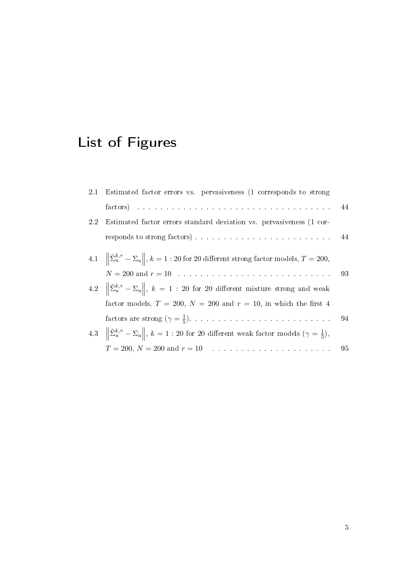# List of Figures

|         | 2.1 Estimated factor errors vs. pervasiveness (1 corresponds to strong                                                                                                                                                         |    |
|---------|--------------------------------------------------------------------------------------------------------------------------------------------------------------------------------------------------------------------------------|----|
|         | factors) decreased and the contract of the contract of the contract of the contract of the contract of the contract of the contract of the contract of the contract of the contract of the contract of the contract of the con | 44 |
| $2.2\,$ | Estimated factor errors standard deviation vs. pervasiveness (1 cor-                                                                                                                                                           |    |
|         |                                                                                                                                                                                                                                |    |
|         | 4.1 $\ \tilde{\Sigma}_u^{k,\tau} - \Sigma_u\ $ , $k = 1:20$ for 20 different strong factor models, $T = 200$ ,                                                                                                                 |    |
|         | $N = 200$ and $r = 10$                                                                                                                                                                                                         | 93 |
|         | 4.2 $\ \tilde{\Sigma}_{u}^{k,\tau}-\Sigma_{u}\ $ , $k=1$ : 20 for 20 different mixture strong and weak                                                                                                                         |    |
|         | factor models, $T = 200$ , $N = 200$ and $r = 10$ , in which the first 4                                                                                                                                                       |    |
|         |                                                                                                                                                                                                                                |    |
|         | 4.3 $\ \tilde{\Sigma}_{u}^{k,\tau}-\Sigma_{u}\ $ , $k=1:20$ for 20 different weak factor models $(\gamma=\frac{1}{5})$ ,                                                                                                       |    |
|         |                                                                                                                                                                                                                                | 95 |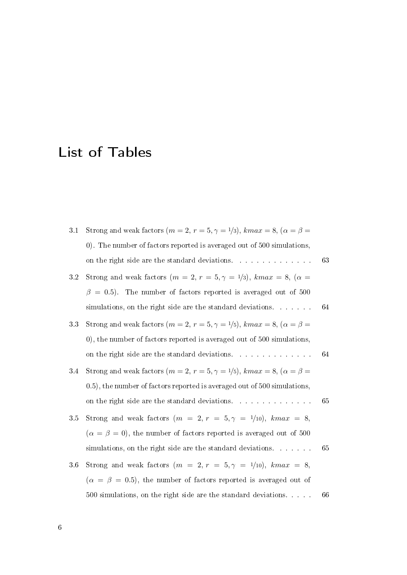# List of Tables

| 3.1     | Strong and weak factors $(m = 2, r = 5, \gamma = 1/3)$ , $kmax = 8$ , $(\alpha = \beta =$ |    |
|---------|-------------------------------------------------------------------------------------------|----|
|         | 0). The number of factors reported is averaged out of 500 simulations,                    |    |
|         | on the right side are the standard deviations.                                            | 63 |
| $3.2\,$ | Strong and weak factors $(m = 2, r = 5, \gamma = 1/3)$ , kmax = 8, $(\alpha =$            |    |
|         | $\beta = 0.5$ ). The number of factors reported is averaged out of 500                    |    |
|         | simulations, on the right side are the standard deviations.                               | 64 |
| 3.3     | Strong and weak factors $(m = 2, r = 5, \gamma = 1/5)$ , $kmax = 8$ , $(\alpha = \beta =$ |    |
|         | 0), the number of factors reported is averaged out of 500 simulations,                    |    |
|         | on the right side are the standard deviations.                                            | 64 |
| 3.4     | Strong and weak factors $(m = 2, r = 5, \gamma = 1/5)$ , $kmax = 8$ , $(\alpha = \beta =$ |    |
|         | 0.5), the number of factors reported is averaged out of 500 simulations,                  |    |
|         | on the right side are the standard deviations.                                            | 65 |
| 3.5     | Strong and weak factors $(m = 2, r = 5, \gamma = 1/10)$ , $kmax = 8$ ,                    |    |
|         | $(\alpha = \beta = 0)$ , the number of factors reported is averaged out of 500            |    |
|         | simulations, on the right side are the standard deviations.                               | 65 |
| 3.6     | Strong and weak factors $(m = 2, r = 5, \gamma = 1/10)$ , kmax = 8,                       |    |
|         | $(\alpha = \beta = 0.5)$ , the number of factors reported is averaged out of              |    |
|         | 500 simulations, on the right side are the standard deviations                            | 66 |
|         |                                                                                           |    |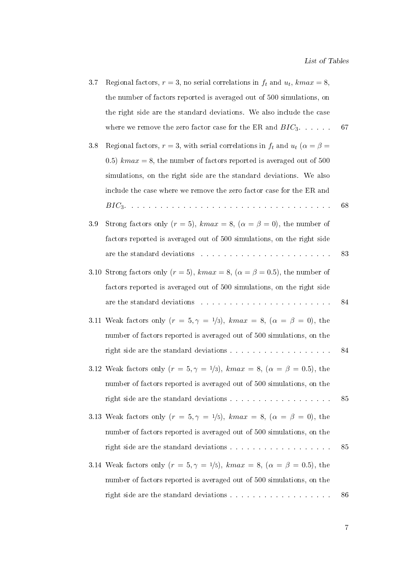| 3.7 | Regional factors, $r = 3$ , no serial correlations in $f_t$ and $u_t$ , $kmax = 8$ ,                                                                                                                                           |    |
|-----|--------------------------------------------------------------------------------------------------------------------------------------------------------------------------------------------------------------------------------|----|
|     | the number of factors reported is averaged out of 500 simulations, on                                                                                                                                                          |    |
|     | the right side are the standard deviations. We also include the case                                                                                                                                                           |    |
|     | where we remove the zero factor case for the ER and $BIC_3$                                                                                                                                                                    | 67 |
| 3.8 | Regional factors, $r = 3$ , with serial correlations in $f_t$ and $u_t$ ( $\alpha = \beta =$                                                                                                                                   |    |
|     | 0.5) $kmax = 8$ , the number of factors reported is averaged out of 500                                                                                                                                                        |    |
|     | simulations, on the right side are the standard deviations. We also                                                                                                                                                            |    |
|     | include the case where we remove the zero factor case for the ER and                                                                                                                                                           |    |
|     |                                                                                                                                                                                                                                | 68 |
| 3.9 | Strong factors only $(r = 5)$ , $kmax = 8$ , $(\alpha = \beta = 0)$ , the number of                                                                                                                                            |    |
|     | factors reported is averaged out of 500 simulations, on the right side                                                                                                                                                         |    |
|     | are the standard deviations resources and contract the standard deviations of the state of the state of the state of the state of the state of the state of the state of the state of the state of the state of the state of t | 83 |
|     | 3.10 Strong factors only $(r = 5)$ , $kmax = 8$ , $(\alpha = \beta = 0.5)$ , the number of                                                                                                                                     |    |
|     | factors reported is averaged out of 500 simulations, on the right side                                                                                                                                                         |    |
|     | are the standard deviations resources and contract the standard deviations resources and contract the state of                                                                                                                 | 84 |
|     | 3.11 Weak factors only $(r = 5, \gamma = 1/3)$ , kmax = 8, $(\alpha = \beta = 0)$ , the                                                                                                                                        |    |
|     | number of factors reported is averaged out of 500 simulations, on the                                                                                                                                                          |    |
|     |                                                                                                                                                                                                                                | 84 |
|     | 3.12 Weak factors only $(r = 5, \gamma = 1/3)$ , $kmax = 8$ , $(\alpha = \beta = 0.5)$ , the                                                                                                                                   |    |
|     | number of factors reported is averaged out of 500 simulations, on the                                                                                                                                                          |    |
|     |                                                                                                                                                                                                                                | 85 |
|     | 3.13 Weak factors only $(r = 5, \gamma = 1/5)$ , $kmax = 8$ , $(\alpha = \beta = 0)$ , the                                                                                                                                     |    |
|     | number of factors reported is averaged out of 500 simulations, on the                                                                                                                                                          |    |
|     | ${\bf right\ side\ are\ the\ standard\ deviations\ .\ .\ .\ .\ .\ .\ .\ .\ .\ .\ .\ .\ .\ .\ .$                                                                                                                                | 85 |
|     | 3.14 Weak factors only $(r = 5, \gamma = 1/5)$ , $kmax = 8$ , $(\alpha = \beta = 0.5)$ , the                                                                                                                                   |    |
|     | number of factors reported is averaged out of 500 simulations, on the                                                                                                                                                          |    |
|     |                                                                                                                                                                                                                                | 86 |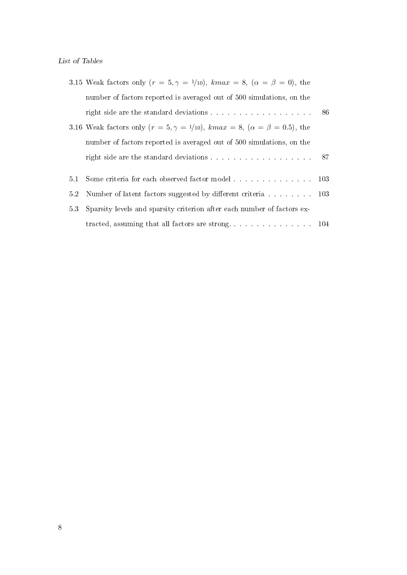|     | 3.15 Weak factors only $(r = 5, \gamma = 1/10)$ , $kmax = 8$ , $(\alpha = \beta = 0)$ , the   |  |
|-----|-----------------------------------------------------------------------------------------------|--|
|     | number of factors reported is averaged out of 500 simulations, on the                         |  |
|     |                                                                                               |  |
|     | 3.16 Weak factors only $(r = 5, \gamma = 1/10)$ , $kmax = 8$ , $(\alpha = \beta = 0.5)$ , the |  |
|     | number of factors reported is averaged out of 500 simulations, on the                         |  |
|     | right side are the standard deviations 87                                                     |  |
|     |                                                                                               |  |
| 5.1 |                                                                                               |  |
| 5.2 | Number of latent factors suggested by different criteria 103                                  |  |
| 53  | Sparsity levels and sparsity criterion after each number of factors ex-                       |  |
|     |                                                                                               |  |
|     |                                                                                               |  |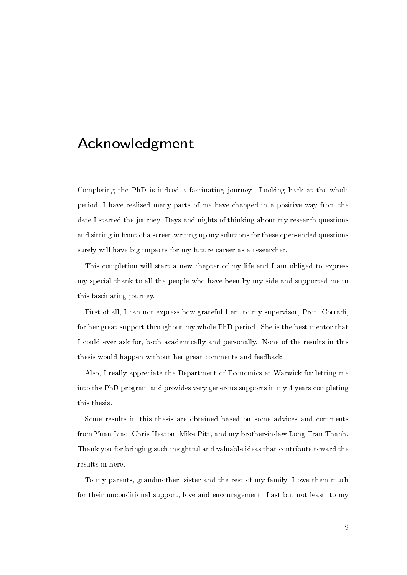# Acknowledgment

Completing the PhD is indeed a fascinating journey. Looking back at the whole period, I have realised many parts of me have changed in a positive way from the date I started the journey. Days and nights of thinking about my research questions and sitting in front of a screen writing up my solutions for these open-ended questions surely will have big impacts for my future career as a researcher.

This completion will start a new chapter of my life and I am obliged to express my special thank to all the people who have been by my side and supported me in this fascinating journey.

First of all, I can not express how grateful I am to my supervisor, Prof. Corradi, for her great support throughout my whole PhD period. She is the best mentor that I could ever ask for, both academically and personally. None of the results in this thesis would happen without her great comments and feedback.

Also, I really appreciate the Department of Economics at Warwick for letting me into the PhD program and provides very generous supports in my 4 years completing this thesis.

Some results in this thesis are obtained based on some advices and comments from Yuan Liao, Chris Heaton, Mike Pitt, and my brother-in-law Long Tran Thanh. Thank you for bringing such insightful and valuable ideas that contribute toward the results in here.

To my parents, grandmother, sister and the rest of my family, I owe them much for their unconditional support, love and encouragement. Last but not least, to my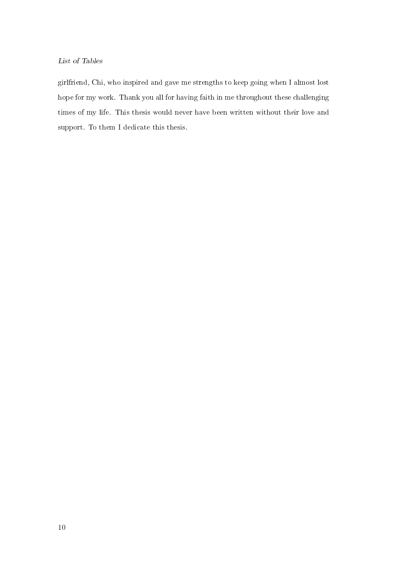### List of Tables

girlfriend, Chi, who inspired and gave me strengths to keep going when I almost lost hope for my work. Thank you all for having faith in me throughout these challenging times of my life. This thesis would never have been written without their love and support. To them I dedicate this thesis.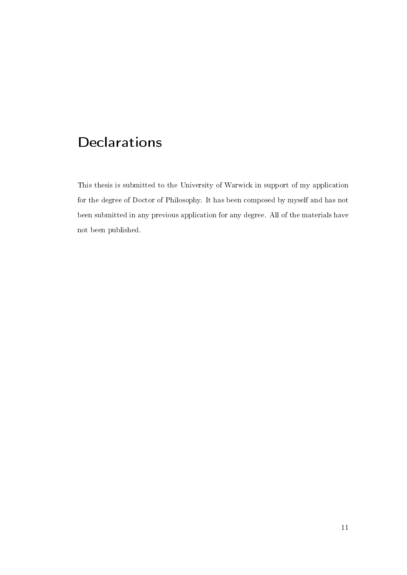# **Declarations**

This thesis is submitted to the University of Warwick in support of my application for the degree of Doctor of Philosophy. It has been composed by myself and has not been submitted in any previous application for any degree. All of the materials have not been published.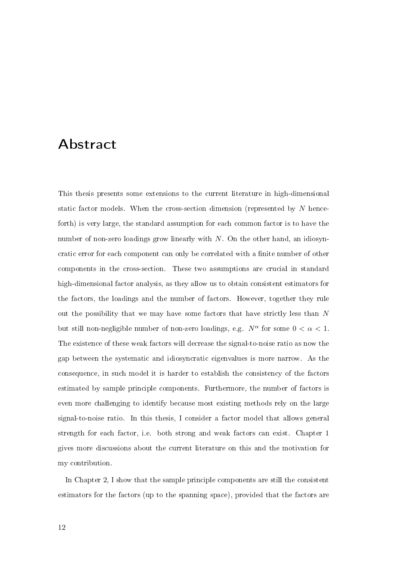# Abstract

This thesis presents some extensions to the current literature in high-dimensional static factor models. When the cross-section dimension (represented by N henceforth) is very large, the standard assumption for each common factor is to have the number of non-zero loadings grow linearly with  $N$ . On the other hand, an idiosyncratic error for each component can only be correlated with a finite number of other components in the cross-section. These two assumptions are crucial in standard high-dimensional factor analysis, as they allow us to obtain consistent estimators for the factors, the loadings and the number of factors. However, together they rule out the possibility that we may have some factors that have strictly less than  $N$ but still non-negligible number of non-zero loadings, e.g.  $N^{\alpha}$  for some  $0 < \alpha < 1$ . The existence of these weak factors will decrease the signal-to-noise ratio as now the gap between the systematic and idiosyncratic eigenvalues is more narrow. As the consequence, in such model it is harder to establish the consistency of the factors estimated by sample principle components. Furthermore, the number of factors is even more challenging to identify because most existing methods rely on the large signal-to-noise ratio. In this thesis, I consider a factor model that allows general strength for each factor, i.e. both strong and weak factors can exist. Chapter 1 gives more discussions about the current literature on this and the motivation for my contribution.

In Chapter 2, I show that the sample principle components are still the consistent estimators for the factors (up to the spanning space), provided that the factors are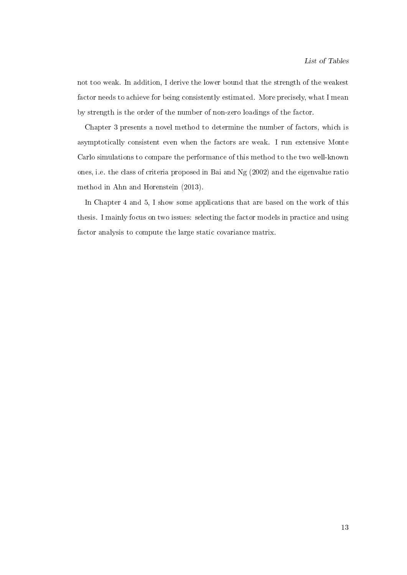not too weak. In addition, I derive the lower bound that the strength of the weakest factor needs to achieve for being consistently estimated. More precisely, what I mean by strength is the order of the number of non-zero loadings of the factor.

Chapter 3 presents a novel method to determine the number of factors, which is asymptotically consistent even when the factors are weak. I run extensive Monte Carlo simulations to compare the performance of this method to the two well-known ones, i.e. the class of criteria proposed in Bai and Ng (2002) and the eigenvalue ratio method in Ahn and Horenstein (2013).

In Chapter 4 and 5, I show some applications that are based on the work of this thesis. I mainly focus on two issues: selecting the factor models in practice and using factor analysis to compute the large static covariance matrix.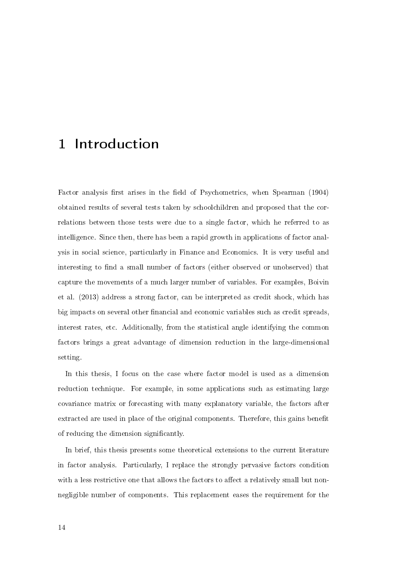Factor analysis first arises in the field of Psychometrics, when Spearman (1904) obtained results of several tests taken by schoolchildren and proposed that the correlations between those tests were due to a single factor, which he referred to as intelligence. Since then, there has been a rapid growth in applications of factor analysis in social science, particularly in Finance and Economics. It is very useful and interesting to find a small number of factors (either observed or unobserved) that capture the movements of a much larger number of variables. For examples, Boivin et al. (2013) address a strong factor, can be interpreted as credit shock, which has big impacts on several other financial and economic variables such as credit spreads, interest rates, etc. Additionally, from the statistical angle identifying the common factors brings a great advantage of dimension reduction in the large-dimensional setting.

In this thesis, I focus on the case where factor model is used as a dimension reduction technique. For example, in some applications such as estimating large covariance matrix or forecasting with many explanatory variable, the factors after extracted are used in place of the original components. Therefore, this gains benefit of reducing the dimension signicantly.

In brief, this thesis presents some theoretical extensions to the current literature in factor analysis. Particularly, I replace the strongly pervasive factors condition with a less restrictive one that allows the factors to affect a relatively small but nonnegligible number of components. This replacement eases the requirement for the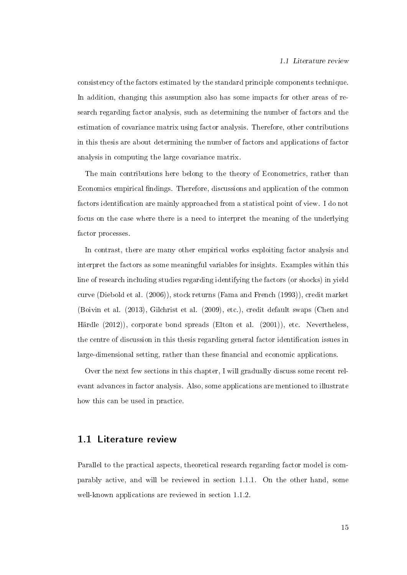consistency of the factors estimated by the standard principle components technique. In addition, changing this assumption also has some impacts for other areas of research regarding factor analysis, such as determining the number of factors and the estimation of covariance matrix using factor analysis. Therefore, other contributions in this thesis are about determining the number of factors and applications of factor analysis in computing the large covariance matrix.

The main contributions here belong to the theory of Econometrics, rather than Economics empirical findings. Therefore, discussions and application of the common factors identification are mainly approached from a statistical point of view. I do not focus on the case where there is a need to interpret the meaning of the underlying factor processes.

In contrast, there are many other empirical works exploiting factor analysis and interpret the factors as some meaningful variables for insights. Examples within this line of research including studies regarding identifying the factors (or shocks) in yield curve (Diebold et al. (2006)), stock returns (Fama and French (1993)), credit market (Boivin et al. (2013), Gilchrist et al. (2009), etc.), credit default swaps (Chen and Härdle (2012)), corporate bond spreads (Elton et al. (2001)), etc. Nevertheless, the centre of discussion in this thesis regarding general factor identification issues in large-dimensional setting, rather than these financial and economic applications.

Over the next few sections in this chapter, I will gradually discuss some recent relevant advances in factor analysis. Also, some applications are mentioned to illustrate how this can be used in practice.

### 1.1 Literature review

Parallel to the practical aspects, theoretical research regarding factor model is comparably active, and will be reviewed in section 1.1.1. On the other hand, some well-known applications are reviewed in section 1.1.2.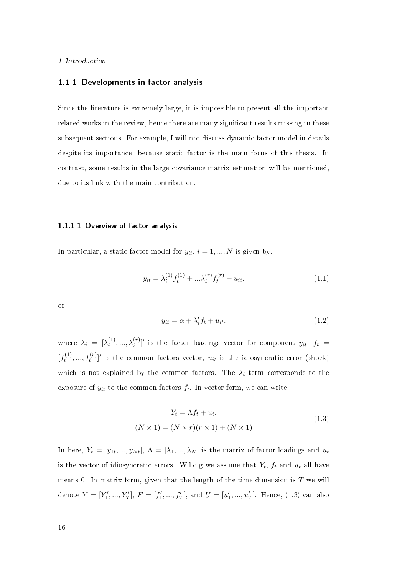#### 1.1.1 Developments in factor analysis

Since the literature is extremely large, it is impossible to present all the important related works in the review, hence there are many signicant results missing in these subsequent sections. For example, I will not discuss dynamic factor model in details despite its importance, because static factor is the main focus of this thesis. In contrast, some results in the large covariance matrix estimation will be mentioned, due to its link with the main contribution.

#### 1.1.1.1 Overview of factor analysis

In particular, a static factor model for  $y_{it}$ ,  $i = 1, ..., N$  is given by:

$$
y_{it} = \lambda_i^{(1)} f_t^{(1)} + \dots \lambda_i^{(r)} f_t^{(r)} + u_{it}.
$$
\n(1.1)

or

$$
y_{it} = \alpha + \lambda_i' f_t + u_{it}.\tag{1.2}
$$

where  $\lambda_i = [\lambda_i^{(1)}]$  $\lambda_i^{(1)}, \ldots, \lambda_i^{(r)}$ ' is the factor loadings vector for component  $y_{it}, f_t =$  $\left[f_t^{(1)}\right]$  $[t_1^{(1)},...,t_t^{(r)}]'$  is the common factors vector,  $u_{it}$  is the idiosyncratic error (shock) which is not explained by the common factors. The  $\lambda_i$  term corresponds to the exposure of  $y_{it}$  to the common factors  $f_t$ . In vector form, we can write:

$$
Y_t = \Lambda f_t + u_t.
$$
  

$$
(N \times 1) = (N \times r)(r \times 1) + (N \times 1)
$$
 (1.3)

In here,  $Y_t = [y_{1t},...,y_{Nt}], \Lambda = [\lambda_1,...,\lambda_N]$  is the matrix of factor loadings and  $u_t$ is the vector of idiosyncratic errors. W.l.o.g we assume that  $Y_t$ ,  $f_t$  and  $u_t$  all have means 0. In matrix form, given that the length of the time dimension is  $T$  we will denote  $Y = [Y'_1, ..., Y'_T]$ ,  $F = [f'_1, ..., f'_T]$ , and  $U = [u'_1, ..., u'_T]$ . Hence, (1.3) can also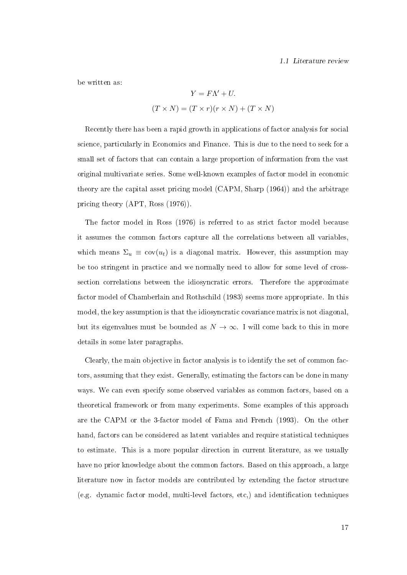be written as:

$$
Y = F\Lambda' + U.
$$

$$
(T \times N) = (T \times r)(r \times N) + (T \times N)
$$

Recently there has been a rapid growth in applications of factor analysis for social science, particularly in Economics and Finance. This is due to the need to seek for a small set of factors that can contain a large proportion of information from the vast original multivariate series. Some well-known examples of factor model in economic theory are the capital asset pricing model (CAPM, Sharp (1964)) and the arbitrage pricing theory (APT, Ross (1976)).

The factor model in Ross (1976) is referred to as strict factor model because it assumes the common factors capture all the correlations between all variables, which means  $\Sigma_u \equiv \text{cov}(u_t)$  is a diagonal matrix. However, this assumption may be too stringent in practice and we normally need to allow for some level of crosssection correlations between the idiosyncratic errors. Therefore the approximate factor model of Chamberlain and Rothschild (1983) seems more appropriate. In this model, the key assumption is that the idiosyncratic covariance matrix is not diagonal, but its eigenvalues must be bounded as  $N \to \infty$ . I will come back to this in more details in some later paragraphs.

Clearly, the main objective in factor analysis is to identify the set of common factors, assuming that they exist. Generally, estimating the factors can be done in many ways. We can even specify some observed variables as common factors, based on a theoretical framework or from many experiments. Some examples of this approach are the CAPM or the 3-factor model of Fama and French (1993). On the other hand, factors can be considered as latent variables and require statistical techniques to estimate. This is a more popular direction in current literature, as we usually have no prior knowledge about the common factors. Based on this approach, a large literature now in factor models are contributed by extending the factor structure  $(e.g.$  dynamic factor model, multi-level factors,  $etc.$ ) and identification techniques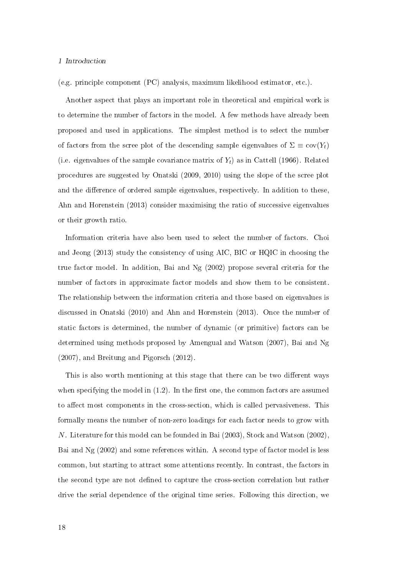(e.g. principle component (PC) analysis, maximum likelihood estimator, etc.).

Another aspect that plays an important role in theoretical and empirical work is to determine the number of factors in the model. A few methods have already been proposed and used in applications. The simplest method is to select the number of factors from the scree plot of the descending sample eigenvalues of  $\Sigma \equiv \text{cov}(Y_t)$ (i.e. eigenvalues of the sample covariance matrix of  $Y_t$ ) as in Cattell (1966). Related procedures are suggested by Onatski (2009, 2010) using the slope of the scree plot and the difference of ordered sample eigenvalues, respectively. In addition to these, Ahn and Horenstein (2013) consider maximising the ratio of successive eigenvalues or their growth ratio.

Information criteria have also been used to select the number of factors. Choi and Jeong (2013) study the consistency of using AIC, BIC or HQIC in choosing the true factor model. In addition, Bai and Ng (2002) propose several criteria for the number of factors in approximate factor models and show them to be consistent. The relationship between the information criteria and those based on eigenvalues is discussed in Onatski (2010) and Ahn and Horenstein (2013). Once the number of static factors is determined, the number of dynamic (or primitive) factors can be determined using methods proposed by Amengual and Watson (2007), Bai and Ng (2007), and Breitung and Pigorsch (2012).

This is also worth mentioning at this stage that there can be two different ways when specifying the model in  $(1.2)$ . In the first one, the common factors are assumed to affect most components in the cross-section, which is called pervasiveness. This formally means the number of non-zero loadings for each factor needs to grow with N. Literature for this model can be founded in Bai (2003), Stock and Watson (2002), Bai and Ng (2002) and some references within. A second type of factor model is less common, but starting to attract some attentions recently. In contrast, the factors in the second type are not defined to capture the cross-section correlation but rather drive the serial dependence of the original time series. Following this direction, we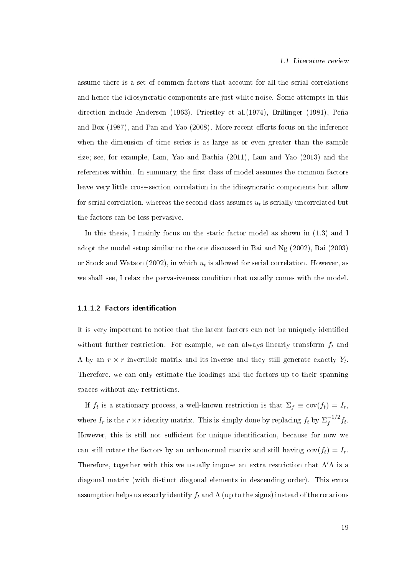assume there is a set of common factors that account for all the serial correlations and hence the idiosyncratic components are just white noise. Some attempts in this direction include Anderson (1963), Priestley et al.(1974), Brillinger (1981), Peña and Box  $(1987)$ , and Pan and Yao  $(2008)$ . More recent efforts focus on the inference when the dimension of time series is as large as or even greater than the sample size; see, for example, Lam, Yao and Bathia (2011), Lam and Yao (2013) and the references within. In summary, the first class of model assumes the common factors leave very little cross-section correlation in the idiosyncratic components but allow for serial correlation, whereas the second class assumes  $u_t$  is serially uncorrelated but the factors can be less pervasive.

In this thesis, I mainly focus on the static factor model as shown in (1.3) and I adopt the model setup similar to the one discussed in Bai and Ng (2002), Bai (2003) or Stock and Watson (2002), in which  $u_t$  is allowed for serial correlation. However, as we shall see, I relax the pervasiveness condition that usually comes with the model.

#### 1.1.1.2 Factors identification

It is very important to notice that the latent factors can not be uniquely identied without further restriction. For example, we can always linearly transform  $f_t$  and  $\Lambda$  by an  $r \times r$  invertible matrix and its inverse and they still generate exactly  $Y_t$ . Therefore, we can only estimate the loadings and the factors up to their spanning spaces without any restrictions.

If  $f_t$  is a stationary process, a well-known restriction is that  $\Sigma_f \equiv \text{cov}(f_t) = I_r$ , where  $I_r$  is the  $r \times r$  identity matrix. This is simply done by replacing  $f_t$  by  $\Sigma_f^{-1/2}$  $\int_{f}^{-1/2} f_t$ . However, this is still not sufficient for unique identification, because for now we can still rotate the factors by an orthonormal matrix and still having  $cov(f_t) = I_r$ . Therefore, together with this we usually impose an extra restriction that  $\Lambda'$ A is a diagonal matrix (with distinct diagonal elements in descending order). This extra assumption helps us exactly identify  $f_t$  and  $\Lambda$  (up to the signs) instead of the rotations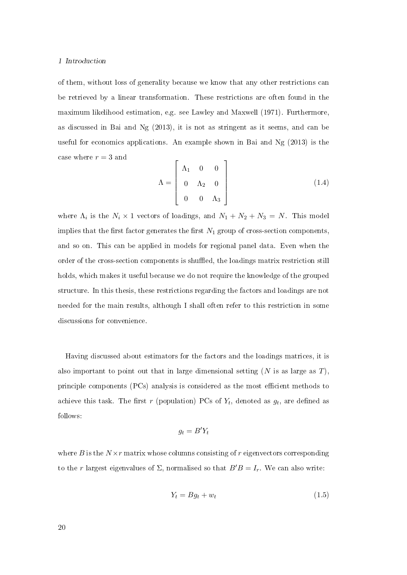of them, without loss of generality because we know that any other restrictions can be retrieved by a linear transformation. These restrictions are often found in the maximum likelihood estimation, e.g. see Lawley and Maxwell (1971). Furthermore, as discussed in Bai and Ng (2013), it is not as stringent as it seems, and can be useful for economics applications. An example shown in Bai and Ng (2013) is the case where  $r = 3$  and

$$
\Lambda = \begin{bmatrix} \Lambda_1 & 0 & 0 \\ 0 & \Lambda_2 & 0 \\ 0 & 0 & \Lambda_3 \end{bmatrix}
$$
 (1.4)

where  $\Lambda_i$  is the  $N_i \times 1$  vectors of loadings, and  $N_1 + N_2 + N_3 = N$ . This model implies that the first factor generates the first  $N_1$  group of cross-section components, and so on. This can be applied in models for regional panel data. Even when the order of the cross-section components is shued, the loadings matrix restriction still holds, which makes it useful because we do not require the knowledge of the grouped structure. In this thesis, these restrictions regarding the factors and loadings are not needed for the main results, although I shall often refer to this restriction in some discussions for convenience.

Having discussed about estimators for the factors and the loadings matrices, it is also important to point out that in large dimensional setting  $(N$  is as large as T), principle components (PCs) analysis is considered as the most efficient methods to achieve this task. The first  $r$  (population) PCs of  $Y_t,$  denoted as  $g_t,$  are defined as follows:

$$
g_t = B'Y_t
$$

where B is the  $N \times r$  matrix whose columns consisting of r eigenvectors corresponding to the r largest eigenvalues of  $\Sigma$ , normalised so that  $B'B = I_r$ . We can also write:

$$
Y_t = Bg_t + w_t \tag{1.5}
$$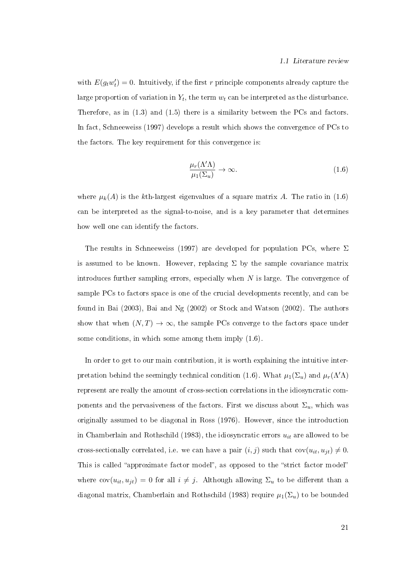with  $E(g_t w_t') = 0$ . Intuitively, if the first r principle components already capture the large proportion of variation in  $Y_t,$  the term  $w_t$  can be interpreted as the disturbance. Therefore, as in (1.3) and (1.5) there is a similarity between the PCs and factors. In fact, Schneeweiss (1997) develops a result which shows the convergence of PCs to the factors. The key requirement for this convergence is:

$$
\frac{\mu_r(\Lambda'\Lambda)}{\mu_1(\Sigma_u)} \to \infty.
$$
\n(1.6)

where  $\mu_k(A)$  is the kth-largest eigenvalues of a square matrix A. The ratio in (1.6) can be interpreted as the signal-to-noise, and is a key parameter that determines how well one can identify the factors.

The results in Schneeweiss (1997) are developed for population PCs, where  $\Sigma$ is assumed to be known. However, replacing  $\Sigma$  by the sample covariance matrix introduces further sampling errors, especially when  $N$  is large. The convergence of sample PCs to factors space is one of the crucial developments recently, and can be found in Bai (2003), Bai and Ng (2002) or Stock and Watson (2002). The authors show that when  $(N, T) \rightarrow \infty$ , the sample PCs converge to the factors space under some conditions, in which some among them imply (1.6).

In order to get to our main contribution, it is worth explaining the intuitive interpretation behind the seemingly technical condition (1.6). What  $\mu_1(\Sigma_u)$  and  $\mu_r(\Lambda'\Lambda)$ represent are really the amount of cross-section correlations in the idiosyncratic components and the pervasiveness of the factors. First we discuss about  $\Sigma_u$ , which was originally assumed to be diagonal in Ross (1976). However, since the introduction in Chamberlain and Rothschild (1983), the idiosyncratic errors  $u_{it}$  are allowed to be cross-sectionally correlated, i.e. we can have a pair  $(i, j)$  such that  $cov(u_{it}, u_{jt}) \neq 0$ . This is called "approximate factor model", as opposed to the "strict factor model" where  $cov(u_{it}, u_{jt}) = 0$  for all  $i \neq j$ . Although allowing  $\Sigma_u$  to be different than a diagonal matrix, Chamberlain and Rothschild (1983) require  $\mu_1(\Sigma_u)$  to be bounded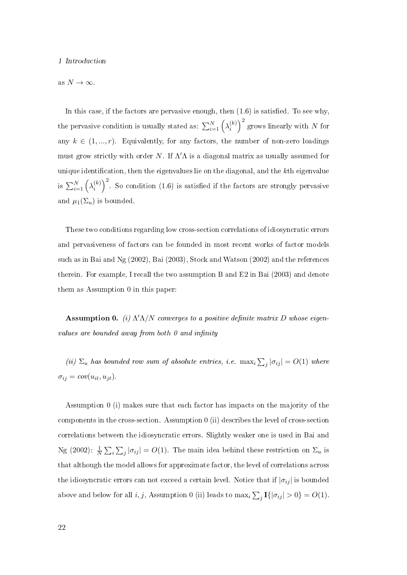as  $N \to \infty$ .

In this case, if the factors are pervasive enough, then  $(1.6)$  is satisfied. To see why, the pervasive condition is usually stated as:  $\sum_{i=1}^{N} \left(\lambda_i^{(k)}\right)$  $\binom{k}{i}^2$  grows linearly with N for any  $k \in (1, ..., r)$ . Equivalently, for any factors, the number of non-zero loadings must grow strictly with order N. If  $\Lambda' \Lambda$  is a diagonal matrix as usually assumed for unique identification, then the eigenvalues lie on the diagonal, and the kth eigenvalue is  $\sum_{i=1}^{N} \left(\lambda_i^{(k)}\right)$  ${k \choose i}^2$ . So condition (1.6) is satisfied if the factors are strongly pervasive and  $\mu_1(\Sigma_u)$  is bounded.

These two conditions regarding low cross-section correlations of idiosyncratic errors and pervasiveness of factors can be founded in most recent works of factor models such as in Bai and Ng (2002), Bai (2003), Stock and Watson (2002) and the references therein. For example, I recall the two assumption B and E2 in Bai (2003) and denote them as Assumption 0 in this paper:

**Assumption 0.** (i)  $\Lambda' \Lambda/N$  converges to a positive definite matrix D whose eigenvalues are bounded away from both  $\theta$  and infinity

(ii)  $\Sigma_u$  has bounded row sum of absolute entries, i.e.  $\max_i \sum_j |\sigma_{ij}| = O(1)$  where  $\sigma_{ij} = cov(u_{it}, u_{jt}).$ 

Assumption 0 (i) makes sure that each factor has impacts on the majority of the components in the cross-section. Assumption  $\theta$  (ii) describes the level of cross-section correlations between the idiosyncratic errors. Slightly weaker one is used in Bai and Ng (2002):  $\frac{1}{N} \sum_i \sum_j |\sigma_{ij}| = O(1)$ . The main idea behind these restriction on  $\Sigma_u$  is that although the model allows for approximate factor, the level of correlations across the idiosyncratic errors can not exceed a certain level. Notice that if  $|\sigma_{ij}|$  is bounded above and below for all i, j, Assumption 0 (ii) leads to  $\max_i \sum_j \mathbf{I}(|\sigma_{ij}| > 0) = O(1)$ .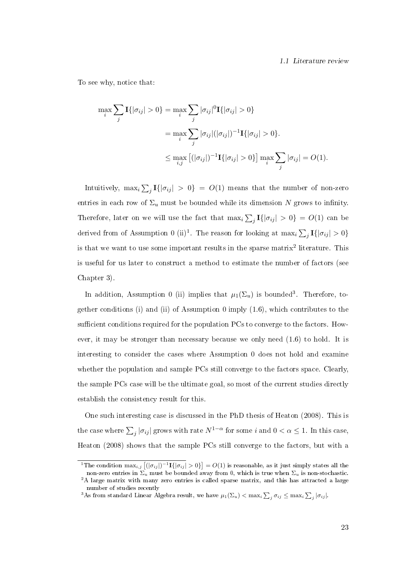To see why, notice that:

$$
\max_{i} \sum_{j} \mathbf{I}\{|\sigma_{ij}| > 0\} = \max_{i} \sum_{j} |\sigma_{ij}|^{0} \mathbf{I}\{|\sigma_{ij}| > 0\}
$$

$$
= \max_{i} \sum_{j} |\sigma_{ij}| (|\sigma_{ij}|)^{-1} \mathbf{I}\{|\sigma_{ij}| > 0\}.
$$

$$
\leq \max_{i,j} [(|\sigma_{ij}|)^{-1} \mathbf{I}\{|\sigma_{ij}| > 0\}] \max_{i} \sum_{j} |\sigma_{ij}| = O(1).
$$

Intuitively,  $\max_i \sum_j \mathbf{I} \{|\sigma_{ij}| > 0\} \ = \ O(1)$  means that the number of non-zero entries in each row of  $\Sigma_u$  must be bounded while its dimension N grows to infinity. Therefore, later on we will use the fact that  $\max_i \sum_j \mathbf{I}\{|\sigma_{ij}| > 0\} = O(1)$  can be derived from of Assumption 0 (ii)<sup>1</sup>. The reason for looking at  $\max_i \sum_j \mathbf{I}\{|\sigma_{ij}| > 0\}$ is that we want to use some important results in the sparse matrix<sup>2</sup> literature. This is useful for us later to construct a method to estimate the number of factors (see Chapter 3).

In addition, Assumption 0 (ii) implies that  $\mu_1(\Sigma_u)$  is bounded<sup>3</sup>. Therefore, together conditions (i) and (ii) of Assumption 0 imply (1.6), which contributes to the sufficient conditions required for the population PCs to converge to the factors. However, it may be stronger than necessary because we only need (1.6) to hold. It is interesting to consider the cases where Assumption 0 does not hold and examine whether the population and sample PCs still converge to the factors space. Clearly the sample PCs case will be the ultimate goal, so most of the current studies directly establish the consistency result for this.

One such interesting case is discussed in the PhD thesis of Heaton (2008). This is the case where  $\sum_j |\sigma_{ij}|$  grows with rate  $N^{1-\alpha}$  for some i and  $0 < \alpha \le 1$ . In this case, Heaton (2008) shows that the sample PCs still converge to the factors, but with a

<sup>&</sup>lt;sup>1</sup>The condition  $\max_{i,j} |(|\sigma_{ij}|)^{-1}\mathbf{I}\{|\sigma_{ij}| > 0\}| = O(1)$  is reasonable, as it just simply states all the non-zero entries in  $\Sigma_u$  must be bounded away from 0, which is true when  $\Sigma_u$  is non-stochastic.

<sup>&</sup>lt;sup>2</sup>A large matrix with many zero entries is called sparse matrix, and this has attracted a large number of studies recently

<sup>&</sup>lt;sup>3</sup>As from standard Linear Algebra result, we have  $\mu_1(\Sigma_u)<\max_i\sum_j\sigma_{ij}\leq\max_i\sum_j|\sigma_{ij}|.$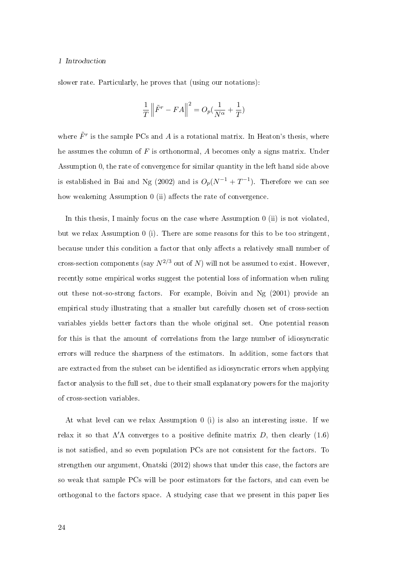slower rate. Particularly, he proves that (using our notations):

$$
\frac{1}{T} \left\| \tilde{F}^r - FA \right\|^2 = O_p(\frac{1}{N^{\alpha}} + \frac{1}{T})
$$

where  $\tilde{F}^r$  is the sample PCs and A is a rotational matrix. In Heaton's thesis, where he assumes the column of  $F$  is orthonormal,  $A$  becomes only a signs matrix. Under Assumption 0, the rate of convergence for similar quantity in the left hand side above is established in Bai and Ng (2002) and is  $O_p(N^{-1} + T^{-1})$ . Therefore we can see how weakening Assumption  $0$  (ii) affects the rate of convergence.

In this thesis, I mainly focus on the case where Assumption 0 (ii) is not violated, but we relax Assumption 0 (i). There are some reasons for this to be too stringent, because under this condition a factor that only affects a relatively small number of cross-section components (say  $N^{2/3}$  out of N) will not be assumed to exist. However, recently some empirical works suggest the potential loss of information when ruling out these not-so-strong factors. For example, Boivin and Ng (2001) provide an empirical study illustrating that a smaller but carefully chosen set of cross-section variables yields better factors than the whole original set. One potential reason for this is that the amount of correlations from the large number of idiosyncratic errors will reduce the sharpness of the estimators. In addition, some factors that are extracted from the subset can be identified as idiosyncratic errors when applying factor analysis to the full set, due to their small explanatory powers for the majority of cross-section variables.

At what level can we relax Assumption 0 (i) is also an interesting issue. If we relax it so that  $\Lambda' \Lambda$  converges to a positive definite matrix D, then clearly (1.6) is not satised, and so even population PCs are not consistent for the factors. To strengthen our argument, Onatski (2012) shows that under this case, the factors are so weak that sample PCs will be poor estimators for the factors, and can even be orthogonal to the factors space. A studying case that we present in this paper lies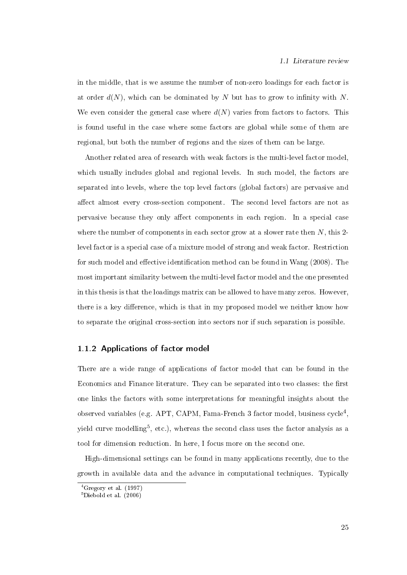in the middle, that is we assume the number of non-zero loadings for each factor is at order  $d(N)$ , which can be dominated by N but has to grow to infinity with N. We even consider the general case where  $d(N)$  varies from factors to factors. This is found useful in the case where some factors are global while some of them are regional, but both the number of regions and the sizes of them can be large.

Another related area of research with weak factors is the multi-level factor model, which usually includes global and regional levels. In such model, the factors are separated into levels, where the top level factors (global factors) are pervasive and affect almost every cross-section component. The second level factors are not as pervasive because they only affect components in each region. In a special case where the number of components in each sector grow at a slower rate then  $N$ , this 2level factor is a special case of a mixture model of strong and weak factor. Restriction for such model and effective identification method can be found in Wang  $(2008)$ . The most important similarity between the multi-level factor model and the one presented in this thesis is that the loadings matrix can be allowed to have many zeros. However, there is a key difference, which is that in my proposed model we neither know how to separate the original cross-section into sectors nor if such separation is possible.

#### 1.1.2 Applications of factor model

There are a wide range of applications of factor model that can be found in the Economics and Finance literature. They can be separated into two classes: the first one links the factors with some interpretations for meaningful insights about the observed variables (e.g. APT, CAPM, Fama-French 3 factor model, business  $\text{cycle}^4,$ yield curve modelling $^5,$  etc.), whereas the second class uses the factor analysis as a tool for dimension reduction. In here, I focus more on the second one.

High-dimensional settings can be found in many applications recently, due to the growth in available data and the advance in computational techniques. Typically

 ${}^{4}$ Gregory et al. (1997)

 ${}^{5}$ Diebold et al. (2006)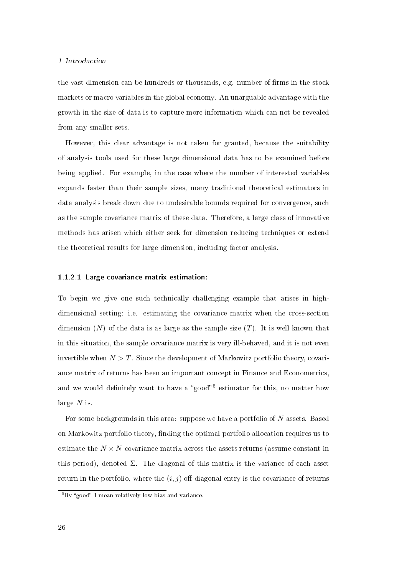the vast dimension can be hundreds or thousands, e.g. number of firms in the stock markets or macro variables in the global economy. An unarguable advantage with the growth in the size of data is to capture more information which can not be revealed from any smaller sets.

However, this clear advantage is not taken for granted, because the suitability of analysis tools used for these large dimensional data has to be examined before being applied. For example, in the case where the number of interested variables expands faster than their sample sizes, many traditional theoretical estimators in data analysis break down due to undesirable bounds required for convergence, such as the sample covariance matrix of these data. Therefore, a large class of innovative methods has arisen which either seek for dimension reducing techniques or extend the theoretical results for large dimension, including factor analysis.

#### 1.1.2.1 Large covariance matrix estimation:

To begin we give one such technically challenging example that arises in highdimensional setting: i.e. estimating the covariance matrix when the cross-section dimension  $(N)$  of the data is as large as the sample size  $(T)$ . It is well known that in this situation, the sample covariance matrix is very ill-behaved, and it is not even invertible when  $N > T$ . Since the development of Markowitz portfolio theory, covariance matrix of returns has been an important concept in Finance and Econometrics, and we would definitely want to have a "good"<sup>6</sup> estimator for this, no matter how large  $N$  is.

For some backgrounds in this area: suppose we have a portfolio of N assets. Based on Markowitz portfolio theory, finding the optimal portfolio allocation requires us to estimate the  $N \times N$  covariance matrix across the assets returns (assume constant in this period), denoted  $\Sigma$ . The diagonal of this matrix is the variance of each asset return in the portfolio, where the  $(i, j)$  off-diagonal entry is the covariance of returns

 ${}^{6}$ By "good" I mean relatively low bias and variance.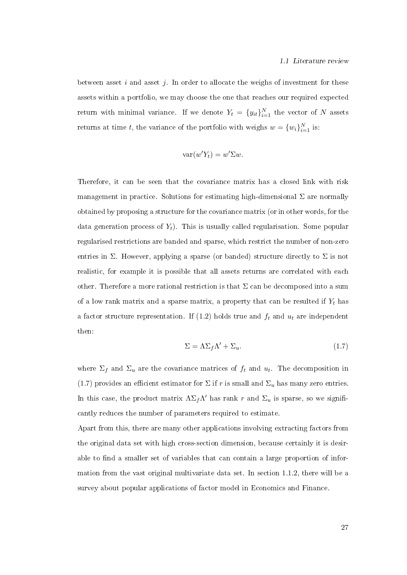between asset  $i$  and asset  $j$ . In order to allocate the weighs of investment for these assets within a portfolio, we may choose the one that reaches our required expected return with minimal variance. If we denote  $Y_t = \{y_{it}\}_{i=1}^N$  the vector of N assets returns at time t, the variance of the portfolio with weighs  $w = \{w_i\}_{i=1}^N$  is:

$$
var(w'Y_t) = w'\Sigma w.
$$

Therefore, it can be seen that the covariance matrix has a closed link with risk management in practice. Solutions for estimating high-dimensional  $\Sigma$  are normally obtained by proposing a structure for the covariance matrix (or in other words, for the data generation process of  $Y_t$ ). This is usually called regularisation. Some popular regularised restrictions are banded and sparse, which restrict the number of non-zero entries in  $\Sigma$ . However, applying a sparse (or banded) structure directly to  $\Sigma$  is not realistic, for example it is possible that all assets returns are correlated with each other. Therefore a more rational restriction is that  $\Sigma$  can be decomposed into a sum of a low rank matrix and a sparse matrix, a property that can be resulted if  $Y_t$  has a factor structure representation. If  $(1.2)$  holds true and  $f_t$  and  $u_t$  are independent then:

$$
\Sigma = \Lambda \Sigma_f \Lambda' + \Sigma_u. \tag{1.7}
$$

where  $\Sigma_f$  and  $\Sigma_u$  are the covariance matrices of  $f_t$  and  $u_t$ . The decomposition in (1.7) provides an efficient estimator for  $\Sigma$  if r is small and  $\Sigma_u$  has many zero entries. In this case, the product matrix  $\Lambda \Sigma_f \Lambda'$  has rank r and  $\Sigma_u$  is sparse, so we significantly reduces the number of parameters required to estimate.

Apart from this, there are many other applications involving extracting factors from the original data set with high cross-section dimension, because certainly it is desirable to find a smaller set of variables that can contain a large proportion of information from the vast original multivariate data set. In section 1.1.2, there will be a survey about popular applications of factor model in Economics and Finance.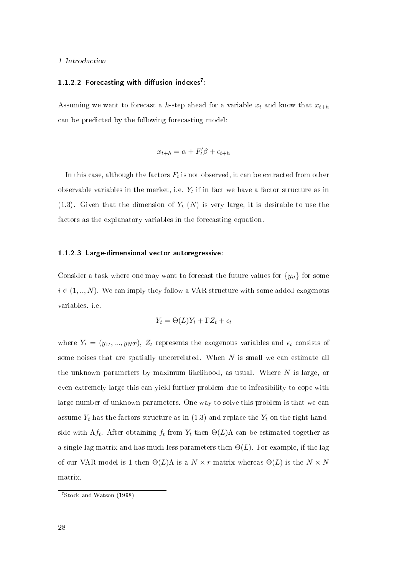## 1.1.2.2 Forecasting with diffusion indexes<sup>7</sup>:

Assuming we want to forecast a h-step ahead for a variable  $x_t$  and know that  $x_{t+h}$ can be predicted by the following forecasting model:

$$
x_{t+h} = \alpha + F_t' \beta + \epsilon_{t+h}
$$

In this case, although the factors  $F_t$  is not observed, it can be extracted from other observable variables in the market, i.e.  $Y_t$  if in fact we have a factor structure as in (1.3). Given that the dimension of  $Y_t$  (N) is very large, it is desirable to use the factors as the explanatory variables in the forecasting equation.

#### 1.1.2.3 Large-dimensional vector autoregressive:

Consider a task where one may want to forecast the future values for  ${y_{it}}$  for some  $i \in (1, ..., N)$ . We can imply they follow a VAR structure with some added exogenous variables. i.e.

$$
Y_t = \Theta(L)Y_t + \Gamma Z_t + \epsilon_t
$$

where  $Y_t = (y_{1t},...,y_{NT}), Z_t$  represents the exogenous variables and  $\epsilon_t$  consists of some noises that are spatially uncorrelated. When  $N$  is small we can estimate all the unknown parameters by maximum likelihood, as usual. Where  $N$  is large, or even extremely large this can yield further problem due to infeasibility to cope with large number of unknown parameters. One way to solve this problem is that we can assume  $Y_t$  has the factors structure as in (1.3) and replace the  $Y_t$  on the right handside with  $\Lambda f_t$ . After obtaining  $f_t$  from  $Y_t$  then  $\Theta(L)\Lambda$  can be estimated together as a single lag matrix and has much less parameters then  $\Theta(L)$ . For example, if the lag of our VAR model is 1 then  $\Theta(L)$ Λ is a  $N \times r$  matrix whereas  $\Theta(L)$  is the  $N \times N$ matrix.

<sup>7</sup>Stock and Watson (1998)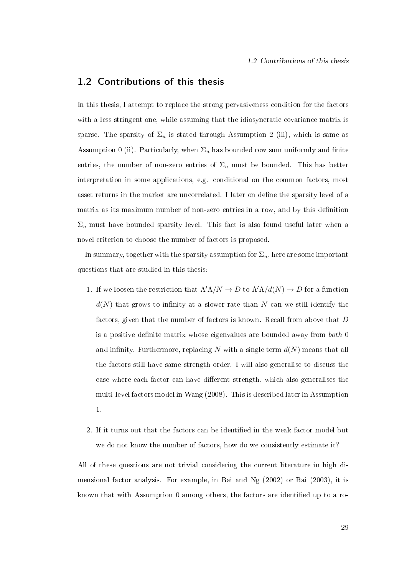### 1.2 Contributions of this thesis

In this thesis, I attempt to replace the strong pervasiveness condition for the factors with a less stringent one, while assuming that the idiosyncratic covariance matrix is sparse. The sparsity of  $\Sigma_u$  is stated through Assumption 2 (iii), which is same as Assumption 0 (ii). Particularly, when  $\Sigma_u$  has bounded row sum uniformly and finite entries, the number of non-zero entries of  $\Sigma_u$  must be bounded. This has better interpretation in some applications, e.g. conditional on the common factors, most asset returns in the market are uncorrelated. I later on define the sparsity level of a matrix as its maximum number of non-zero entries in a row, and by this definition  $\Sigma_u$  must have bounded sparsity level. This fact is also found useful later when a novel criterion to choose the number of factors is proposed.

In summary, together with the sparsity assumption for  $\Sigma_u$ , here are some important questions that are studied in this thesis:

- 1. If we loosen the restriction that  $\Lambda' \Lambda/N \to D$  to  $\Lambda' \Lambda/d(N) \to D$  for a function  $d(N)$  that grows to infinity at a slower rate than N can we still identify the factors, given that the number of factors is known. Recall from above that D is a positive definite matrix whose eigenvalues are bounded away from  $both\ 0$ and infinity. Furthermore, replacing N with a single term  $d(N)$  means that all the factors still have same strength order. I will also generalise to discuss the case where each factor can have different strength, which also generalises the multi-level factors model in Wang (2008). This is described later in Assumption 1.
- 2. If it turns out that the factors can be identified in the weak factor model but we do not know the number of factors, how do we consistently estimate it?

All of these questions are not trivial considering the current literature in high dimensional factor analysis. For example, in Bai and Ng (2002) or Bai (2003), it is known that with Assumption 0 among others, the factors are identified up to a ro-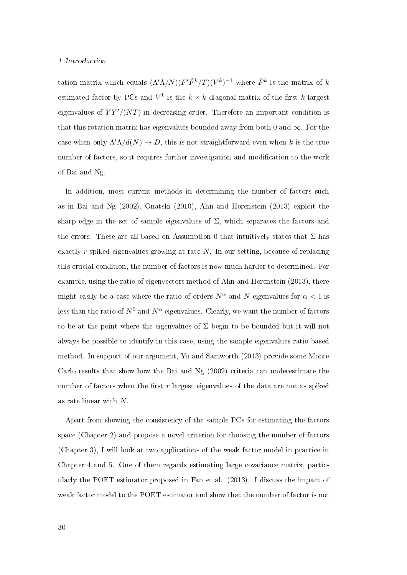tation matrix which equals  $(\Lambda' \Lambda/N) (F' \tilde{F}^k/T) (V^k)^{-1}$  where  $\tilde{F}^k$  is the matrix of k estimated factor by PCs and  $V^k$  is the  $k \times k$  diagonal matrix of the first k largest eigenvalues of  $YY'/(NT)$  in decreasing order. Therefore an important condition is that this rotation matrix has eigenvalues bounded away from both 0 and  $\infty$ . For the case when only  $\Lambda' \Lambda / d(N) \to D$ , this is not straightforward even when k is the true number of factors, so it requires further investigation and modification to the work of Bai and Ng.

In addition, most current methods in determining the number of factors such as in Bai and Ng (2002), Onatski (2010), Ahn and Horenstein (2013) exploit the sharp edge in the set of sample eigenvalues of  $\Sigma$ , which separates the factors and the errors. These are all based on Assumption 0 that intuitively states that  $\Sigma$  has exactly r spiked eigenvalues growing at rate N. In our setting, because of replacing this crucial condition, the number of factors is now much harder to determined. For example, using the ratio of eigenvectors method of Ahn and Horenstein (2013), there might easily be a case where the ratio of orders  $N^{\alpha}$  and N eigenvalues for  $\alpha < 1$  is less than the ratio of  $N^0$  and  $N^\alpha$  eigenvalues. Clearly, we want the number of factors to be at the point where the eigenvalues of  $\Sigma$  begin to be bounded but it will not always be possible to identify in this case, using the sample eigenvalues ratio based method. In support of our argument, Yu and Samworth (2013) provide some Monte Carlo results that show how the Bai and Ng (2002) criteria can underestimate the number of factors when the first  $r$  largest eigenvalues of the data are not as spiked as rate linear with N.

Apart from showing the consistency of the sample PCs for estimating the factors space (Chapter 2) and propose a novel criterion for choosing the number of factors (Chapter 3), I will look at two applications of the weak factor model in practice in Chapter 4 and 5. One of them regards estimating large covariance matrix, particularly the POET estimator proposed in Fan et al. (2013). I discuss the impact of weak factor model to the POET estimator and show that the number of factor is not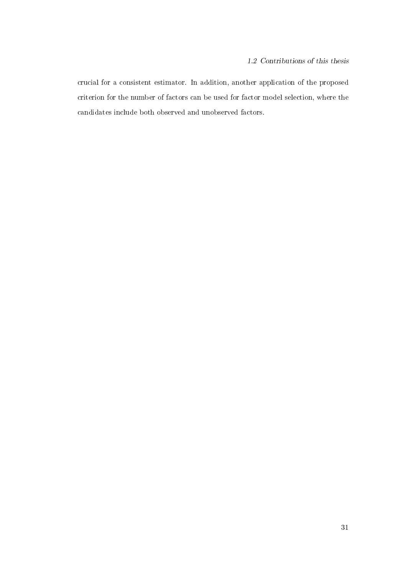crucial for a consistent estimator. In addition, another application of the proposed criterion for the number of factors can be used for factor model selection, where the candidates include both observed and unobserved factors.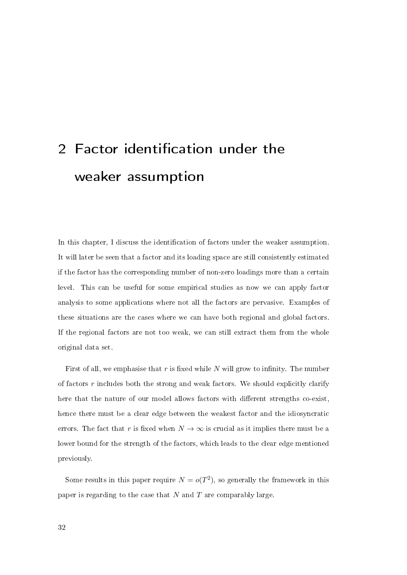# 2 Factor identification under the weaker assumption

In this chapter, I discuss the identification of factors under the weaker assumption. It will later be seen that a factor and its loading space are still consistently estimated if the factor has the corresponding number of non-zero loadings more than a certain level. This can be useful for some empirical studies as now we can apply factor analysis to some applications where not all the factors are pervasive. Examples of these situations are the cases where we can have both regional and global factors. If the regional factors are not too weak, we can still extract them from the whole original data set.

First of all, we emphasise that  $r$  is fixed while  $N$  will grow to infinity. The number of factors  $r$  includes both the strong and weak factors. We should explicitly clarify here that the nature of our model allows factors with different strengths co-exist, hence there must be a clear edge between the weakest factor and the idiosyncratic errors. The fact that r is fixed when  $N \to \infty$  is crucial as it implies there must be a lower bound for the strength of the factors, which leads to the clear edge mentioned previously.

Some results in this paper require  $N = o(T^2)$ , so generally the framework in this paper is regarding to the case that  $N$  and  $T$  are comparably large.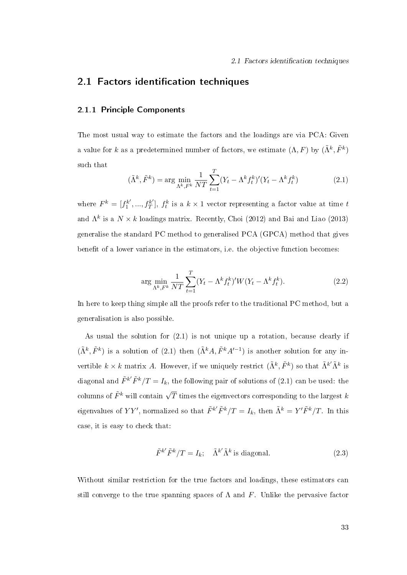## 2.1 Factors identification techniques

### 2.1.1 Principle Components

The most usual way to estimate the factors and the loadings are via PCA: Given a value for k as a predetermined number of factors, we estimate  $(\Lambda, F)$  by  $(\tilde{\Lambda}^k, \tilde{F}^k)$ such that

$$
(\tilde{\Lambda}^k, \tilde{F}^k) = \arg\min_{\Lambda^k, F^k} \frac{1}{NT} \sum_{t=1}^T (Y_t - \Lambda^k f_t^k)' (Y_t - \Lambda^k f_t^k)
$$
 (2.1)

where  $F^k = [f_1^{k'}]$  $j_1^{k'},...,j_T^{k'}$  $\mathcal{L}_T^{(k')}$ ,  $f_t^k$  is a  $k \times 1$  vector representing a factor value at time t and  $\Lambda^k$  is a  $N \times k$  loadings matrix. Recently, Choi (2012) and Bai and Liao (2013) generalise the standard PC method to generalised PCA (GPCA) method that gives benefit of a lower variance in the estimators, i.e. the objective function becomes:

$$
\arg\min_{\Lambda^k, F^k} \frac{1}{NT} \sum_{t=1}^T (Y_t - \Lambda^k f_t^k)' W(Y_t - \Lambda^k f_t^k). \tag{2.2}
$$

In here to keep thing simple all the proofs refer to the traditional PC method, but a generalisation is also possible.

As usual the solution for (2.1) is not unique up a rotation, because clearly if  $(\tilde{\Lambda}^k, \tilde{F}^k)$  is a solution of (2.1) then  $(\tilde{\Lambda}^k A, \tilde{F}^k A'^{-1})$  is another solution for any invertible  $k \times k$  matrix A. However, if we uniquely restrict  $(\tilde{\Lambda}^k, \tilde{F}^k)$  so that  $\tilde{\Lambda}^{k'} \tilde{\Lambda}^k$  is diagonal and  $\tilde{F}^{k'}\tilde{F}^{k}/T=I_{k}$ , the following pair of solutions of (2.1) can be used: the columns of  $\tilde{F}^k$  will contain  $\sqrt{T}$  times the eigenvectors corresponding to the largest  $k$ eigenvalues of  $YY'$ , normalized so that  $\tilde{F}^{k'}\tilde{F}^k/T = I_k$ , then  $\tilde{\Lambda}^k = Y'\tilde{F}^k/T$ . In this case, it is easy to check that:

$$
\tilde{F}^{k'}\tilde{F}^k/T = I_k; \quad \tilde{\Lambda}^{k'}\tilde{\Lambda}^k \text{ is diagonal.}
$$
\n(2.3)

Without similar restriction for the true factors and loadings, these estimators can still converge to the true spanning spaces of  $\Lambda$  and F. Unlike the pervasive factor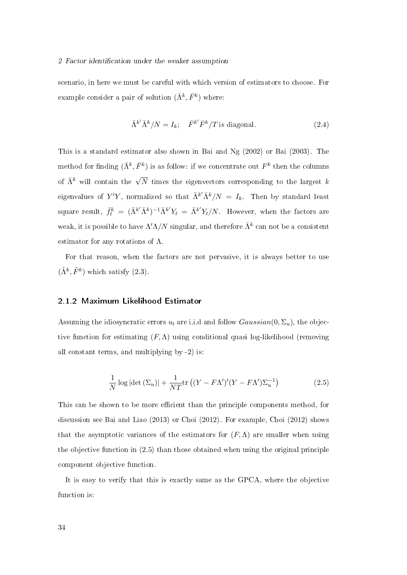#### 2 Factor identification under the weaker assumption

scenario, in here we must be careful with which version of estimators to choose. For example consider a pair of solution  $(\bar{\Lambda}^k, \bar{F}^k)$  where:

$$
\bar{\Lambda}^{k'} \bar{\Lambda}^k / N = I_k; \quad \bar{F}^{k'} \bar{F}^k / T \text{ is diagonal.}
$$
\n(2.4)

This is a standard estimator also shown in Bai and Ng (2002) or Bai (2003). The method for finding  $(\bar{\Lambda}^k, \bar{F}^k)$  is as follow: if we concentrate out  $F^k$  then the columns of  $\bar{\Lambda}^k$  will contain the  $\sqrt{N}$  times the eigenvectors corresponding to the largest  $k$ eigenvalues of  $Y'Y$ , normalized so that  $\bar{\Lambda}^{k'}\bar{\Lambda}^{k}/N$  =  $I_{k}$ . Then by standard least square result,  $\bar{f}_t^k = (\bar{\Lambda}^{k'} \bar{\Lambda}^k)^{-1} \bar{\Lambda}^{k'} Y_t = \bar{\Lambda}^{k'} Y_t / N$ . However, when the factors are weak, it is possible to have  $\Lambda' \Lambda / N$  singular, and therefore  $\bar{\Lambda}^k$  can not be a consistent estimator for any rotations of  $\Lambda$ .

For that reason, when the factors are not pervasive, it is always better to use  $(\tilde{\Lambda}^k, \tilde{F}^k)$  which satisfy  $(2.3)$ .

#### 2.1.2 Maximum Likelihood Estimator

Assuming the idiosyncratic errors  $u_t$  are i.i.d and follow  $Gaussian(0, \Sigma_u)$ , the objective function for estimating  $(F, \Lambda)$  using conditional quasi log-likelihood (removing all constant terms, and multiplying by -2) is:

$$
\frac{1}{N}\log|\det(\Sigma_u)| + \frac{1}{NT}\text{tr}\left((Y - F\Lambda')'(Y - F\Lambda')\Sigma_u^{-1}\right) \tag{2.5}
$$

This can be shown to be more efficient than the principle components method, for discussion see Bai and Liao (2013) or Choi (2012). For example, Choi (2012) shows that the asymptotic variances of the estimators for  $(F, \Lambda)$  are smaller when using the objective function in (2.5) than those obtained when using the original principle component objective function.

It is easy to verify that this is exactly same as the GPCA, where the objective function is: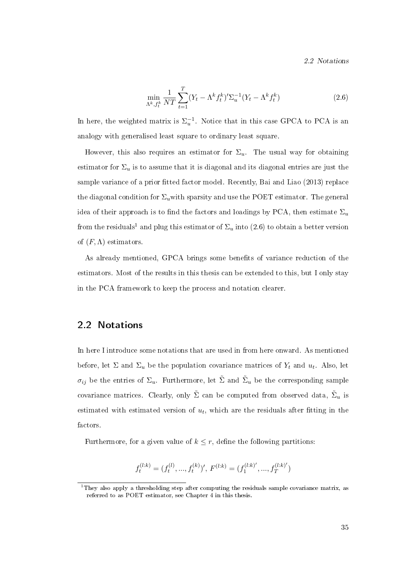2.2 Notations

$$
\min_{\Lambda^k, f_t^k} \frac{1}{NT} \sum_{t=1}^T (Y_t - \Lambda^k f_t^k)' \Sigma_u^{-1} (Y_t - \Lambda^k f_t^k)
$$
\n(2.6)

In here, the weighted matrix is  $\Sigma_u^{-1}$ . Notice that in this case GPCA to PCA is an analogy with generalised least square to ordinary least square.

However, this also requires an estimator for  $\Sigma_u$ . The usual way for obtaining estimator for  $\Sigma_u$  is to assume that it is diagonal and its diagonal entries are just the sample variance of a prior fitted factor model. Recently, Bai and Liao (2013) replace the diagonal condition for  $\Sigma_u$  with sparsity and use the POET estimator. The general idea of their approach is to find the factors and loadings by PCA, then estimate  $\Sigma_u$ from the residuals<sup>1</sup> and plug this estimator of  $\Sigma_u$  into (2.6) to obtain a better version of  $(F, \Lambda)$  estimators.

As already mentioned, GPCA brings some benefits of variance reduction of the estimators. Most of the results in this thesis can be extended to this, but I only stay in the PCA framework to keep the process and notation clearer.

### 2.2 Notations

In here I introduce some notations that are used in from here onward. As mentioned before, let  $\Sigma$  and  $\Sigma_u$  be the population covariance matrices of  $Y_t$  and  $u_t$ . Also, let  $\sigma_{ij}$  be the entries of  $\Sigma_u$ . Furthermore, let  $\tilde{\Sigma}$  and  $\tilde{\Sigma}_u$  be the corresponding sample covariance matrices. Clearly, only  $\tilde{\Sigma}$  can be computed from observed data,  $\tilde{\Sigma}_u$  is estimated with estimated version of  $u_t$ , which are the residuals after fitting in the factors.

Furthermore, for a given value of  $k \leq r$ , define the following partitions:

$$
f_t^{(l:k)}=(f_t^{(l)},...,f_t^{(k)})',\,F^{(l:k)}=(f_1^{(l:k)'},...,f_T^{(l:k)'})
$$

 $1$ They also apply a thresholding step after computing the residuals sample covariance matrix, as referred to as POET estimator, see Chapter 4 in this thesis.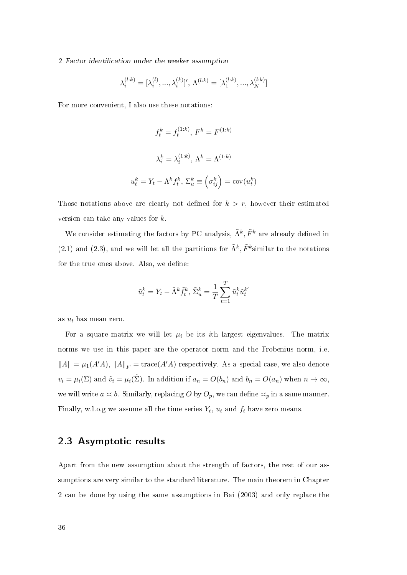$$
\lambda_i^{(l:k)} = [\lambda_i^{(l)}, ..., \lambda_i^{(k)}]', \Lambda^{(l:k)} = [\lambda_1^{(l:k)}, ..., \lambda_N^{(l:k)}]
$$

For more convenient, I also use these notations:

$$
f_t^k = f_t^{(1:k)}, F^k = F^{(1:k)}
$$
  

$$
\lambda_i^k = \lambda_i^{(1:k)}, \Lambda^k = \Lambda^{(1:k)}
$$
  

$$
u_t^k = Y_t - \Lambda^k f_t^k, \Sigma_u^k \equiv \left(\sigma_{ij}^k\right) = \text{cov}(u_t^k)
$$

Those notations above are clearly not defined for  $k > r$ , however their estimated version can take any values for  $k$ .

We consider estimating the factors by PC analysis,  $\tilde{\Lambda}^k$ ,  $\tilde{F}^k$  are already defined in (2.1) and (2.3), and we will let all the partitions for  $\tilde{\Lambda}^k$ ,  $\tilde{F}^k$ similar to the notations for the true ones above. Also, we define:

$$
\tilde{u}_t^k = Y_t - \tilde{\Lambda}^k \tilde{f}_t^k, \, \tilde{\Sigma}_u^k = \frac{1}{T} \sum_{t=1}^T \tilde{u}_t^k \tilde{u}_t^{k'}
$$

as  $u_t$  has mean zero.

For a square matrix we will let  $\mu_i$  be its *i*th largest eigenvalues. The matrix norms we use in this paper are the operator norm and the Frobenius norm, i.e.  $||A|| = \mu_1(A'A), ||A||_F = \text{trace}(A'A)$  respectively. As a special case, we also denote  $v_i = \mu_i(\Sigma)$  and  $\tilde{v}_i = \mu_i(\tilde{\Sigma})$ . In addition if  $a_n = O(b_n)$  and  $b_n = O(a_n)$  when  $n \to \infty$ , we will write  $a \le b$ . Similarly, replacing O by  $O_p$ , we can define  $\le_p$  in a same manner. Finally, w.l.o.g we assume all the time series  $Y_t$ ,  $u_t$  and  $f_t$  have zero means.

# 2.3 Asymptotic results

Apart from the new assumption about the strength of factors, the rest of our assumptions are very similar to the standard literature. The main theorem in Chapter 2 can be done by using the same assumptions in Bai (2003) and only replace the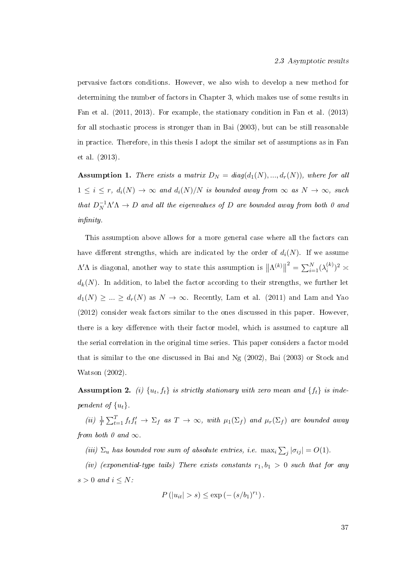pervasive factors conditions. However, we also wish to develop a new method for determining the number of factors in Chapter 3, which makes use of some results in Fan et al. (2011, 2013). For example, the stationary condition in Fan et al. (2013) for all stochastic process is stronger than in Bai (2003), but can be still reasonable in practice. Therefore, in this thesis I adopt the similar set of assumptions as in Fan et al. (2013).

**Assumption 1.** There exists a matrix  $D_N = diag(d_1(N), ..., d_r(N))$ , where for all  $1 \leq i \leq r$ ,  $d_i(N) \to \infty$  and  $d_i(N)/N$  is bounded away from  $\infty$  as  $N \to \infty$ , such that  $D_N^{-1}\Lambda'\Lambda \to D$  and all the eigenvalues of D are bounded away from both 0 and  $in$ finity.

This assumption above allows for a more general case where all the factors can have different strengths, which are indicated by the order of  $d_i(N)$ . If we assume  $\Lambda' \Lambda$  is diagonal, another way to state this assumption is  $\|\Lambda^{(k)}\|$  $^{2} = \sum_{i=1}^{N} (\lambda_{i}^{(k)}$  $\binom{k}{i}^2 \asymp$  $d_k(N)$ . In addition, to label the factor according to their strengths, we further let  $d_1(N) \geq ... \geq d_r(N)$  as  $N \to \infty$ . Recently, Lam et al. (2011) and Lam and Yao (2012) consider weak factors similar to the ones discussed in this paper. However there is a key difference with their factor model, which is assumed to capture all the serial correlation in the original time series. This paper considers a factor model that is similar to the one discussed in Bai and Ng (2002), Bai (2003) or Stock and Watson (2002).

**Assumption 2.** (i)  $\{u_t, f_t\}$  is strictly stationary with zero mean and  $\{f_t\}$  is independent of  $\{u_t\}$ .

(ii)  $\frac{1}{T} \sum_{t=1}^{T} f_t f_t' \to \sum_f$  as  $T \to \infty$ , with  $\mu_1(\Sigma_f)$  and  $\mu_r(\Sigma_f)$  are bounded away from both 0 and  $\infty$ .

(iii)  $\Sigma_u$  has bounded row sum of absolute entries, i.e.  $\max_i \sum_j |\sigma_{ij}| = O(1)$ .

(iv) (exponential-type tails) There exists constants  $r_1, b_1 > 0$  such that for any  $s > 0$  and  $i \leq N$ :

$$
P(|u_{it}| > s) \le \exp(-(s/b_1)^{r_1}).
$$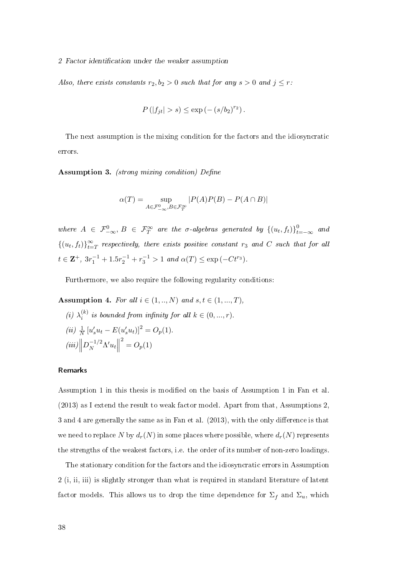Also, there exists constants  $r_2, b_2 > 0$  such that for any  $s > 0$  and  $j \leq r$ :

$$
P(|f_{jt}| > s) \le \exp(-(s/b_2)^{r_2}).
$$

The next assumption is the mixing condition for the factors and the idiosyncratic errors.

Assumption 3. (strong mixing condition) Define

$$
\alpha(T) = \sup_{A \in \mathcal{F}_{-\infty}^0, B \in \mathcal{F}_T^{\infty}} |P(A)P(B) - P(A \cap B)|
$$

where  $A \in \mathcal{F}_{-\infty}^0, B \in \mathcal{F}_T^{\infty}$  are the  $\sigma$ -algebras generated by  $\{(u_t, f_t)\}_{t=-\infty}^0$  and  $\{(u_t, f_t)\}_{t=1}^{\infty}$  $\sum\limits_{t = T}^\infty$  respectively, there exists positive constant  $r_3$  and  $C$  such that for all  $t \in \mathbf{Z}^+$ ,  $3r_1^{-1} + 1.5r_2^{-1} + r_3^{-1} > 1$  and  $\alpha(T) \le \exp(-Ct^{r_3})$ .

Furthermore, we also require the following regularity conditions:

Assumption 4. For all  $i \in (1, ..., N)$  and  $s, t \in (1, ..., T)$ ,

(i)  $\lambda_i^{(k)}$  $i_i^{(k)}$  is bounded from infinity for all  $k \in (0, ..., r)$ . (*ii*)  $\frac{1}{N} [u'_s u_t - E(u'_s u_t)]^2 = O_p(1)$ .  $(iii)\Big\|$  $D_N^{-1/2} \Lambda' u_t$  $^{2} = O_{p}(1)$ 

# Remarks

Assumption 1 in this thesis is modied on the basis of Assumption 1 in Fan et al. (2013) as I extend the result to weak factor model. Apart from that, Assumptions 2,  $3$  and  $4$  are generally the same as in Fan et al.  $(2013)$ , with the only difference is that we need to replace N by  $d_r(N)$  in some places where possible, where  $d_r(N)$  represents the strengths of the weakest factors, i.e. the order of its number of non-zero loadings.

The stationary condition for the factors and the idiosyncratic errors in Assumption 2 (i, ii, iii) is slightly stronger than what is required in standard literature of latent factor models. This allows us to drop the time dependence for  $\Sigma_f$  and  $\Sigma_u$ , which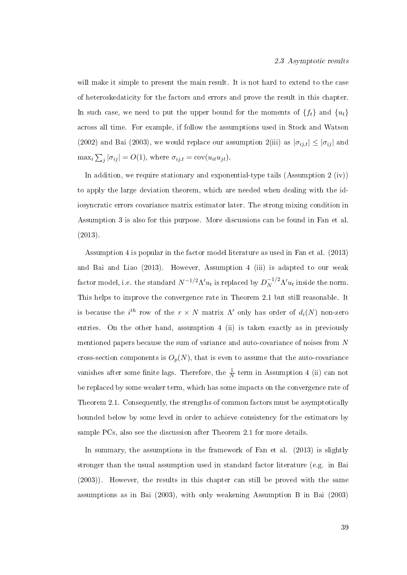will make it simple to present the main result. It is not hard to extend to the case of heteroskedaticity for the factors and errors and prove the result in this chapter. In such case, we need to put the upper bound for the moments of  $\{f_t\}$  and  $\{u_t\}$ across all time. For example, if follow the assumptions used in Stock and Watson (2002) and Bai (2003), we would replace our assumption 2(iii) as  $|\sigma_{ij,t}| \leq |\sigma_{ij}|$  and  $\max_i \sum_j |\sigma_{ij}| = O(1)$ , where  $\sigma_{ij,t} = \text{cov}(u_{it}u_{jt})$ .

In addition, we require stationary and exponential-type tails (Assumption 2 (iv)) to apply the large deviation theorem, which are needed when dealing with the idiosyncratic errors covariance matrix estimator later. The strong mixing condition in Assumption 3 is also for this purpose. More discussions can be found in Fan et al. (2013).

Assumption 4 is popular in the factor model literature as used in Fan et al. (2013) and Bai and Liao (2013). However, Assumption 4 (iii) is adapted to our weak factor model, i.e. the standard  $N^{-1/2} \Lambda' u_t$  is replaced by  $D_N^{-1/2} \Lambda' u_t$  inside the norm. This helps to improve the convergence rate in Theorem 2.1 but still reasonable. It is because the  $i^{th}$  row of the  $r \times N$  matrix  $\Lambda'$  only has order of  $d_i(N)$  non-zero entries. On the other hand, assumption 4 (ii) is taken exactly as in previously mentioned papers because the sum of variance and auto-covariance of noises from N cross-section components is  $O_p(N)$ , that is even to assume that the auto-covariance vanishes after some finite lags. Therefore, the  $\frac{1}{N}$  term in Assumption 4 (ii) can not be replaced by some weaker term, which has some impacts on the convergence rate of Theorem 2.1. Consequently, the strengths of common factors must be asymptotically bounded below by some level in order to achieve consistency for the estimators by sample PCs, also see the discussion after Theorem 2.1 for more details.

In summary, the assumptions in the framework of Fan et al. (2013) is slightly stronger than the usual assumption used in standard factor literature (e.g. in Bai (2003)). However, the results in this chapter can still be proved with the same assumptions as in Bai (2003), with only weakening Assumption B in Bai (2003)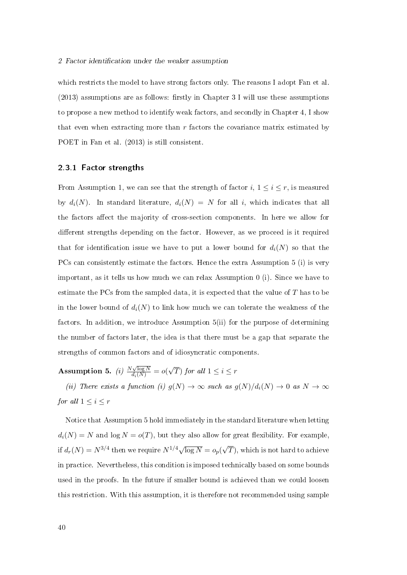which restricts the model to have strong factors only. The reasons I adopt Fan et al.  $(2013)$  assumptions are as follows: firstly in Chapter 3 I will use these assumptions to propose a new method to identify weak factors, and secondly in Chapter 4, I show that even when extracting more than  $r$  factors the covariance matrix estimated by POET in Fan et al. (2013) is still consistent.

### 2.3.1 Factor strengths

From Assumption 1, we can see that the strength of factor  $i, 1 \leq i \leq r$ , is measured by  $d_i(N)$ . In standard literature,  $d_i(N) = N$  for all i, which indicates that all the factors affect the majority of cross-section components. In here we allow for different strengths depending on the factor. However, as we proceed is it required that for identification issue we have to put a lower bound for  $d_i(N)$  so that the PCs can consistently estimate the factors. Hence the extra Assumption 5 (i) is very important, as it tells us how much we can relax Assumption 0 (i). Since we have to estimate the PCs from the sampled data, it is expected that the value of  $T$  has to be in the lower bound of  $d_i(N)$  to link how much we can tolerate the weakness of the factors. In addition, we introduce Assumption 5(ii) for the purpose of determining the number of factors later, the idea is that there must be a gap that separate the strengths of common factors and of idiosyncratic components.

**Assumption 5.** (i)  $\frac{N\sqrt{\log N}}{d_i(N)} = o($ √ T) for all  $1 \leq i \leq r$ 

(ii) There exists a function (i)  $g(N) \to \infty$  such as  $g(N)/d_i(N) \to 0$  as  $N \to \infty$ for all  $1 \leq i \leq r$ 

Notice that Assumption 5 hold immediately in the standard literature when letting  $d_i(N) = N$  and  $\log N = o(T)$ , but they also allow for great flexibility. For example, if  $d_r(N) = N^{3/4}$  then we require  $N^{1/4}\sqrt{\log N} = o_p(n)$ √  $(T),$  which is not hard to achieve in practice. Nevertheless, this condition is imposed technically based on some bounds used in the proofs. In the future if smaller bound is achieved than we could loosen this restriction. With this assumption, it is therefore not recommended using sample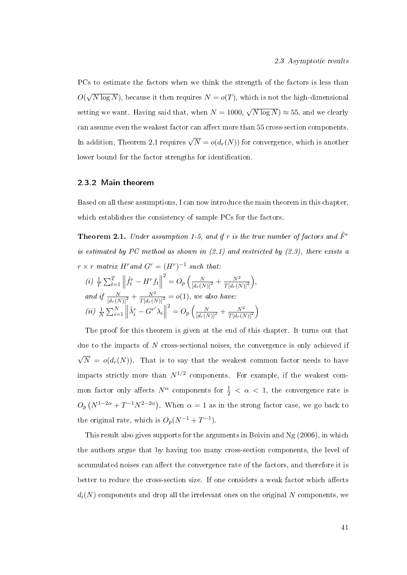PCs to estimate the factors when we think the strength of the factors is less than O( √  $\overline{N \log N})$ , because it then requires  $N = o(T)$ , which is not the high-dimensional setting we want. Having said that, when  $N = 1000$ , √  $(\overline{N \log N}) \approx 55,$  and we clearly can assume even the weakest factor can affect more than 55 cross-section components. In addition, Theorem 2.1 requires  $\sqrt{N} = o(d_r(N))$  for convergence, which is another lower bound for the factor strengths for identification.

# 2.3.2 Main theorem

Based on all these assumptions, I can now introduce the main theorem in this chapter, which establishes the consistency of sample PCs for the factors.

**Theorem 2.1.** Under assumption 1-5, and if r is the true number of factors and  $\tilde{F}^r$ is estimated by PC method as shown in  $(2.1)$  and restricted by  $(2.3)$ , there exists a  $r \times r$  matrix  $H^r$  and  $G^r = (H^r)^{-1}$  such that:

(i) 
$$
\frac{1}{T} \sum_{t=1}^{T} \left\| \tilde{f}_t^r - H^r f_t \right\|^2 = O_p \left( \frac{N}{[d_r(N)]^2} + \frac{N^2}{T[d_r(N)]^2} \right),
$$
  
and if  $\frac{N}{[d_r(N)]^2} + \frac{N^2}{T[d_r(N)]^2} = o(1)$ , we also have:  
(ii)  $\frac{1}{N} \sum_{i=1}^{N} \left\| \tilde{\lambda}_i^r - G^{r'} \lambda_i \right\|^2 = O_p \left( \frac{N}{[d_r(N)]^2} + \frac{N^2}{T[d_r(N)]^2} \right)$ 

The proof for this theorem is given at the end of this chapter. It turns out that due to the impacts of  $N$  cross-sectional noises, the convergence is only achieved if √  $N = o(d_r(N))$ . That is to say that the weakest common factor needs to have impacts strictly more than  $N^{1/2}$  components. For example, if the weakest common factor only affects  $N^{\alpha}$  components for  $\frac{1}{2} < \alpha < 1$ , the convergence rate is  $O_p(N^{1-2\alpha}+T^{-1}N^{2-2\alpha})$ . When  $\alpha=1$  as in the strong factor case, we go back to the original rate, which is  $O_p(N^{-1} + T^{-1})$ .

This result also gives supports for the arguments in Boivin and Ng (2006), in which the authors argue that by having too many cross-section components, the level of accumulated noises can affect the convergence rate of the factors, and therefore it is better to reduce the cross-section size. If one considers a weak factor which affects  $d_i(N)$  components and drop all the irrelevant ones on the original N components, we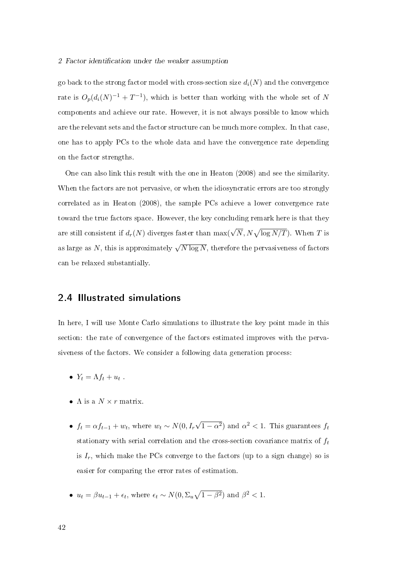go back to the strong factor model with cross-section size  $d_i(N)$  and the convergence rate is  $O_p(d_i(N)^{-1} + T^{-1})$ , which is better than working with the whole set of N components and achieve our rate. However, it is not always possible to know which are the relevant sets and the factor structure can be much more complex. In that case, one has to apply PCs to the whole data and have the convergence rate depending on the factor strengths.

One can also link this result with the one in Heaton (2008) and see the similarity. When the factors are not pervasive, or when the idiosyncratic errors are too strongly correlated as in Heaton (2008), the sample PCs achieve a lower convergence rate toward the true factors space. However, the key concluding remark here is that they are still consistent if  $d_r(N)$  diverges faster than  $\max(\sqrt{N}, N\sqrt{\log N/T})$ . When  $T$  is as large as  $N,$  this is approximately  $\sqrt{N \log N},$  therefore the pervasiveness of factors can be relaxed substantially.

# 2.4 Illustrated simulations

In here, I will use Monte Carlo simulations to illustrate the key point made in this section: the rate of convergence of the factors estimated improves with the pervasiveness of the factors. We consider a following data generation process:

- $Y_t = \Lambda f_t + u_t$ .
- $\Lambda$  is a  $N \times r$  matrix.
- $f_t = \alpha f_{t-1} + w_t$ , where  $w_t \sim N(0, I_r)$ √  $\overline{1-\alpha^2}$ ) and  $\alpha^2 < 1$ . This guarantees  $f_t$ stationary with serial correlation and the cross-section covariance matrix of  $f_t$ is  $I_r$ , which make the PCs converge to the factors (up to a sign change) so is easier for comparing the error rates of estimation.
- $u_t = \beta u_{t-1} + \epsilon_t$ , where  $\epsilon_t \sim N(0, \Sigma_u \sqrt{1-\beta^2})$  and  $\beta^2 < 1$ .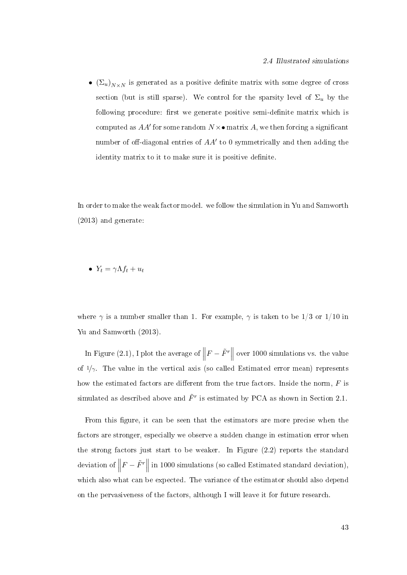•  $(\Sigma_u)_{N\times N}$  is generated as a positive definite matrix with some degree of cross section (but is still sparse). We control for the sparsity level of  $\Sigma_u$  by the following procedure: first we generate positive semi-definite matrix which is computed as  $AA'$  for some random  $N \times \bullet$  matrix  $A$ , we then forcing a significant number of off-diagonal entries of  $AA'$  to 0 symmetrically and then adding the identity matrix to it to make sure it is positive definite.

In order to make the weak factor model. we follow the simulation in Yu and Samworth (2013) and generate:

•  $Y_t = \gamma \Lambda f_t + u_t$ 

where  $\gamma$  is a number smaller than 1. For example,  $\gamma$  is taken to be 1/3 or 1/10 in Yu and Samworth (2013).

In Figure (2.1), I plot the average of  $\parallel$  $F - \tilde{F}^r$ over 1000 simulations vs. the value of  $1/\gamma$ . The value in the vertical axis (so called Estimated error mean) represents how the estimated factors are different from the true factors. Inside the norm,  $F$  is simulated as described above and  $\tilde{F}^r$  is estimated by PCA as shown in Section 2.1.

From this figure, it can be seen that the estimators are more precise when the factors are stronger, especially we observe a sudden change in estimation error when the strong factors just start to be weaker. In Figure (2.2) reports the standard deviation of  $\parallel$  $F - \tilde{F}^r$  in 1000 simulations (so called Estimated standard deviation), which also what can be expected. The variance of the estimator should also depend on the pervasiveness of the factors, although I will leave it for future research.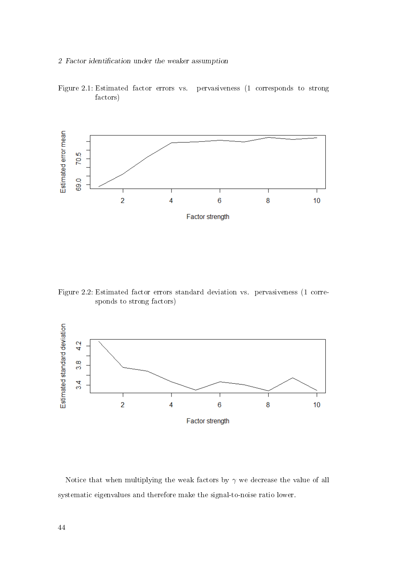

Figure 2.1: Estimated factor errors vs. pervasiveness (1 corresponds to strong factors)

Figure 2.2: Estimated factor errors standard deviation vs. pervasiveness (1 corresponds to strong factors)



Notice that when multiplying the weak factors by  $\gamma$  we decrease the value of all systematic eigenvalues and therefore make the signal-to-noise ratio lower.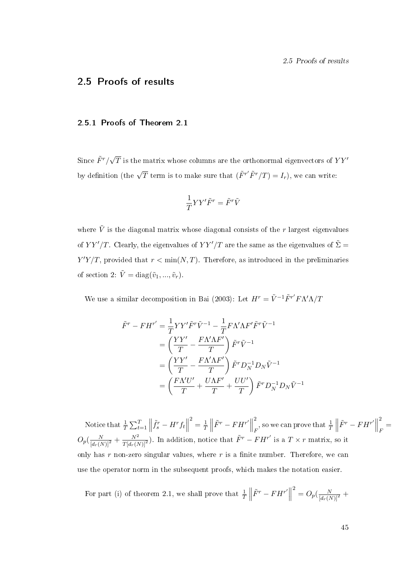2.5 Proofs of results

# 2.5 Proofs of results

### 2.5.1 Proofs of Theorem 2.1

Since  $\tilde{F}^r/\sqrt{T}$  is the matrix whose columns are the orthonormal eigenvectors of  $YY'$ by definition (the  $\sqrt{T}$  term is to make sure that  $(\tilde{F}^{r'}\tilde{F}^{r}/T) = I_r$ ), we can write:

$$
\frac{1}{T}YY'\tilde{F}^r=\tilde{F}^r\tilde{V}
$$

where  $\tilde{V}$  is the diagonal matrix whose diagonal consists of the r largest eigenvalues of  $YY'/T$ . Clearly, the eigenvalues of  $YY'/T$  are the same as the eigenvalues of  $\tilde{\Sigma} =$  $Y'Y/T$ , provided that  $r < \min(N, T)$ . Therefore, as introduced in the preliminaries of section 2:  $\tilde{V} = \text{diag}(\tilde{v}_1, ..., \tilde{v}_r)$ .

We use a similar decomposition in Bai (2003): Let  $H^r = \tilde{V}^{-1} \tilde{F}^{r'} F \Lambda' \Lambda / T$ 

$$
\tilde{F}^r - FH^{r'} = \frac{1}{T} YY'\tilde{F}^r \tilde{V}^{-1} - \frac{1}{T} F \Lambda' \Lambda F' \tilde{F}^r \tilde{V}^{-1}
$$
\n
$$
= \left(\frac{YY'}{T} - \frac{F \Lambda' \Lambda F'}{T}\right) \tilde{F}^r \tilde{V}^{-1}
$$
\n
$$
= \left(\frac{YY'}{T} - \frac{F \Lambda' \Lambda F'}{T}\right) \tilde{F}^r D_N^{-1} D_N \tilde{V}^{-1}
$$
\n
$$
= \left(\frac{F \Lambda' U'}{T} + \frac{U \Lambda F'}{T} + \frac{U U'}{T}\right) \tilde{F}^r D_N^{-1} D_N \tilde{V}^{-1}
$$

Notice that  $\frac{1}{T} \sum_{t=1}^T \Big\|$  $\tilde{f}^r_s - H^r f_t$  $\frac{2}{7} = \frac{1}{7}$  $rac{1}{T}$  $\tilde{F}^r - FH^{r'}\n\Big\|$ 2  $\frac{2}{F}$ , so we can prove that  $\frac{1}{T}\Big\|$  $\tilde{F}^r - FH^{r'}\n\Big\|$ 2  $\frac{1}{F}$  $O_p(\frac{N}{[d_r(N)]^2} + \frac{N^2}{T[d_r(N)]^2})$ . In addition, notice that  $\tilde{F}^r - F H^{r'}$  is a  $T \times r$  matrix, so it only has r non-zero singular values, where r is a finite number. Therefore, we can use the operator norm in the subsequent proofs, which makes the notation easier.

For part (i) of theorem 2.1, we shall prove that  $\frac{1}{T}$  $\left| \tilde{F}^{r}-F H^{r'} \right|$  $^{2} = O_{p}(\frac{N}{[d_{r}(N)]^{2}} +$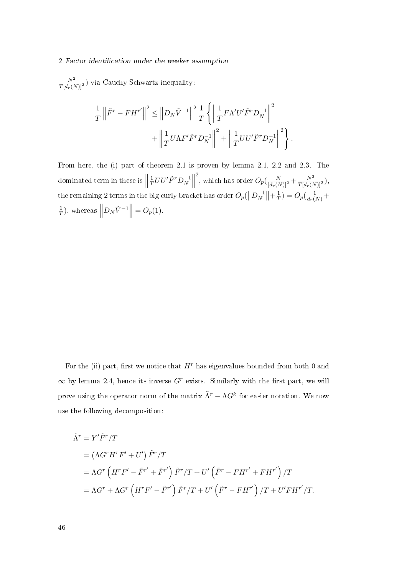$\frac{N^2}{T[d_r(N)]^2}$ ) via Cauchy Schwartz inequality:

$$
\frac{1}{T} \left\| \tilde{F}^r - FH^{r'} \right\|^2 \le \left\| D_N \tilde{V}^{-1} \right\|^2 \frac{1}{T} \left\{ \left\| \frac{1}{T} F \Lambda' U' \tilde{F}^r D_N^{-1} \right\|^2 \right. \\ \left. + \left\| \frac{1}{T} U \Lambda F' \tilde{F}^r D_N^{-1} \right\|^2 + \left\| \frac{1}{T} U U' \tilde{F}^r D_N^{-1} \right\|^2 \right\}.
$$

From here, the (i) part of theorem 2.1 is proven by lemma 2.1, 2.2 and 2.3. The dominated term in these is  $\Big\|$ 1  $\frac{1}{T}UU'\tilde{F}^rD_N^{-1}$  $\begin{matrix} -1 \\ N \end{matrix}$ <sup>2</sup>, which has order  $O_p(\frac{N}{[d_r(N)]^2} + \frac{N^2}{T[d_r(N)]^2}),$ the remaining 2 terms in the big curly bracket has order  $O_p(\left\|D_N^{-1}\right\|)$  $\left| \frac{-1}{N} \right| + \frac{1}{T}$  $(\frac{1}{T}) = O_p(\frac{1}{d_r(N)} +$ 1  $\frac{1}{T}$ ), whereas  $\left\| D_N \tilde{V}^{-1} \right\| = O_p(1)$ .

For the (ii) part, first we notice that  $H<sup>r</sup>$  has eigenvalues bounded from both 0 and  $\infty$  by lemma 2.4, hence its inverse G<sup>r</sup> exists. Similarly with the first part, we will prove using the operator norm of the matrix  $\tilde{\Lambda}^r - \Lambda G^k$  for easier notation. We now use the following decomposition:

$$
\tilde{\Lambda}^r = Y'\tilde{F}^r/T
$$
\n
$$
= (\Lambda G^r H^r F' + U') \tilde{F}^r/T
$$
\n
$$
= \Lambda G^r \left( H^r F' - \tilde{F}^{r'} + \tilde{F}^{r'} \right) \tilde{F}^r/T + U' \left( \tilde{F}^r - F H^{r'} + F H^{r'} \right) / T
$$
\n
$$
= \Lambda G^r + \Lambda G^r \left( H^r F' - \tilde{F}^{r'} \right) \tilde{F}^r / T + U' \left( \tilde{F}^r - F H^{r'} \right) / T + U' F H^{r'} / T.
$$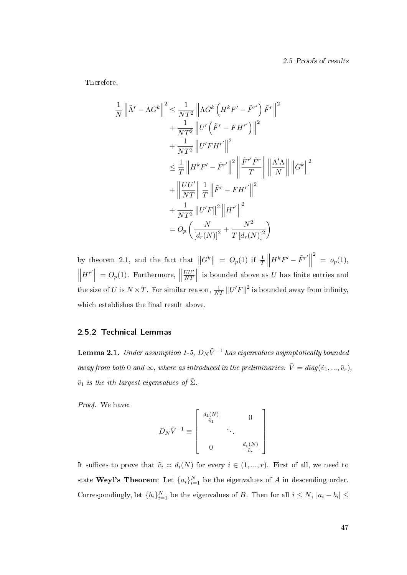Therefore,

$$
\frac{1}{N} \left\| \tilde{\Lambda}^r - \Lambda G^k \right\|^2 \leq \frac{1}{NT^2} \left\| \Lambda G^k \left( H^k F' - \tilde{F}^{r'} \right) \tilde{F}^r \right\|^2
$$
  
+ 
$$
\frac{1}{NT^2} \left\| U' \left( \tilde{F}^r - F H^{r'} \right) \right\|^2
$$
  
+ 
$$
\frac{1}{NT^2} \left\| U' F H^{r'} \right\|^2
$$
  

$$
\leq \frac{1}{T} \left\| H^k F' - \tilde{F}^{r'} \right\|^2 \left\| \frac{\tilde{F}^{r'} \tilde{F}^r}{T} \right\| \left\| \frac{\Lambda' \Lambda}{N} \right\| \left\| G^k \right\|^2
$$
  
+ 
$$
\left\| \frac{U U'}{NT} \right\| \frac{1}{T} \left\| \tilde{F}^r - F H^{r'} \right\|^2
$$
  
+ 
$$
\frac{1}{NT^2} \left\| U' F \right\|^2 \left\| H^{r'} \right\|^2
$$
  
= 
$$
O_p \left( \frac{N}{\left[ d_r(N) \right]^2} + \frac{N^2}{T \left[ d_r(N) \right]^2} \right)
$$

by theorem 2.1, and the fact that  $||G^k|| = O_p(1)$  if  $\frac{1}{T}||$  $H^k F' - \tilde{F}^{r'}$  $2^2 = o_p(1),$  $\begin{array}{c} \hline \end{array}$  $H^{r'}\Big\| = O_p(1)$ . Furthermore,  $\Big\|$  $UU'$  $\frac{U U'}{NT}$ is bounded above as  $U$  has finite entries and the size of U is  $N \times T$ . For similar reason,  $\frac{1}{NT} ||U'F||^2$  is bounded away from infinity, which establishes the final result above.

# 2.5.2 Technical Lemmas

**Lemma 2.1.** Under assumption 1-5,  $D_N \tilde{V}^{-1}$  has eigenvalues asymptotically bounded away from both 0 and  $\infty$ , where as introduced in the preliminaries:  $\tilde{V} = diag(\tilde{v}_1, ..., \tilde{v}_r)$ ,  $\tilde{v}_1$  is the ith largest eigenvalues of  $\tilde{\Sigma}$ .

Proof. We have:

$$
D_N \tilde{V}^{-1} \equiv \begin{bmatrix} \frac{d_1(N)}{\tilde{v}_1} & 0 \\ 0 & \frac{d_r(N)}{\tilde{v}_r} \end{bmatrix}
$$

It suffices to prove that  $\tilde{v}_i \simeq d_i(N)$  for every  $i \in (1, ..., r)$ . First of all, we need to state Weyl's Theorem: Let  $\{a_i\}_{i=1}^N$  be the eigenvalues of  $A$  in descending order. Correspondingly, let  ${b_i}_{i=1}^N$  be the eigenvalues of B. Then for all  $i \le N$ ,  $|a_i - b_i| \le$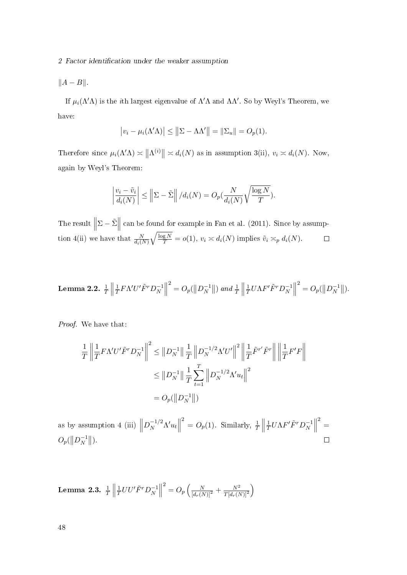$||A - B||$ .

If  $\mu_i(\Lambda'\Lambda)$  is the *i*th largest eigenvalue of  $\Lambda'\Lambda$  and  $\Lambda\Lambda'$ . So by Weyl's Theorem, we have:

$$
|v_i - \mu_i(\Lambda' \Lambda)| \le ||\Sigma - \Lambda \Lambda'|| = ||\Sigma_u|| = O_p(1).
$$

Therefore since  $\mu_i(\Lambda'\Lambda) \asymp ||\Lambda^{(i)}|| \asymp d_i(N)$  as in assumption 3(ii),  $v_i \asymp d_i(N)$ . Now, again by Weyl's Theorem:

$$
\left|\frac{v_i - \tilde{v}_i}{d_i(N)}\right| \le \left\|\sum_{i=1}^N \right| / d_i(N) = O_p(\frac{N}{d_i(N)}\sqrt{\frac{\log N}{T}}).
$$

The result  $\parallel$  $\Sigma - \tilde{\Sigma}$  can be found for example in Fan et al. (2011). Since by assumption 4(ii) we have that  $\frac{N}{d_i(N)}$  $\sqrt{\frac{\log N}{T}} = o(1), v_i \approx d_i(N)$  implies  $\tilde{v}_i \asymp_p d_i(N)$ .

**Lemma 2.2.** 
$$
\frac{1}{T} \left\| \frac{1}{T} F \Lambda' U' \tilde{F}^T D_N^{-1} \right\|^2 = O_p(\left\| D_N^{-1} \right\|) \text{ and } \frac{1}{T} \left\| \frac{1}{T} U \Lambda F' \tilde{F}^T D_N^{-1} \right\|^2 = O_p(\left\| D_N^{-1} \right\|).
$$

Proof. We have that:

$$
\frac{1}{T} \left\| \frac{1}{T} F \Lambda' U' \tilde{F}^T D_N^{-1} \right\|^2 \leq \| D_N^{-1} \| \frac{1}{T} \| D_N^{-1/2} \Lambda' U' \|^2 \left\| \frac{1}{T} \tilde{F}^{r'} \tilde{F}^r \right\| \left\| \frac{1}{T} F' F \right\|
$$

$$
\leq \| D_N^{-1} \| \frac{1}{T} \sum_{t=1}^T \left\| D_N^{-1/2} \Lambda' u_t \right\|^2
$$

$$
= O_p(\| D_N^{-1} \|)
$$

 $2^2 = O_p(1)$ . Similarly,  $\frac{1}{T}$  $\frac{2}{2}$ as by assumption 4 (iii)  $\parallel$  $D_N^{-1/2} \Lambda' u_t$  $\left\lceil \frac{1}{N} \right\rceil$  $\frac{1}{T}U\Lambda F^{\prime}\tilde{F}^{r}D_{N}^{-1}$ 1  $O_p(\left\|D_N^{-1}\right\|)$  $\begin{array}{c} -1 \\ N \end{array}$ .  $\Box$ 

Lemma 2.3.  $\frac{1}{T}\bigg\Vert$ 1  $\frac{1}{T} U U' \tilde{F}^r D_N^{-1}$  $\begin{matrix} -1 \\ N \end{matrix}$  $\frac{2}{\sqrt{2}} = O_p \left( \frac{N}{[d_r(N)]^2} + \frac{N^2}{T[d_r(N)]^2} \right)$  $\overline{T[d_r(N)]^2}$  $\setminus$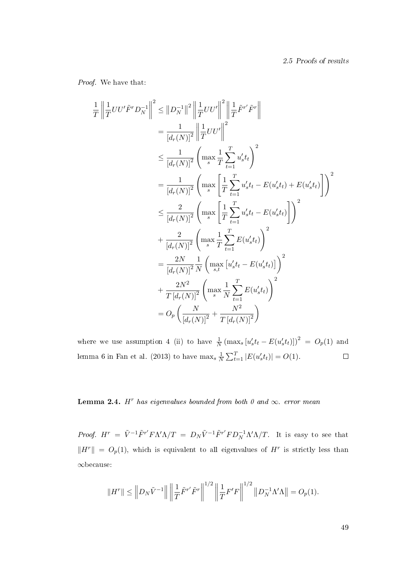Proof. We have that:

1 T

$$
\left\| \frac{1}{T}UU'\tilde{F}^T D_N^{-1} \right\|^2 \leq \|D_N^{-1}\|^2 \left\| \frac{1}{T}UU'\right\|^2 \left\| \frac{1}{T}\tilde{F}^{r'}\tilde{F}^r \right\|
$$
\n
$$
= \frac{1}{[d_r(N)]^2} \left\| \frac{1}{T}UU'\right\|^2
$$
\n
$$
\leq \frac{1}{[d_r(N)]^2} \left( \max_s \frac{1}{T} \sum_{t=1}^T u'_s t_t \right)^2
$$
\n
$$
= \frac{1}{[d_r(N)]^2} \left( \max_s \left[ \frac{1}{T} \sum_{t=1}^T u'_s t_t - E(u'_s t_t) + E(u'_s t_t) \right] \right)^2
$$
\n
$$
\leq \frac{2}{[d_r(N)]^2} \left( \max_s \left[ \frac{1}{T} \sum_{t=1}^T u'_s t_t - E(u'_s t_t) \right] \right)^2
$$
\n
$$
+ \frac{2}{[d_r(N)]^2} \left( \max_s \frac{1}{T} \sum_{t=1}^T E(u'_s t_t) \right)^2
$$
\n
$$
= \frac{2N}{[d_r(N)]^2} \frac{1}{N} \left( \max_{s,t} \left[ u'_s t_t - E(u'_s t_t) \right] \right)^2
$$
\n
$$
+ \frac{2N^2}{T} \left[ d_r(N) \right]^2 \left( \max_s \frac{1}{N} \sum_{t=1}^T E(u'_s t_t) \right)^2
$$
\n
$$
= O_p \left( \frac{N}{[d_r(N)]^2} + \frac{N^2}{T [d_r(N)]^2} \right)
$$

where we use assumption 4 (ii) to have  $\frac{1}{N} (\max_s [u_s' t_t - E(u_s' t_t)])^2 = O_p(1)$  and  $\frac{1}{N} \sum_{t=1}^{T} |E(u'_s t_t)| = O(1).$ lemma 6 in Fan et al. (2013) to have  $\max_s \frac{1}{\Lambda}$  $\Box$ 

# **Lemma 2.4.** H<sup>r</sup> has eigenvalues bounded from both 0 and  $\infty$ . error mean

*Proof.*  $H^r = \tilde{V}^{-1} \tilde{F}^{r'} F \Lambda' \Lambda / T = D_N \tilde{V}^{-1} \tilde{F}^{r'} F D_N^{-1} \Lambda' \Lambda / T$ . It is easy to see that  $\|H^r\| = O_p(1)$ , which is equivalent to all eigenvalues of  $H^r$  is strictly less than ∞because:

$$
||H^r|| \leq ||D_N \tilde{V}^{-1}|| \left||\frac{1}{T} \tilde{F}^{r'} \tilde{F}^r||^{1/2} \left||\frac{1}{T} F^{\prime} F\right||^{1/2} ||D_N^{-1} \Lambda^{\prime} \Lambda|| = O_p(1).
$$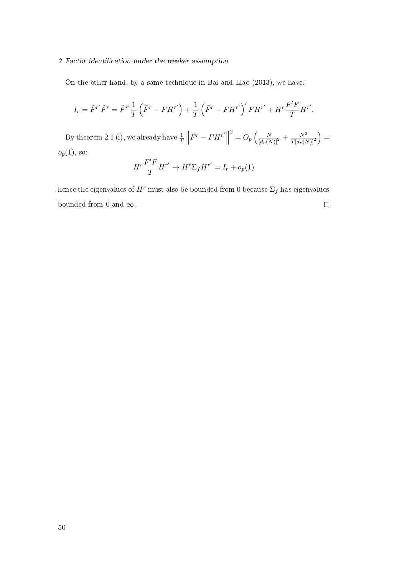On the other hand, by a same technique in Bai and Liao (2013), we have:

$$
I_r = \tilde{F}^{r'} \tilde{F}^r = \tilde{F}^{r'} \frac{1}{T} \left( \tilde{F}^r - FH^{r'} \right) + \frac{1}{T} \left( \tilde{F}^r - FH^{r'} \right)' FH^{r'} + H^r \frac{F'F}{T} H^{r'}.
$$

By theorem 2.1 (i), we already have  $\frac{1}{T}$  $\tilde{F}^r - FH^{r'}\n\Big\|$  $\frac{2}{\sqrt{2}}=O_p\left(\frac{N}{\left[d_r(N)\right]^2}+\frac{N^2}{T\left[d_r(N)\right]^2}\right)$  $\overline{T[d_r(N)]^2}$  $=$  $o_p(1),$  so:  $\overline{ }$ 

$$
H^r \frac{F'F}{T} H^{r'} \to H^r \Sigma_f H^{r'} = I_r + o_p(1)
$$

hence the eigenvalues of  $H^r$  must also be bounded from  $0$  because  $\Sigma_f$  has eigenvalues bounded from 0 and  $\infty$ .  $\Box$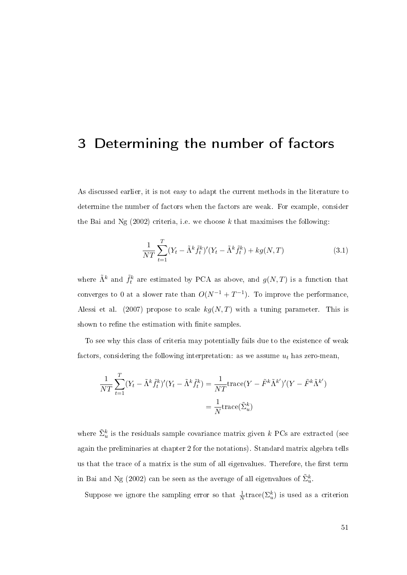# 3 Determining the number of factors

As discussed earlier, it is not easy to adapt the current methods in the literature to determine the number of factors when the factors are weak. For example, consider the Bai and Ng  $(2002)$  criteria, i.e. we choose k that maximises the following:

$$
\frac{1}{NT} \sum_{t=1}^{T} (Y_t - \tilde{\Lambda}^k \tilde{f}_t^k)' (Y_t - \tilde{\Lambda}^k \tilde{f}_t^k) + k g(N, T)
$$
\n(3.1)

where  $\tilde{\Lambda}^k$  and  $\tilde{f}^k_t$  are estimated by PCA as above, and  $g(N,T)$  is a function that converges to 0 at a slower rate than  $O(N^{-1} + T^{-1})$ . To improve the performance, Alessi et al. (2007) propose to scale  $kg(N, T)$  with a tuning parameter. This is shown to refine the estimation with finite samples.

To see why this class of criteria may potentially fails due to the existence of weak factors, considering the following interpretation: as we assume  $u_t$  has zero-mean,

$$
\frac{1}{NT} \sum_{t=1}^{T} (Y_t - \tilde{\Lambda}^k \tilde{f}_t^k)' (Y_t - \tilde{\Lambda}^k \tilde{f}_t^k) = \frac{1}{NT} \text{trace}(Y - \tilde{F}^k \tilde{\Lambda}^{k'})' (Y - \tilde{F}^k \tilde{\Lambda}^{k'})
$$

$$
= \frac{1}{N} \text{trace}(\tilde{\Sigma}_u^k)
$$

where  $\tilde{\Sigma}^k_u$  is the residuals sample covariance matrix given  $k$  PCs are extracted (see again the preliminaries at chapter 2 for the notations). Standard matrix algebra tells us that the trace of a matrix is the sum of all eigenvalues. Therefore, the first term in Bai and Ng (2002) can be seen as the average of all eigenvalues of  $\tilde{\Sigma}_{u}^{k}.$ 

Suppose we ignore the sampling error so that  $\frac{1}{N}$ trace( $\Sigma_u^k$ ) is used as a criterion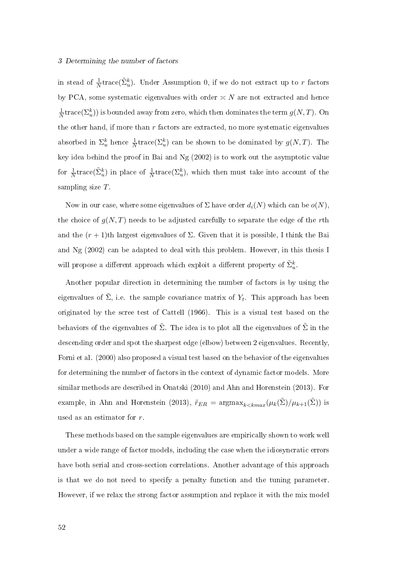#### 3 Determining the number of factors

in stead of  $\frac{1}{N}$ trace( $\tilde{\Sigma}_u^k$ ). Under Assumption 0, if we do not extract up to r factors by PCA, some systematic eigenvalues with order  $\asymp N$  are not extracted and hence 1  $\frac{1}{N}$ trace $(\Sigma_{u}^{k})$ ) is bounded away from zero, which then dominates the term  $g(N,T)$ . On the other hand, if more than  $r$  factors are extracted, no more systematic eigenvalues absorbed in  $\Sigma_u^k$  hence  $\frac{1}{N}$ trace $(\Sigma_u^k)$  can be shown to be dominated by  $g(N,T)$ . The key idea behind the proof in Bai and Ng (2002) is to work out the asymptotic value for  $\frac{1}{N}$ trace( $\tilde{\Sigma}_u^k$ ) in place of  $\frac{1}{N}$ trace( $\Sigma_u^k$ ), which then must take into account of the sampling size T.

Now in our case, where some eigenvalues of  $\Sigma$  have order  $d_i(N)$  which can be  $o(N)$ , the choice of  $g(N,T)$  needs to be adjusted carefully to separate the edge of the rth and the  $(r + 1)$ th largest eigenvalues of  $\Sigma$ . Given that it is possible, I think the Bai and Ng (2002) can be adapted to deal with this problem. However, in this thesis I will propose a different approach which exploit a different property of  $\tilde{\Sigma}_u^k$ .

Another popular direction in determining the number of factors is by using the eigenvalues of  $\tilde{\Sigma}$ , i.e. the sample covariance matrix of  $Y_t$ . This approach has been originated by the scree test of Cattell (1966). This is a visual test based on the behaviors of the eigenvalues of  $\tilde{\Sigma}$ . The idea is to plot all the eigenvalues of  $\tilde{\Sigma}$  in the descending order and spot the sharpest edge (elbow) between 2 eigenvalues. Recently, Forni et al. (2000) also proposed a visual test based on the behavior of the eigenvalues for determining the number of factors in the context of dynamic factor models. More similar methods are described in Onatski (2010) and Ahn and Horenstein (2013). For example, in Ahn and Horenstein (2013),  $\tilde{r}_{ER} = \text{argmax}_{k \leq kmax} (\mu_k(\tilde{\Sigma}) / \mu_{k+1}(\tilde{\Sigma}))$  is used as an estimator for r.

These methods based on the sample eigenvalues are empirically shown to work well under a wide range of factor models, including the case when the idiosyncratic errors have both serial and cross-section correlations. Another advantage of this approach is that we do not need to specify a penalty function and the tuning parameter. However, if we relax the strong factor assumption and replace it with the mix model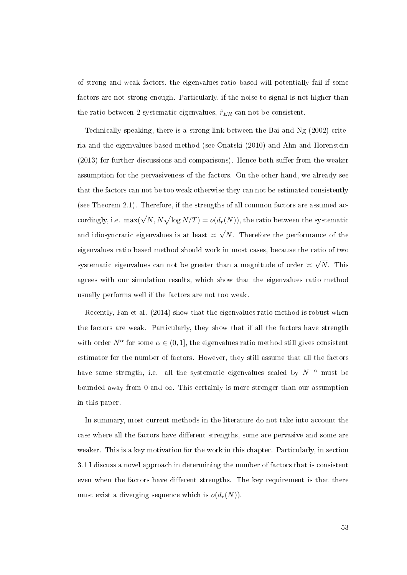of strong and weak factors, the eigenvalues-ratio based will potentially fail if some factors are not strong enough. Particularly, if the noise-to-signal is not higher than the ratio between 2 systematic eigenvalues,  $\tilde{r}_{ER}$  can not be consistent.

Technically speaking, there is a strong link between the Bai and Ng (2002) criteria and the eigenvalues based method (see Onatski (2010) and Ahn and Horenstein  $(2013)$  for further discussions and comparisons). Hence both suffer from the weaker assumption for the pervasiveness of the factors. On the other hand, we already see that the factors can not be too weak otherwise they can not be estimated consistently (see Theorem 2.1). Therefore, if the strengths of all common factors are assumed accordingly, i.e.  $\max(\sqrt{N}, N\sqrt{\log N/T}) = o(d_r(N)),$  the ratio between the systematic and idiosyncratic eigenvalues is at least  $\asymp$ √  $N$ . Therefore the performance of the eigenvalues ratio based method should work in most cases, because the ratio of two systematic eigenvalues can not be greater than a magnitude of order  $\asymp$ √ N. This agrees with our simulation results, which show that the eigenvalues ratio method usually performs well if the factors are not too weak.

Recently, Fan et al. (2014) show that the eigenvalues ratio method is robust when the factors are weak. Particularly, they show that if all the factors have strength with order  $N^{\alpha}$  for some  $\alpha \in (0,1]$ , the eigenvalues ratio method still gives consistent estimator for the number of factors. However, they still assume that all the factors have same strength, i.e. all the systematic eigenvalues scaled by  $N^{-\alpha}$  must be bounded away from 0 and  $\infty$ . This certainly is more stronger than our assumption in this paper.

In summary, most current methods in the literature do not take into account the case where all the factors have different strengths, some are pervasive and some are weaker. This is a key motivation for the work in this chapter. Particularly, in section 3.1 I discuss a novel approach in determining the number of factors that is consistent even when the factors have different strengths. The key requirement is that there must exist a diverging sequence which is  $o(d_r(N))$ .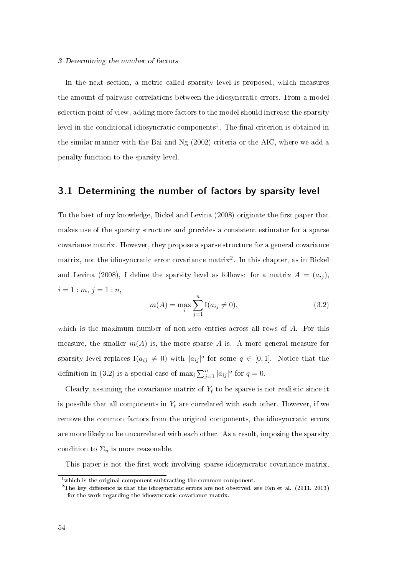#### 3 Determining the number of factors

In the next section, a metric called sparsity level is proposed, which measures the amount of pairwise correlations between the idiosyncratic errors. From a model selection point of view, adding more factors to the model should increase the sparsity level in the conditional idiosyncratic components<sup>1</sup>. The final criterion is obtained in the similar manner with the Bai and Ng (2002) criteria or the AIC, where we add a penalty function to the sparsity level.

# 3.1 Determining the number of factors by sparsity level

To the best of my knowledge, Bickel and Levina  $(2008)$  originate the first paper that makes use of the sparsity structure and provides a consistent estimator for a sparse covariance matrix. However, they propose a sparse structure for a general covariance matrix, not the idiosyncratic error covariance matrix<sup>2</sup>. In this chapter, as in Bickel and Levina (2008), I define the sparsity level as follows: for a matrix  $A = (a_{ij})$ ,  $i = 1 : m, j = 1 : n,$ 

$$
m(A) = \max_{i} \sum_{j=1}^{n} I(a_{ij} \neq 0),
$$
\n(3.2)

which is the maximum number of non-zero entries across all rows of A. For this measure, the smaller  $m(A)$  is, the more sparse A is. A more general measure for sparsity level replaces  $I(a_{ij} \neq 0)$  with  $|a_{ij}|^q$  for some  $q \in [0,1]$ . Notice that the definition in (3.2) is a special case of  $\max_i \sum_{j=1}^n |a_{ij}|^q$  for  $q=0$ .

Clearly, assuming the covariance matrix of  $Y_t$  to be sparse is not realistic since it is possible that all components in  $Y_t$  are correlated with each other. However, if we remove the common factors from the original components, the idiosyncratic errors are more likely to be uncorrelated with each other. As a result, imposing the sparsity condition to  $\Sigma_u$  is more reasonable.

This paper is not the first work involving sparse idiosyncratic covariance matrix.

 $1$ which is the original component subtracting the common component.

<sup>&</sup>lt;sup>2</sup>The key difference is that the idiosyncratic errors are not observed, see Fan et al.  $(2011, 2013)$ for the work regarding the idiosyncratic covariance matrix.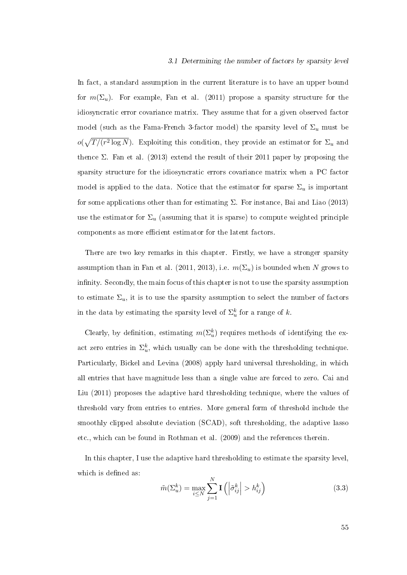#### 3.1 Determining the number of factors by sparsity level

In fact, a standard assumption in the current literature is to have an upper bound for  $m(\Sigma_u)$ . For example, Fan et al. (2011) propose a sparsity structure for the idiosyncratic error covariance matrix. They assume that for a given observed factor model (such as the Fama-French 3-factor model) the sparsity level of  $\Sigma_u$  must be  $o(\sqrt{T/(r^2 \log N})$ . Exploiting this condition, they provide an estimator for  $\Sigma_u$  and thence  $\Sigma$ . Fan et al. (2013) extend the result of their 2011 paper by proposing the sparsity structure for the idiosyncratic errors covariance matrix when a PC factor model is applied to the data. Notice that the estimator for sparse  $\Sigma_u$  is important for some applications other than for estimating  $\Sigma$ . For instance, Bai and Liao (2013) use the estimator for  $\Sigma_u$  (assuming that it is sparse) to compute weighted principle components as more efficient estimator for the latent factors.

There are two key remarks in this chapter. Firstly, we have a stronger sparsity assumption than in Fan et al. (2011, 2013), i.e.  $m(\Sigma_u)$  is bounded when N grows to infinity. Secondly, the main focus of this chapter is not to use the sparsity assumption to estimate  $\Sigma_u$ , it is to use the sparsity assumption to select the number of factors in the data by estimating the sparsity level of  $\Sigma_u^k$  for a range of k.

Clearly, by definition, estimating  $m(\Sigma_u^k)$  requires methods of identifying the exact zero entries in  $\Sigma_u^k$ , which usually can be done with the thresholding technique. Particularly, Bickel and Levina (2008) apply hard universal thresholding, in which all entries that have magnitude less than a single value are forced to zero. Cai and Liu (2011) proposes the adaptive hard thresholding technique, where the values of threshold vary from entries to entries. More general form of threshold include the smoothly clipped absolute deviation (SCAD), soft thresholding, the adaptive lasso etc., which can be found in Rothman et al. (2009) and the references therein.

In this chapter, I use the adaptive hard thresholding to estimate the sparsity level, which is defined as:

$$
\tilde{m}(\Sigma_u^k) = \max_{i \le N} \sum_{j=1}^N \mathbf{I}\left(\left|\tilde{\sigma}_{ij}^k\right| > h_{ij}^k\right) \tag{3.3}
$$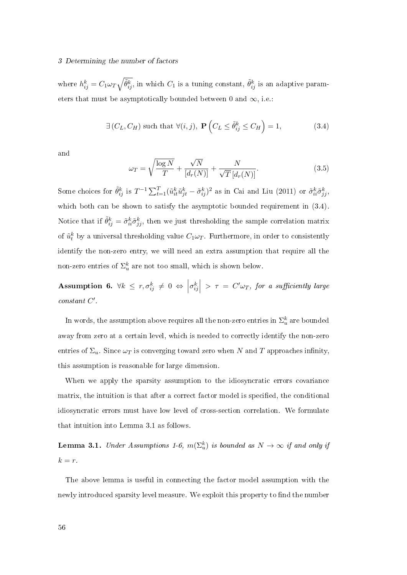#### 3 Determining the number of factors

where  $h_{ij}^k = C_1 \omega_T \sqrt{\tilde{\theta}_{ij}^k}$ , in which  $C_1$  is a tuning constant,  $\tilde{\theta}_{ij}^k$  is an adaptive parameters that must be asymptotically bounded between 0 and  $\infty$ , i.e.

$$
\exists (C_L, C_H) \text{ such that } \forall (i, j), \ \mathbf{P} \left( C_L \le \tilde{\theta}_{ij}^k \le C_H \right) = 1,\tag{3.4}
$$

and

$$
\omega_T = \sqrt{\frac{\log N}{T}} + \frac{\sqrt{N}}{[d_r(N)]} + \frac{N}{\sqrt{T}[d_r(N)]}.
$$
\n(3.5)

Some choices for  $\tilde{\theta}_{ij}^k$  is  $T^{-1}\sum_{t=1}^T(\tilde{u}_{it}^k\tilde{u}_{jt}^k-\tilde{\sigma}_{ij}^k)^2$  as in Cai and Liu (2011) or  $\tilde{\sigma}_{ii}^k\tilde{\sigma}_{jj}^k$ , which both can be shown to satisfy the asymptotic bounded requirement in  $(3.4)$ . Notice that if  $\tilde{\theta}_{ij}^k = \tilde{\sigma}_{ii}^k \tilde{\sigma}_{jj}^k$ , then we just thresholding the sample correlation matrix of  $\tilde{u}_t^k$  by a universal thresholding value  $C_1\omega_T$ . Furthermore, in order to consistently identify the non-zero entry, we will need an extra assumption that require all the non-zero entries of  $\Sigma_u^k$  are not too small, which is shown below.

Assumption 6.  $\forall k \leq r, \sigma_{ij}^k \neq 0 \Leftrightarrow \Big\lfloor$  $\left. \sigma _{ij}^{k}\right| \,>\,\tau \,=\,C'\omega _{T},\,\,for\,\,\,a\,\,\,sufficiently\,\,\,large\,$  $constant C'.$ 

In words, the assumption above requires all the non-zero entries in  $\Sigma_u^k$  are bounded away from zero at a certain level, which is needed to correctly identify the non-zero entries of  $\Sigma_u$ . Since  $\omega_T$  is converging toward zero when N and T approaches infinity, this assumption is reasonable for large dimension.

When we apply the sparsity assumption to the idiosyncratic errors covariance matrix, the intuition is that after a correct factor model is specified, the conditional idiosyncratic errors must have low level of cross-section correlation. We formulate that intuition into Lemma 3.1 as follows.

**Lemma 3.1.** Under Assumptions 1-6,  $m(\Sigma_u^k)$  is bounded as  $N \to \infty$  if and only if  $k = r$ .

The above lemma is useful in connecting the factor model assumption with the newly introduced sparsity level measure. We exploit this property to find the number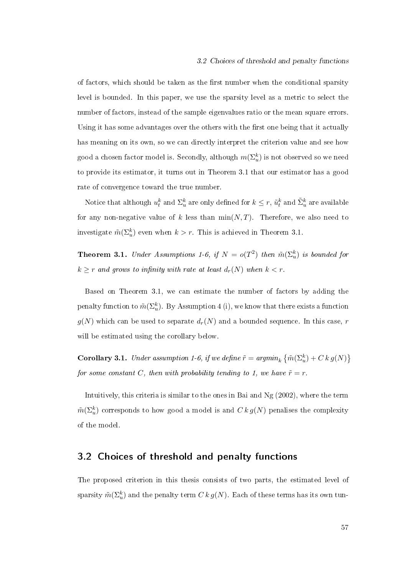of factors, which should be taken as the first number when the conditional sparsity level is bounded. In this paper, we use the sparsity level as a metric to select the number of factors, instead of the sample eigenvalues ratio or the mean square errors. Using it has some advantages over the others with the first one being that it actually has meaning on its own, so we can directly interpret the criterion value and see how good a chosen factor model is. Secondly, although  $m(\Sigma_u^k)$  is not observed so we need to provide its estimator, it turns out in Theorem 3.1 that our estimator has a good rate of convergence toward the true number.

Notice that although  $u^k_t$  and  $\Sigma^k_u$  are only defined for  $k\leq r,$   $\tilde{u}^k_t$  and  $\tilde{\Sigma}^k_u$  are available for any non-negative value of k less than  $\min(N, T)$ . Therefore, we also need to investigate  $\tilde{m}(\Sigma_{u}^{k})$  even when  $k > r$ . This is achieved in Theorem 3.1.

**Theorem 3.1.** Under Assumptions 1-6, if  $N = o(T^2)$  then  $\tilde{m}(\Sigma_u^k)$  is bounded for  $k \geq r$  and grows to infinity with rate at least  $d_r(N)$  when  $k < r$ .

Based on Theorem 3.1, we can estimate the number of factors by adding the penalty function to  $\tilde{m}(\Sigma_{u}^{k})$  . By Assumption 4 (i), we know that there exists a function  $g(N)$  which can be used to separate  $d_r(N)$  and a bounded sequence. In this case, r will be estimated using the corollary below.

**Corollary 3.1.** Under assumption 1-6, if we define  $\tilde{r} = argmin_k \left\{ \tilde{m}(\Sigma_u^k) + C \, k \, g(N) \right\}$ for some constant C, then with probability tending to 1, we have  $\tilde{r} = r$ .

Intuitively, this criteria is similar to the ones in Bai and Ng (2002), where the term  $\tilde{m}(\Sigma_u^k)$  corresponds to how good a model is and  $C\,k\,g(N)$  penalises the complexity of the model.

# 3.2 Choices of threshold and penalty functions

The proposed criterion in this thesis consists of two parts, the estimated level of sparsity  $\tilde{m}(\Sigma_u^k)$  and the penalty term  $C\,k\,g(N).$  Each of these terms has its own tun-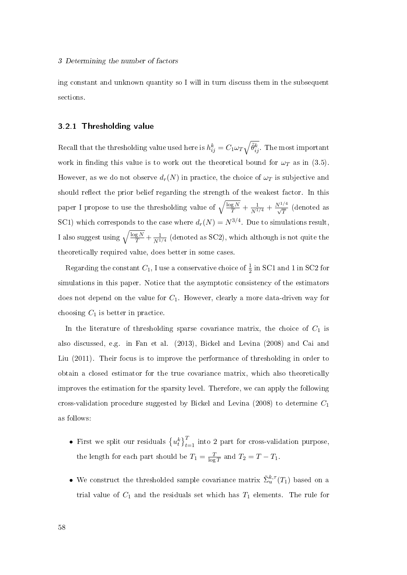ing constant and unknown quantity so I will in turn discuss them in the subsequent sections.

### 3.2.1 Thresholding value

Recall that the thresholding value used here is  $h_{ij}^k = C_1 \omega_T \sqrt{\tilde{\theta}_{ij}^k}$  . The most important work in finding this value is to work out the theoretical bound for  $\omega_T$  as in (3.5). However, as we do not observe  $d_r(N)$  in practice, the choice of  $\omega_T$  is subjective and should reflect the prior belief regarding the strength of the weakest factor. In this paper I propose to use the thresholding value of  $\sqrt{\frac{\log N}{T}} + \frac{1}{N^{1/4}} + \frac{N^{1/4}}{\sqrt{T}}$  (denoted as SC1) which corresponds to the case where  $d_r(N) = N^{3/4}$ . Due to simulations result, I also suggest using  $\sqrt{\frac{\log N}{T}} + \frac{1}{N^1}$  $\frac{1}{N^{1/4}}$  (denoted as SC2), which although is not quite the theoretically required value, does better in some cases.

Regarding the constant  $C_1$ , I use a conservative choice of  $\frac{1}{2}$  in SC1 and 1 in SC2 for simulations in this paper. Notice that the asymptotic consistency of the estimators does not depend on the value for  $C_1$ . However, clearly a more data-driven way for choosing  $C_1$  is better in practice.

In the literature of thresholding sparse covariance matrix, the choice of  $C_1$  is also discussed, e.g. in Fan et al. (2013), Bickel and Levina (2008) and Cai and Liu (2011). Their focus is to improve the performance of thresholding in order to obtain a closed estimator for the true covariance matrix, which also theoretically improves the estimation for the sparsity level. Therefore, we can apply the following cross-validation procedure suggested by Bickel and Levina (2008) to determine  $C_1$ as follows:

- First we split our residuals  $\{u_t^k\}_{t=1}^T$  into 2 part for cross-validation purpose, the length for each part should be  $T_1 = \frac{T}{\log T}$  $\frac{T}{\log T}$  and  $T_2 = T - T_1$ .
- We construct the thresholded sample covariance matrix  $\tilde{\Sigma}_{u}^{k,\tau}(T_1)$  based on a trial value of  $C_1$  and the residuals set which has  $T_1$  elements. The rule for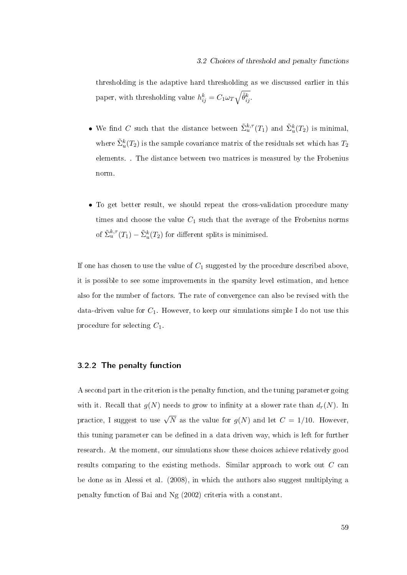thresholding is the adaptive hard thresholding as we discussed earlier in this paper, with thresholding value  $h_{ij}^k = C_1 \omega_T \sqrt{\tilde{\theta}_{ij}^k}$ .

- We find C such that the distance between  $\tilde{\Sigma}_u^{k,\tau}(T_1)$  and  $\tilde{\Sigma}_u^{k}(T_2)$  is minimal, where  $\tilde{\Sigma}_u^k(T_2)$  is the sample covariance matrix of the residuals set which has  $T_2$ elements. . The distance between two matrices is measured by the Frobenius norm.
- To get better result, we should repeat the cross-validation procedure many times and choose the value  $C_1$  such that the average of the Frobenius norms of  $\tilde{\Sigma}_u^{k,\tau}(T_1) - \tilde{\Sigma}_u^k(T_2)$  for different splits is minimised.

If one has chosen to use the value of  $C_1$  suggested by the procedure described above it is possible to see some improvements in the sparsity level estimation, and hence also for the number of factors. The rate of convergence can also be revised with the data-driven value for  $C_1$ . However, to keep our simulations simple I do not use this procedure for selecting  $C_1$ .

# 3.2.2 The penalty function

A second part in the criterion is the penalty function, and the tuning parameter going with it. Recall that  $g(N)$  needs to grow to infinity at a slower rate than  $d_r(N)$ . In practice, I suggest to use  $\sqrt{N}$  as the value for  $g(N)$  and let  $C=1/10$ . However, this tuning parameter can be defined in a data driven way, which is left for further research. At the moment, our simulations show these choices achieve relatively good results comparing to the existing methods. Similar approach to work out C can be done as in Alessi et al. (2008), in which the authors also suggest multiplying a penalty function of Bai and Ng (2002) criteria with a constant.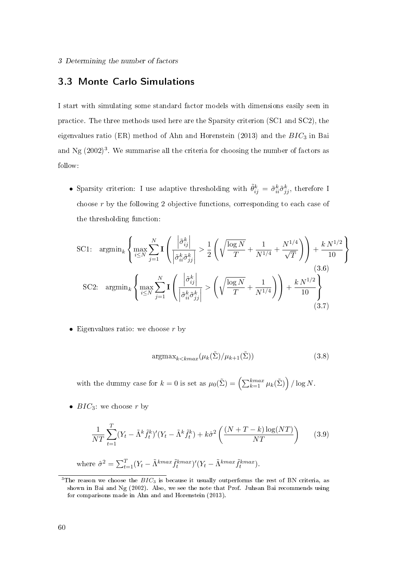# 3.3 Monte Carlo Simulations

I start with simulating some standard factor models with dimensions easily seen in practice. The three methods used here are the Sparsity criterion (SC1 and SC2), the eigenvalues ratio (ER) method of Ahn and Horenstein (2013) and the  $BIC<sub>3</sub>$  in Bai and Ng  $(2002)^3$ . We summarise all the criteria for choosing the number of factors as follow:

• Sparsity criterion: I use adaptive thresholding with  $\tilde{\theta}_{ij}^k = \tilde{\sigma}_{ii}^k \tilde{\sigma}_{jj}^k$ , therefore I choose r by the following 2 objective functions, corresponding to each case of the thresholding function:

$$
\text{SC1: } \operatorname{argmin}_{k} \left\{ \max_{i \le N} \sum_{j=1}^{N} \mathbf{I} \left( \frac{\left| \tilde{\sigma}_{ij}^{k} \right|}{\left| \tilde{\sigma}_{ii}^{k} \tilde{\sigma}_{jj}^{k} \right|} > \frac{1}{2} \left( \sqrt{\frac{\log N}{T}} + \frac{1}{N^{1/4}} + \frac{N^{1/4}}{\sqrt{T}} \right) \right) + \frac{k N^{1/2}}{10} \right\}
$$
\n
$$
\text{SC2: } \operatorname{argmin}_{k} \left\{ \max_{i \le N} \sum_{j=1}^{N} \mathbf{I} \left( \frac{\left| \tilde{\sigma}_{ij}^{k} \right|}{\left| \tilde{\sigma}_{ii}^{k} \tilde{\sigma}_{jj}^{k} \right|} > \left( \sqrt{\frac{\log N}{T}} + \frac{1}{N^{1/4}} \right) \right) + \frac{k N^{1/2}}{10} \right\}
$$
\n
$$
(3.6)
$$
\n
$$
(3.7)
$$

• Eigenvalues ratio: we choose  $r$  by

$$
\operatorname{argmax}_{k < k \max} (\mu_k(\tilde{\Sigma}) / \mu_{k+1}(\tilde{\Sigma})) \tag{3.8}
$$

with the dummy case for  $k = 0$  is set as  $\mu_0(\tilde{\Sigma}) = \left(\sum_{k=1}^{kmax} \mu_k(\tilde{\Sigma})\right) / \log N$ .

•  $BIC_3$ : we choose r by

$$
\frac{1}{NT} \sum_{t=1}^{T} (Y_t - \tilde{\Lambda}^k \tilde{f}_t^k)' (Y_t - \tilde{\Lambda}^k \tilde{f}_t^k) + k \hat{\sigma}^2 \left( \frac{(N+T-k) \log (NT)}{NT} \right) \tag{3.9}
$$

where  $\hat{\sigma}^2 = \sum_{t=1}^T (Y_t - \tilde{\Lambda}^{kmax} \tilde{f}_t^{kmax})'(Y_t - \tilde{\Lambda}^{kmax} \tilde{f}_t^{kmax}).$ 

<sup>&</sup>lt;sup>3</sup>The reason we choose the  $BIC_3$  is because it usually outperforms the rest of BN criteria, as shown in Bai and Ng (2002). Also, we see the note that Prof. Juhsan Bai recommends using for comparisons made in Ahn and and Horenstein (2013).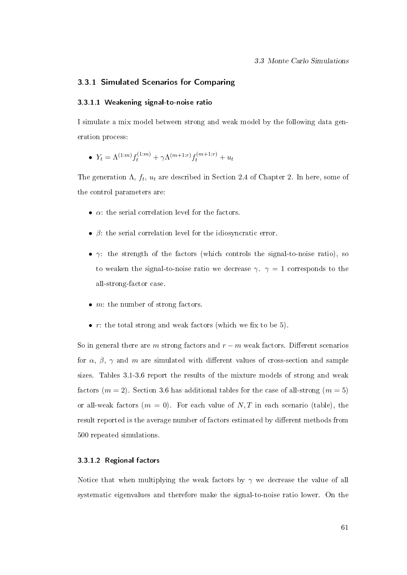### 3.3.1 Simulated Scenarios for Comparing

#### 3.3.1.1 Weakening signal-to-noise ratio

I simulate a mix model between strong and weak model by the following data generation process:

• 
$$
Y_t = \Lambda^{(1:m)} f_t^{(1:m)} + \gamma \Lambda^{(m+1:r)} f_t^{(m+1:r)} + u_t
$$

The generation  $\Lambda$ ,  $f_t$ ,  $u_t$  are described in Section 2.4 of Chapter 2. In here, some of the control parameters are:

- $\bullet$   $\alpha$ : the serial correlation level for the factors.
- $\beta$ : the serial correlation level for the idiosyncratic error.
- $\gamma$ : the strength of the factors (which controls the signal-to-noise ratio), so to weaken the signal-to-noise ratio we decrease  $\gamma$ .  $\gamma = 1$  corresponds to the all-strong-factor case.
- $\bullet$  *m*: the number of strong factors.
- $r$ : the total strong and weak factors (which we fix to be 5).

So in general there are m strong factors and  $r - m$  weak factors. Different scenarios for  $\alpha$ ,  $\beta$ ,  $\gamma$  and m are simulated with different values of cross-section and sample sizes. Tables 3.1-3.6 report the results of the mixture models of strong and weak factors ( $m = 2$ ). Section 3.6 has additional tables for the case of all-strong ( $m = 5$ ) or all-weak factors  $(m = 0)$ . For each value of N, T in each scenario (table), the result reported is the average number of factors estimated by different methods from 500 repeated simulations.

### 3.3.1.2 Regional factors

Notice that when multiplying the weak factors by  $\gamma$  we decrease the value of all systematic eigenvalues and therefore make the signal-to-noise ratio lower. On the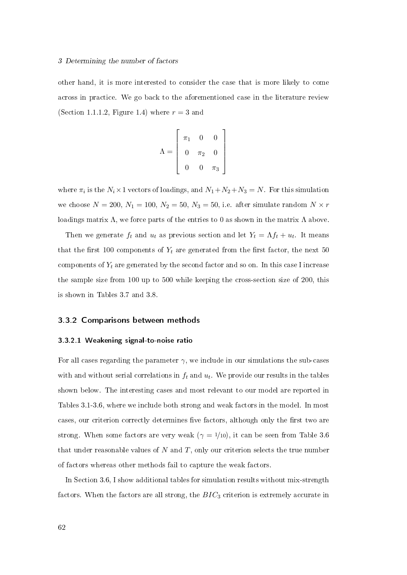#### 3 Determining the number of factors

other hand, it is more interested to consider the case that is more likely to come across in practice. We go back to the aforementioned case in the literature review (Section 1.1.1.2, Figure 1.4) where  $r = 3$  and

$$
\Lambda = \left[ \begin{array}{ccc} \pi_1 & 0 & 0 \\ 0 & \pi_2 & 0 \\ 0 & 0 & \pi_3 \end{array} \right]
$$

where  $\pi_i$  is the  $N_i \times 1$  vectors of loadings, and  $N_1 + N_2 + N_3 = N$ . For this simulation we choose  $N = 200$ ,  $N_1 = 100$ ,  $N_2 = 50$ ,  $N_3 = 50$ , i.e. after simulate random  $N \times r$ loadings matrix  $\Lambda$ , we force parts of the entries to 0 as shown in the matrix  $\Lambda$  above.

Then we generate  $f_t$  and  $u_t$  as previous section and let  $Y_t = \Lambda f_t + u_t$ . It means that the first 100 components of  $Y_t$  are generated from the first factor, the next 50 components of  $Y_t$  are generated by the second factor and so on. In this case I increase the sample size from 100 up to 500 while keeping the cross-section size of 200, this is shown in Tables 3.7 and 3.8.

# 3.3.2 Comparisons between methods

#### 3.3.2.1 Weakening signal-to-noise ratio

For all cases regarding the parameter  $\gamma$ , we include in our simulations the sub-cases with and without serial correlations in  $f_t$  and  $u_t$ . We provide our results in the tables shown below. The interesting cases and most relevant to our model are reported in Tables 3.1-3.6, where we include both strong and weak factors in the model. In most cases, our criterion correctly determines five factors, although only the first two are strong. When some factors are very weak  $(\gamma = 1/10)$ , it can be seen from Table 3.6 that under reasonable values of  $N$  and  $T$ , only our criterion selects the true number of factors whereas other methods fail to capture the weak factors.

In Section 3.6, I show additional tables for simulation results without mix-strength factors. When the factors are all strong, the  $BIC<sub>3</sub>$  criterion is extremely accurate in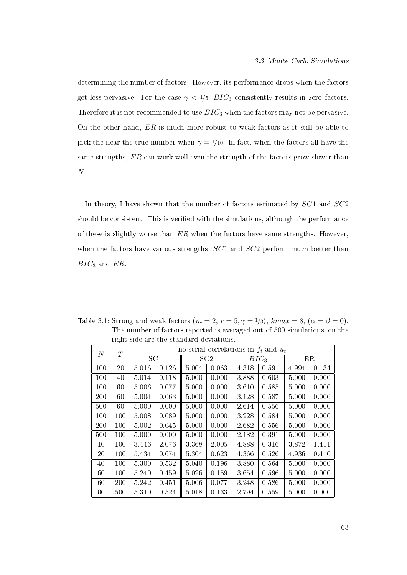determining the number of factors. However, its performance drops when the factors get less pervasive. For the case  $\gamma < 1/5$ ,  $BIC_3$  consistently results in zero factors. Therefore it is not recommended to use  $BIC<sub>3</sub>$  when the factors may not be pervasive. On the other hand,  $ER$  is much more robust to weak factors as it still be able to pick the near the true number when  $\gamma = 1/10$ . In fact, when the factors all have the same strengths, ER can work well even the strength of the factors grow slower than  $N$ .

In theory, I have shown that the number of factors estimated by  $SC1$  and  $SC2$ should be consistent. This is verified with the simulations, although the performance of these is slightly worse than  $ER$  when the factors have same strengths. However, when the factors have various strengths,  $SC1$  and  $SC2$  perform much better than  $BIC_3$  and  $ER$ .

| $\overline{N}$ | T   |                 | no serial correlations in $f_t$ and $u_t$ |       |       |         |       |       |       |  |  |  |
|----------------|-----|-----------------|-------------------------------------------|-------|-------|---------|-------|-------|-------|--|--|--|
|                |     | SC <sub>1</sub> |                                           |       | SC2   | $BIC_3$ |       | ER    |       |  |  |  |
| 100            | 20  | 5.016           | 0.126                                     | 5.004 | 0.063 | 4.318   | 0.591 | 4.994 | 0.134 |  |  |  |
| 100            | 40  | 5.014           | 0.118                                     | 5.000 | 0.000 | 3.888   | 0.603 | 5.000 | 0.000 |  |  |  |
| 100            | 60  | 5.006           | 0.077                                     | 5.000 | 0.000 | 3.610   | 0.585 | 5.000 | 0.000 |  |  |  |
| 200            | 60  | 5.004           | 0.063                                     | 5.000 | 0.000 | 3.128   | 0.587 | 5.000 | 0.000 |  |  |  |
| 500            | 60  | 5.000           | 0.000                                     | 5.000 | 0.000 | 2.614   | 0.556 | 5.000 | 0.000 |  |  |  |
| 100            | 100 | 5.008           | 0.089                                     | 5.000 | 0.000 | 3.228   | 0.584 | 5.000 | 0.000 |  |  |  |
| 200            | 100 | 5.002           | 0.045                                     | 5.000 | 0.000 | 2.682   | 0.556 | 5.000 | 0.000 |  |  |  |
| 500            | 100 | 5.000           | 0.000                                     | 5.000 | 0.000 | 2.182   | 0.391 | 5.000 | 0.000 |  |  |  |
| 10             | 100 | 3.446           | 2.076                                     | 3.368 | 2.005 | 4.888   | 0.316 | 3.872 | 1.411 |  |  |  |
| 20             | 100 | 5.434           | 0.674                                     | 5.304 | 0.623 | 4.366   | 0.526 | 4.936 | 0.410 |  |  |  |
| 40             | 100 | 5.300           | 0.532                                     | 5.040 | 0.196 | 3.880   | 0.564 | 5.000 | 0.000 |  |  |  |
| 60             | 100 | 5.240           | 0.459                                     | 5.026 | 0.159 | 3.654   | 0.596 | 5.000 | 0.000 |  |  |  |
| 60             | 200 | 5.242           | 0.451                                     | 5.006 | 0.077 | 3.248   | 0.586 | 5.000 | 0.000 |  |  |  |
| 60             | 500 | 5.310           | 0.524                                     | 5.018 | 0.133 | 2.794   | 0.559 | 5.000 | 0.000 |  |  |  |

Table 3.1: Strong and weak factors  $(m = 2, r = 5, \gamma = 1/3)$ , kma $x = 8$ ,  $(\alpha = \beta = 0)$ . The number of factors reported is averaged out of 500 simulations, on the right side are the standard deviations.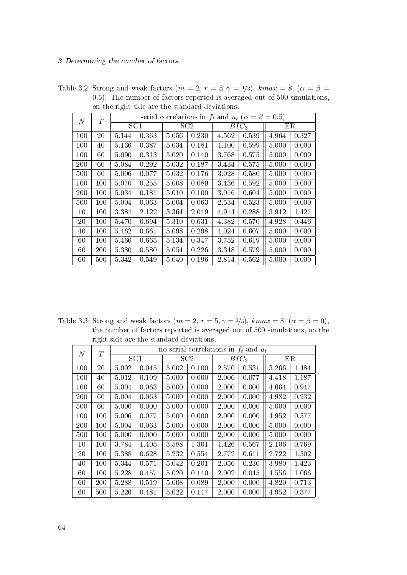| $\,N$ | T   |       |       | serial correlations in $f_t$ and $u_t$ ( $\alpha = \beta = 0.5$ ) |                 |       |         |       |       |  |
|-------|-----|-------|-------|-------------------------------------------------------------------|-----------------|-------|---------|-------|-------|--|
|       |     | SC1   |       |                                                                   | SC <sub>2</sub> |       | $BIC_3$ |       | ΕR    |  |
| 100   | 20  | 5.144 | 0.363 | 5.056                                                             | 0.230           | 4.562 | 0.539   | 4.964 | 0.327 |  |
| 100   | 40  | 5.136 | 0.387 | 5.034                                                             | 0.181           | 4.100 | 0.599   | 5.000 | 0.000 |  |
| 100   | 60  | 5.090 | 0.313 | 5.020                                                             | 0.140           | 3.768 | 0.575   | 5.000 | 0.000 |  |
| 200   | 60  | 5.084 | 0.292 | 5.032                                                             | 0.187           | 3.434 | 0.575   | 5.000 | 0.000 |  |
| 500   | 60  | 5.006 | 0.077 | 5.032                                                             | 0.176           | 3.028 | 0.580   | 5.000 | 0.000 |  |
| 100   | 100 | 5.070 | 0.255 | 5.008                                                             | 0.089           | 3.436 | 0.592   | 5.000 | 0.000 |  |
| 200   | 100 | 5.034 | 0.181 | 5.010                                                             | 0.100           | 3.016 | 0.604   | 5.000 | 0.000 |  |
| 500   | 100 | 5.004 | 0.063 | 5.004                                                             | 0.063           | 2.534 | 0.523   | 5.000 | 0.000 |  |
| 10    | 100 | 3.384 | 2.122 | 3.364                                                             | 2.049           | 4.914 | 0.288   | 3.912 | 1.427 |  |
| 20    | 100 | 5.470 | 0.694 | 5 3 1 0                                                           | 0.631           | 4.382 | 0.570   | 4.928 | 0.446 |  |
| 40    | 100 | 5.462 | 0.661 | 5.098                                                             | 0.298           | 4.024 | 0.607   | 5.000 | 0.000 |  |
| 60    | 100 | 5.466 | 0.665 | 5.134                                                             | 0.347           | 3.752 | 0.619   | 5.000 | 0.000 |  |
| 60    | 200 | 5.380 | 0.580 | 5.054                                                             | 0.226           | 3.348 | 0.579   | 5.000 | 0.000 |  |
| 60    | 500 | 5.342 | 0.549 | 5.040                                                             | 0.196           | 2.814 | 0.562   | 5.000 | 0.000 |  |

Table 3.2: Strong and weak factors  $(m = 2, r = 5, \gamma = 1/3)$ , kmax = 8,  $(\alpha = \beta = 1/3)$ .5). The number of factors reported is averaged out of 500 simulations, on the right side are the standard deviations.

Table 3.3: Strong and weak factors  $(m = 2, r = 5, \gamma = 1/5)$ , kma $x = 8$ ,  $(\alpha = \beta = 0)$ , the number of factors reported is averaged out of 500 simulations, on the right side are the standard deviations.

| $\,N$  | T               |       |       | no serial correlations in $f_t$ and $u_t$ |       |         |       |       |       |
|--------|-----------------|-------|-------|-------------------------------------------|-------|---------|-------|-------|-------|
|        | SC <sub>1</sub> |       |       | SC2                                       |       | $BIC_3$ |       | ER    |       |
| 100    | 20              | 5.002 | 0.045 | 5.002                                     | 0.100 | 2.570   | 0.531 | 3.266 | 1.484 |
| 100    | 40              | 5.012 | 0.109 | 5.000                                     | 0.000 | 2.006   | 0.077 | 4.418 | 1.187 |
| 100    | 60              | 5.004 | 0.063 | 5.000                                     | 0.000 | 2.000   | 0.000 | 4.664 | 0.947 |
| 200    | 60              | 5.004 | 0.063 | 5.000                                     | 0.000 | 2.000   | 0.000 | 4.982 | 0.232 |
| 500    | 60              | 5.000 | 0.000 | 5.000                                     | 0.000 | 2.000   | 0.000 | 5.000 | 0.000 |
| 100    | 100             | 5.006 | 0.077 | 5.000                                     | 0.000 | 2.000   | 0.000 | 4.952 | 0.377 |
| 200    | 100             | 5.004 | 0.063 | 5.000                                     | 0.000 | 2.000   | 0.000 | 5.000 | 0.000 |
| 500    | 100             | 5.000 | 0.000 | 5.000                                     | 0.000 | 2.000   | 0.000 | 5.000 | 0.000 |
| 10     | 100             | 3.784 | 1.405 | 3.588                                     | 1.301 | 4.426   | 0.567 | 2.106 | 0.769 |
| $20\,$ | 100             | 5.388 | 0.628 | 5.232                                     | 0.554 | 2.772   | 0.611 | 2.722 | 1302  |
| 40     | 100             | 5.344 | 0.571 | 5.042                                     | 0.201 | 2.056   | 0.230 | 3.980 | 1.423 |
| 60     | 100             | 5.228 | 0.457 | 5.020                                     | 0.140 | 2.002   | 0.045 | 4.556 | 1.066 |
| 60     | 200             | 5.288 | 0.519 | 5.008                                     | 0.089 | 2.000   | 0.000 | 4.820 | 0.713 |
| 60     | 500             | 5.226 | 0.481 | 5.022                                     | 0.147 | 2.000   | 0.000 | 4.952 | 0.377 |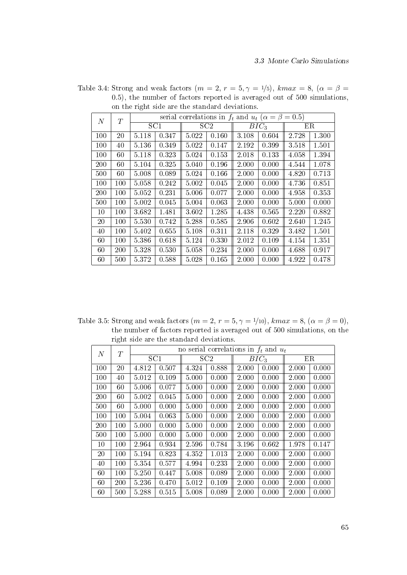| $\overline{N}$ | T   |         |       |       | serial correlations in $f_t$ and $u_t$ ( $\alpha = \beta = 0.5$ ) |       |         |       |       |  |  |
|----------------|-----|---------|-------|-------|-------------------------------------------------------------------|-------|---------|-------|-------|--|--|
|                |     |         | SC1   |       | SC2                                                               |       | $BIC_3$ |       | ΕR    |  |  |
| 100            | 20  | 5.118   | 0.347 | 5.022 | 0.160                                                             | 3.108 | 0.604   | 2.728 | 1.300 |  |  |
| 100            | 40  | 5.136   | 0.349 | 5.022 | 0.147                                                             | 2.192 | 0.399   | 3.518 | 1.501 |  |  |
| 100            | 60  | 5.118   | 0.323 | 5.024 | 0.153                                                             | 2.018 | 0.133   | 4.058 | 1.394 |  |  |
| 200            | 60  | 5.104   | 0.325 | 5.040 | 0.196                                                             | 2.000 | 0.000   | 4.544 | 1.078 |  |  |
| 500            | 60  | 5.008   | 0.089 | 5.024 | 0.166                                                             | 2.000 | 0.000   | 4.820 | 0.713 |  |  |
| 100            | 100 | 5.058   | 0.242 | 5.002 | 0.045                                                             | 2.000 | 0.000   | 4.736 | 0.851 |  |  |
| 200            | 100 | 5.052   | 0.231 | 5.006 | 0.077                                                             | 2.000 | 0.000   | 4.958 | 0.353 |  |  |
| 500            | 100 | 5.002   | 0.045 | 5.004 | 0.063                                                             | 2.000 | 0.000   | 5.000 | 0.000 |  |  |
| 10             | 100 | 3.682   | 1.481 | 3.602 | 1.285                                                             | 4.438 | 0.565   | 2.220 | 0.882 |  |  |
| 20             | 100 | 5.530   | 0.742 | 5.288 | 0.585                                                             | 2.906 | 0.602   | 2.640 | 1.245 |  |  |
| 40             | 100 | 5.402   | 0.655 | 5.108 | 0.311                                                             | 2.118 | 0.329   | 3.482 | 1.501 |  |  |
| 60             | 100 | 5.386   | 0.618 | 5.124 | 0.330                                                             | 2.012 | 0.109   | 4.154 | 1.351 |  |  |
| 60             | 200 | 5 3 2 8 | 0.530 | 5.058 | 0.234                                                             | 2.000 | 0.000   | 4.688 | 0.917 |  |  |
| 60             | 500 | 5.372   | 0.588 | 5.028 | 0.165                                                             | 2.000 | 0.000   | 4.922 | 0.478 |  |  |

Table 3.4: Strong and weak factors  $(m = 2, r = 5, \gamma = 1/5)$ ,  $kmax = 8$ ,  $(\alpha = \beta = 1/5)$ .5), the number of factors reported is averaged out of 500 simulations, on the right side are the standard deviations.

Table 3.5: Strong and weak factors  $(m = 2, r = 5, \gamma = 1/10)$ ,  $kmax = 8$ ,  $(\alpha = \beta = 0)$ , the number of factors reported is averaged out of 500 simulations, on the right side are the standard deviations.

| $\boldsymbol{N}$ | T   |       |       |       |                 | no serial correlations in $f_t$ and $u_t$ |                  |       |       |
|------------------|-----|-------|-------|-------|-----------------|-------------------------------------------|------------------|-------|-------|
|                  |     | SC1   |       |       | SC <sub>2</sub> |                                           | BIC <sub>3</sub> |       | ER    |
| 100              | 20  | 4.812 | 0.507 | 4.324 | 0.888           | 2.000                                     | 0.000            | 2.000 | 0.000 |
| 100              | 40  | 5.012 | 0.109 | 5.000 | 0.000           | 2.000                                     | 0.000            | 2.000 | 0.000 |
| 100              | 60  | 5.006 | 0.077 | 5.000 | 0.000           | 2.000                                     | 0.000            | 2.000 | 0.000 |
| 200              | 60  | 5.002 | 0.045 | 5.000 | 0.000           | 2.000                                     | 0.000            | 2.000 | 0.000 |
| 500              | 60  | 5.000 | 0.000 | 5.000 | 0.000           | 2.000                                     | 0.000            | 2.000 | 0.000 |
| 100              | 100 | 5.004 | 0.063 | 5.000 | 0.000           | 2.000                                     | 0.000            | 2.000 | 0.000 |
| 200              | 100 | 5.000 | 0.000 | 5.000 | 0.000           | 2.000                                     | 0.000            | 2.000 | 0.000 |
| 500              | 100 | 5.000 | 0.000 | 5.000 | 0.000           | 2.000                                     | 0.000            | 2.000 | 0.000 |
| 10               | 100 | 2.964 | 0.934 | 2.596 | 0.784           | 3.196                                     | 0.662            | 1.978 | 0.147 |
| 20               | 100 | 5.194 | 0.823 | 4.352 | 1.013           | 2.000                                     | 0.000            | 2.000 | 0.000 |
| 40               | 100 | 5.354 | 0.577 | 4.994 | 0.233           | 2.000                                     | 0.000            | 2.000 | 0.000 |
| 60               | 100 | 5.250 | 0.447 | 5.008 | 0.089           | 2.000                                     | 0.000            | 2.000 | 0.000 |
| 60               | 200 | 5.236 | 0.470 | 5.012 | 0.109           | 2.000                                     | 0.000            | 2.000 | 0.000 |
| 60               | 500 | 5.288 | 0.515 | 5.008 | 0.089           | 2.000                                     | 0.000            | 2.000 | 0.000 |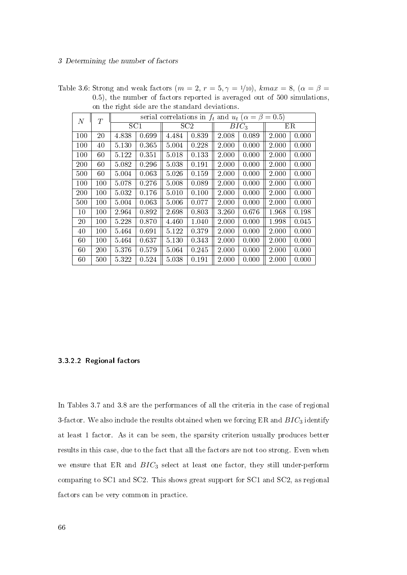| N   | T   |       |       | serial correlations in $f_t$ and $u_t$ ( $\alpha = \beta = 0.5$ ) |       |       |         |       |       |
|-----|-----|-------|-------|-------------------------------------------------------------------|-------|-------|---------|-------|-------|
|     |     |       | SC1   |                                                                   | SC2   |       | $BIC_3$ |       | ΕR    |
| 100 | 20  | 4.838 | 0.699 | 4.484                                                             | 0.839 | 2.008 | 0.089   | 2.000 | 0.000 |
| 100 | 40  | 5.130 | 0.365 | 5.004                                                             | 0.228 | 2.000 | 0.000   | 2.000 | 0.000 |
| 100 | 60  | 5.122 | 0.351 | 5.018                                                             | 0.133 | 2.000 | 0.000   | 2.000 | 0.000 |
| 200 | 60  | 5.082 | 0.296 | 5.038                                                             | 0.191 | 2.000 | 0.000   | 2.000 | 0.000 |
| 500 | 60  | 5.004 | 0.063 | 5.026                                                             | 0.159 | 2.000 | 0.000   | 2.000 | 0.000 |
| 100 | 100 | 5.078 | 0.276 | 5.008                                                             | 0.089 | 2.000 | 0.000   | 2.000 | 0.000 |
| 200 | 100 | 5.032 | 0.176 | 5.010                                                             | 0.100 | 2.000 | 0.000   | 2.000 | 0.000 |
| 500 | 100 | 5.004 | 0.063 | 5.006                                                             | 0.077 | 2.000 | 0.000   | 2.000 | 0.000 |
| 10  | 100 | 2.964 | 0.892 | 2.698                                                             | 0.803 | 3.260 | 0.676   | 1.968 | 0.198 |
| 20  | 100 | 5.228 | 0.870 | 4.460                                                             | 1.040 | 2.000 | 0.000   | 1.998 | 0.045 |
| 40  | 100 | 5.464 | 0.691 | 5.122                                                             | 0.379 | 2.000 | 0.000   | 2.000 | 0.000 |
| 60  | 100 | 5.464 | 0.637 | 5.130                                                             | 0.343 | 2.000 | 0.000   | 2.000 | 0.000 |
| 60  | 200 | 5.376 | 0.579 | 5.064                                                             | 0.245 | 2.000 | 0.000   | 2.000 | 0.000 |
| 60  | 500 | 5.322 | 0.524 | 5.038                                                             | 0.191 | 2.000 | 0.000   | 2.000 | 0.000 |

Table 3.6: Strong and weak factors  $(m = 2, r = 5, \gamma = 1/10)$ , kmax = 8,  $(\alpha = \beta = 1/10)$ 0.5), the number of factors reported is averaged out of 500 simulations, on the right side are the standard deviations.

### 3.3.2.2 Regional factors

In Tables 3.7 and 3.8 are the performances of all the criteria in the case of regional 3-factor. We also include the results obtained when we forcing ER and  $BIC_3$  identify at least 1 factor. As it can be seen, the sparsity criterion usually produces better results in this case, due to the fact that all the factors are not too strong. Even when we ensure that ER and  $BIC_3$  select at least one factor, they still under-perform comparing to SC1 and SC2. This shows great support for SC1 and SC2, as regional factors can be very common in practice.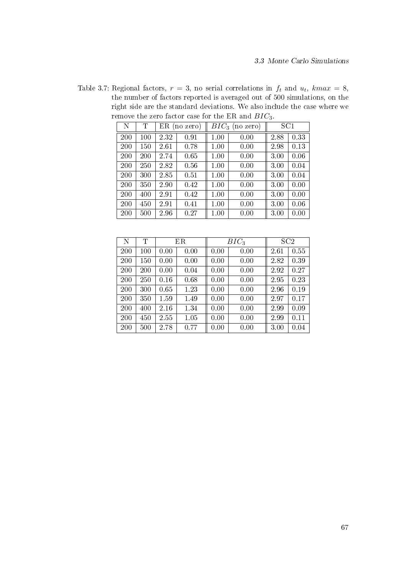Table 3.7: Regional factors,  $r = 3$ , no serial correlations in  $f_t$  and  $u_t$ ,  $kmax = 8$ , the number of factors reported is averaged out of 500 simulations, on the right side are the standard deviations. We also include the case where we remove the zero factor case for the ER and  $BIC_3$ .

| $\mathbf N$ | Т   | $ER$ (no zero) |      |      | $BIC_3$ (no zero) | SC1  |      |
|-------------|-----|----------------|------|------|-------------------|------|------|
| 200         | 100 | 2.32           | 0.91 | 1.00 | 0.00              | 2.88 | 0.33 |
| 200         | 150 | 2.61           | 0.78 | 1.00 | 0.00              | 2.98 | 0.13 |
| 200         | 200 | 2.74           | 0.65 | 1.00 | 0.00              | 3.00 | 0.06 |
| 200         | 250 | 2.82           | 0.56 | 1.00 | 0.00              | 3.00 | 0.04 |
| 200         | 300 | 2.85           | 0.51 | 1.00 | 0.00              | 3.00 | 0.04 |
| 200         | 350 | 2.90           | 0.42 | 1.00 | 0.00              | 3.00 | 0.00 |
| 200         | 400 | 2.91           | 0.42 | 1.00 | 0.00              | 3.00 | 0.00 |
| 200         | 450 | 2.91           | 0.41 | 1.00 | 0.00              | 3.00 | 0.06 |
| 200         | 500 | 2.96           | 0.27 | 1.00 | 0.00              | 3.00 | 0.00 |

| N   | T   | ER   |      | $BIC_3$ |      | SC2  |      |
|-----|-----|------|------|---------|------|------|------|
| 200 | 100 | 0.00 | 0.00 | 0.00    | 0.00 | 2.61 | 0.55 |
| 200 | 150 | 0.00 | 0.00 | 0.00    | 0.00 | 2.82 | 0.39 |
| 200 | 200 | 0.00 | 0.04 | 0.00    | 0.00 | 2.92 | 0.27 |
| 200 | 250 | 0.16 | 0.68 | 0.00    | 0.00 | 2.95 | 0.23 |
| 200 | 300 | 0.65 | 1.23 | 0.00    | 0.00 | 2.96 | 0.19 |
| 200 | 350 | 1.59 | 1.49 | 0.00    | 0.00 | 2.97 | 0.17 |
| 200 | 400 | 2.16 | 1.34 | 0.00    | 0.00 | 2.99 | 0.09 |
| 200 | 450 | 2.55 | 1.05 | 0.00    | 0.00 | 2.99 | 0.11 |
| 200 | 500 | 2.78 | 0.77 | 0.00    | 0.00 | 3.00 | 0.04 |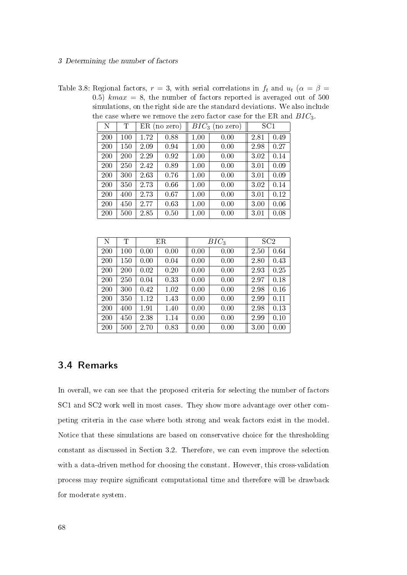Table 3.8: Regional factors,  $r = 3$ , with serial correlations in  $f_t$  and  $u_t$  ( $\alpha = \beta =$ 0.5)  $kmax = 8$ , the number of factors reported is averaged out of 500 simulations, on the right side are the standard deviations. We also include the case where we remove the zero factor case for the ER and  $BIC_3$ .

| N   | Т   |      | $ER$ (no zero) |          | $BIC_3$ (no zero) | SC1  |      |
|-----|-----|------|----------------|----------|-------------------|------|------|
| 200 | 100 | 1.72 | 0.88           | $1.00\,$ | 0.00              | 2.81 | 0.49 |
| 200 | 150 | 2.09 | 0.94           | 1.00     | 0.00              | 2.98 | 0.27 |
| 200 | 200 | 2.29 | 0.92           | 1.00     | 0.00              | 3.02 | 0.14 |
| 200 | 250 | 2.42 | 0.89           | 1.00     | 0.00              | 3.01 | 0.09 |
| 200 | 300 | 2.63 | 0.76           | 1.00     | 0.00              | 3.01 | 0.09 |
| 200 | 350 | 2.73 | 0.66           | 1.00     | 0.00              | 3.02 | 0.14 |
| 200 | 400 | 2.73 | 0.67           | 1.00     | 0.00              | 3.01 | 0.12 |
| 200 | 450 | 2.77 | 0.63           | 1.00     | 0.00              | 3.00 | 0.06 |
| 200 | 500 | 2.85 | 0.50           | 1.00     | 0.00              | 3.01 | 0.08 |

| N   | Τ   | ER   |      |      | $BIC_3$ |      | SC2  |
|-----|-----|------|------|------|---------|------|------|
| 200 | 100 | 0.00 | 0.00 | 0.00 | 0.00    | 2.50 | 0.64 |
| 200 | 150 | 0.00 | 0.04 | 0.00 | 0.00    | 2.80 | 0.43 |
| 200 | 200 | 0.02 | 0.20 | 0.00 | 0.00    | 2.93 | 0.25 |
| 200 | 250 | 0.04 | 0.33 | 0.00 | 0.00    | 2.97 | 0.18 |
| 200 | 300 | 0.42 | 1.02 | 0.00 | 0.00    | 2.98 | 0.16 |
| 200 | 350 | 1.12 | 1.43 | 0.00 | 0.00    | 2.99 | 0.11 |
| 200 | 400 | 1.91 | 1.40 | 0.00 | 0.00    | 2.98 | 0.13 |
| 200 | 450 | 2.38 | 1.14 | 0.00 | 0.00    | 2.99 | 0.10 |
| 200 | 500 | 2.70 | 0.83 | 0.00 | 0.00    | 3.00 | 0.00 |

# 3.4 Remarks

In overall, we can see that the proposed criteria for selecting the number of factors SC1 and SC2 work well in most cases. They show more advantage over other competing criteria in the case where both strong and weak factors exist in the model. Notice that these simulations are based on conservative choice for the thresholding constant as discussed in Section 3.2. Therefore, we can even improve the selection with a data-driven method for choosing the constant. However, this cross-validation process may require signicant computational time and therefore will be drawback for moderate system.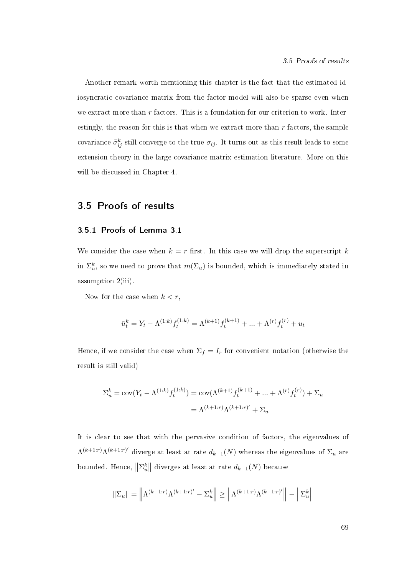Another remark worth mentioning this chapter is the fact that the estimated idiosyncratic covariance matrix from the factor model will also be sparse even when we extract more than  $r$  factors. This is a foundation for our criterion to work. Interestingly, the reason for this is that when we extract more than r factors, the sample covariance  $\tilde{\sigma}_{ij}^k$  still converge to the true  $\sigma_{ij}$ . It turns out as this result leads to some extension theory in the large covariance matrix estimation literature. More on this will be discussed in Chapter 4.

# 3.5 Proofs of results

### 3.5.1 Proofs of Lemma 3.1

We consider the case when  $k = r$  first. In this case we will drop the superscript k in  $\Sigma_u^k$ , so we need to prove that  $m(\Sigma_u)$  is bounded, which is immediately stated in assumption 2(iii).

Now for the case when  $k < r$ ,

$$
\tilde{u}_t^k = Y_t - \Lambda^{(1:k)} f_t^{(1:k)} = \Lambda^{(k+1)} f_t^{(k+1)} + \ldots + \Lambda^{(r)} f_t^{(r)} + u_t
$$

Hence, if we consider the case when  $\Sigma_f = I_r$  for convenient notation (otherwise the result is still valid)

$$
\Sigma_u^k = \text{cov}(Y_t - \Lambda^{(1:k)} f_t^{(1:k)}) = \text{cov}(\Lambda^{(k+1)} f_t^{(k+1)} + \dots + \Lambda^{(r)} f_t^{(r)}) + \Sigma_u
$$

$$
= \Lambda^{(k+1:r)} \Lambda^{(k+1:r)'} + \Sigma_u
$$

It is clear to see that with the pervasive condition of factors, the eigenvalues of  $\Lambda^{(k+1:r)}\Lambda^{(k+1:r)'}$  diverge at least at rate  $d_{k+1}(N)$  whereas the eigenvalues of  $\Sigma_u$  are bounded. Hence,  $\left\Vert \Sigma_{u}^{k}\right\Vert$  diverges at least at rate  $d_{k+1}(N)$  because

$$
\|\Sigma_u\| = \left\|\Lambda^{(k+1:r)}\Lambda^{(k+1:r)'} - \Sigma_u^k\right\| \ge \left\|\Lambda^{(k+1:r)}\Lambda^{(k+1:r)'}\right\| - \left\|\Sigma_u^k\right\|
$$

69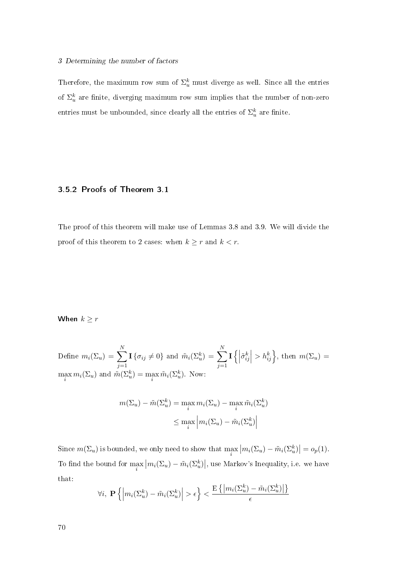### 3 Determining the number of factors

Therefore, the maximum row sum of  $\Sigma_u^k$  must diverge as well. Since all the entries of  $\Sigma_u^k$  are finite, diverging maximum row sum implies that the number of non-zero entries must be unbounded, since clearly all the entries of  $\Sigma_u^k$  are finite.

### 3.5.2 Proofs of Theorem 3.1

The proof of this theorem will make use of Lemmas 3.8 and 3.9. We will divide the proof of this theorem to 2 cases: when  $k \geq r$  and  $k < r$ .

# When  $k \geq r$

Define  $m_i(\Sigma_u) = \sum$ N  $j=1$  $\mathbf{I}\{\sigma_{ij}\neq 0\}$  and  $\tilde{m}_i(\Sigma_{u}^k) = \sum$ N  $j=1$  $\mathbf{I}\left\{\left|\right. \right.$  $\left. \tilde{\sigma}_{ij}^k \right| > h_{ij}^k$ , then  $m(\Sigma_u) =$  $\max_i m_i(\Sigma_u)$  and  $\tilde{m}(\Sigma_u^k) = \max_i \tilde{m}_i(\Sigma_u^k)$ . Now:

$$
m(\Sigma_u) - \tilde{m}(\Sigma_u^k) = \max_i m_i(\Sigma_u) - \max_i \tilde{m}_i(\Sigma_u^k)
$$

$$
\leq \max_i \left| m_i(\Sigma_u) - \tilde{m}_i(\Sigma_u^k) \right|
$$

Since  $m(\Sigma_u)$  is bounded, we only need to show that  $\max_i |m_i(\Sigma_u) - \tilde{m}_i(\Sigma_u^k)| = o_p(1)$ . To find the bound for  $\max_i |m_i(\Sigma_u) - \tilde{m}_i(\Sigma_u^k)|$ , use Markov's Inequality, i.e. we have that:

$$
\forall i, \ \mathbf{P}\left\{ \left| m_i(\Sigma_u^k) - \tilde{m}_i(\Sigma_u^k) \right| > \epsilon \right\} < \frac{\mathrm{E}\left\{ \left| m_i(\Sigma_u^k) - \tilde{m}_i(\Sigma_u^k) \right| \right\}}{\epsilon}
$$

70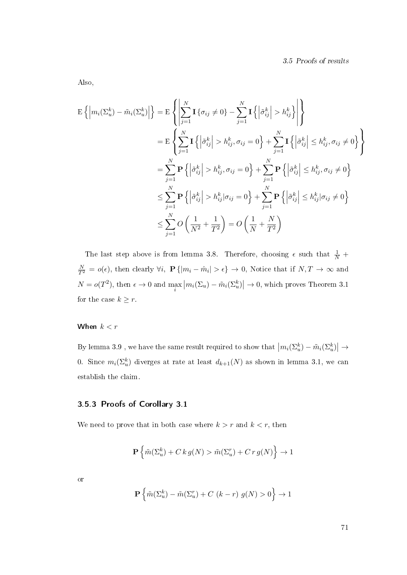Also,

$$
\mathbf{E}\left\{\left|m_i(\Sigma_u^k) - \tilde{m}_i(\Sigma_u^k)\right|\right\} = \mathbf{E}\left\{\left|\sum_{j=1}^N \mathbf{I}\left\{\sigma_{ij} \neq 0\right\} - \sum_{j=1}^N \mathbf{I}\left\{\left|\tilde{\sigma}_{ij}^k\right| > h_{ij}^k\right\}\right|\right\}
$$
\n
$$
= \mathbf{E}\left\{\sum_{j=1}^N \mathbf{I}\left\{\left|\tilde{\sigma}_{ij}^k\right| > h_{ij}^k, \sigma_{ij} = 0\right\} + \sum_{j=1}^N \mathbf{I}\left\{\left|\tilde{\sigma}_{ij}^k\right| \leq h_{ij}^k, \sigma_{ij} \neq 0\right\}\right\}
$$
\n
$$
= \sum_{j=1}^N \mathbf{P}\left\{\left|\tilde{\sigma}_{ij}^k\right| > h_{ij}^k, \sigma_{ij} = 0\right\} + \sum_{j=1}^N \mathbf{P}\left\{\left|\tilde{\sigma}_{ij}^k\right| \leq h_{ij}^k, \sigma_{ij} \neq 0\right\}
$$
\n
$$
\leq \sum_{j=1}^N \mathbf{P}\left\{\left|\tilde{\sigma}_{ij}^k\right| > h_{ij}^k | \sigma_{ij} = 0\right\} + \sum_{j=1}^N \mathbf{P}\left\{\left|\tilde{\sigma}_{ij}^k\right| \leq h_{ij}^k | \sigma_{ij} \neq 0\right\}
$$
\n
$$
\leq \sum_{j=1}^N O\left(\frac{1}{N^2} + \frac{1}{T^2}\right) = O\left(\frac{1}{N} + \frac{N}{T^2}\right)
$$

The last step above is from lemma 3.8. Therefore, choosing  $\epsilon$  such that  $\frac{1}{N}$  +  $\frac{N}{T^2} = o(\epsilon)$ , then clearly  $\forall i$ ,  $\mathbf{P} \{|m_i - \hat{m}_i| > \epsilon\} \to 0$ , Notice that if  $N, T \to \infty$  and  $N = o(T^2)$ , then  $\epsilon \to 0$  and  $\max_i |m_i(\Sigma_u) - \tilde{m}_i(\Sigma_u^k)| \to 0$ , which proves Theorem 3.1 for the case  $k \geq r$ .

# When  $k < r$

By lemma 3.9, we have the same result required to show that  $\left| m_i(\Sigma_u^k) - \tilde{m}_i(\Sigma_u^k) \right| \to$ 0. Since  $m_i(\Sigma^k_u)$  diverges at rate at least  $d_{k+1}(N)$  as shown in lemma 3.1, we can establish the claim.

# 3.5.3 Proofs of Corollary 3.1

We need to prove that in both case where  $k > r$  and  $k < r$ , then

$$
\mathbf{P}\left\{\tilde{m}(\Sigma_u^k) + C\,k\,g(N) > \tilde{m}(\Sigma_u^r) + C\,r\,g(N)\right\} \to 1
$$

or

$$
\mathbf{P}\left\{\tilde{m}(\Sigma_u^k) - \tilde{m}(\Sigma_u^r) + C\ (k-r)\ g(N) > 0\right\} \to 1
$$

71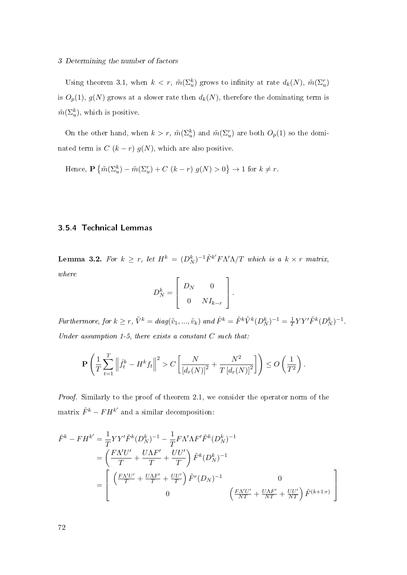#### 3 Determining the number of factors

Using theorem 3.1, when  $k < r$ ,  $\tilde{m}(\Sigma_u^k)$  grows to infinity at rate  $d_k(N)$ ,  $\tilde{m}(\Sigma_u^r)$ is  $O_p(1)$ ,  $g(N)$  grows at a slower rate then  $d_k(N)$ , therefore the dominating term is  $\tilde{m}(\Sigma_u^k)$ , which is positive.

On the other hand, when  $k > r$ ,  $\tilde{m}(\Sigma_u^k)$  and  $\tilde{m}(\Sigma_u^r)$  are both  $O_p(1)$  so the dominated term is  $C(k - r) g(N)$ , which are also positive.

Hence,  $\mathbf{P}\left\{\tilde{m}(\Sigma_{u}^{k})-\tilde{m}(\Sigma_{u}^{r})+C\,\left(k-r\right)\,g(N)>0\right\}\rightarrow1$  for  $k\neq r$ .

## 3.5.4 Technical Lemmas

Lemma 3.2. For  $k \geq r$ , let  $H^k = (D^k_N)^{-1} \tilde{F}^{k'} F \Lambda' \Lambda / T$  which is a  $k \times r$  matrix, where  $\mathsf{r}$ 

$$
D_N^k = \left[ \begin{array}{cc} D_N & 0 \\ 0 & NI_{k-r} \end{array} \right].
$$

Furthermore, for  $k \geq r$ ,  $\tilde{V}^k = diag(\tilde{v}_1, ..., \tilde{v}_k)$  and  $\hat{F}^k = \tilde{F}^k \tilde{V}^k (D_N^k)^{-1} = \frac{1}{T}$  $\frac{1}{T}YY'\tilde{F}^k(D_N^k)^{-1}.$ Under assumption 1-5, there exists a constant  $C$  such that:

$$
\mathbf{P}\left(\frac{1}{T}\sum_{t=1}^T \left\|\hat{f}_t^k - H^k f_t\right\|^2 > C\left[\frac{N}{\left[d_r(N)\right]^2} + \frac{N^2}{T\left[d_r(N)\right]^2}\right]\right) \le O\left(\frac{1}{T^2}\right).
$$

Proof. Similarly to the proof of theorem 2.1, we consider the operator norm of the matrix  $\hat{F}^k - FH^{k'}$  and a similar decomposition:

$$
\hat{F}^{k} - FH^{k'} = \frac{1}{T} YY' \tilde{F}^{k} (D_{N}^{k})^{-1} - \frac{1}{T} F \Lambda' \Lambda F' \tilde{F}^{k} (D_{N}^{k})^{-1}
$$
\n
$$
= \left( \frac{F \Lambda' U'}{T} + \frac{U \Lambda F'}{T} + \frac{U U'}{T} \right) \tilde{F}^{k} (D_{N}^{k})^{-1}
$$
\n
$$
= \left[ \frac{F \Lambda' U'}{T} + \frac{U \Lambda F'}{T} + \frac{U U'}{T} \right) \tilde{F}^{r} (D_{N})^{-1} \qquad 0
$$
\n
$$
\left( \frac{F \Lambda' U'}{NT} + \frac{U \Lambda F'}{NT} + \frac{U U'}{NT} \right) \tilde{F}^{(k+1:r)} \right]
$$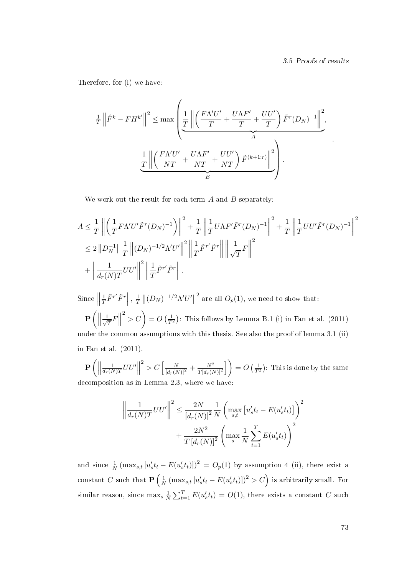.

Therefore, for (i) we have:

$$
\frac{1}{T} \left\| \hat{F}^{k} - FH^{k'} \right\|^{2} \leq \max \left( \underbrace{\frac{1}{T} \left\| \left( \frac{FN'U'}{T} + \frac{U\Lambda F'}{T} + \frac{UU'}{T} \right) \tilde{F}^{r}(D_{N})^{-1} \right\|^{2}}_{A}, \right)
$$
\n
$$
\frac{1}{T} \left\| \left( \frac{FN'U'}{NT} + \frac{U\Lambda F'}{NT} + \frac{UU'}{NT} \right) \tilde{F}^{(k+1:r)} \right\|^{2}}_{B} \right).
$$

We work out the result for each term  $A$  and  $B$  separately:

$$
A \leq \frac{1}{T} \left\| \left( \frac{1}{T} F \Lambda' U' \tilde{F}^r (D_N)^{-1} \right) \right\|^2 + \frac{1}{T} \left\| \frac{1}{T} U \Lambda F' \tilde{F}^r (D_N)^{-1} \right\|^2 + \frac{1}{T} \left\| \frac{1}{T} U U' \tilde{F}^r (D_N)^{-1} \right\|^2
$$
  

$$
\leq 2 \left\| D_N^{-1} \right\| \frac{1}{T} \left\| (D_N)^{-1/2} \Lambda' U' \right\|^2 \left\| \frac{1}{T} \tilde{F}^{r'} \tilde{F}^r \right\| \left\| \frac{1}{\sqrt{T}} F \right\|^2
$$
  

$$
+ \left\| \frac{1}{d_r(N)T} U U' \right\|^2 \left\| \frac{1}{T} \tilde{F}^{r'} \tilde{F}^r \right\|.
$$

 $\text{Since } \|\$ 1  $\frac{1}{T}\tilde{F}^{r'}\tilde{F}^r\bigg\|, \frac{1}{T}$  $\frac{1}{T}$   $||(D_N)^{-1/2}Λ'U'||$ <sup>2</sup> are all  $O_p(1)$ , we need to show that:  $\mathbf{P}\left(\left\Vert \frac{1}{\sqrt{\frac{2}{\sqrt{2}}}}\right\Vert \right)$  $\frac{1}{T}F\Big\|$  $\binom{2}{1}$  =  $O\left(\frac{1}{T^2}\right)$ : This follows by Lemma B.1 (i) in Fan et al. (2011) under the common assumptions with this thesis. See also the proof of lemma 3.1 (ii) in Fan et al. (2011).

 $\mathbf{P}\left(\bigg\Vert\right)$ 1  $\frac{1}{d_r(N)T}UU'\Big\|$  $\sum_{l}^{2} > C \left[ \frac{N}{[d_r(N)]^2} + \frac{N^2}{T[d_r(N)]^2} \right]$  $\overline{T[d_r(N)]^2}$  $\left[ \ \right] = O\left( \frac{1}{T^2} \right)$ : This is done by the same decomposition as in Lemma 2.3, where we have:

$$
\left\| \frac{1}{d_r(N)T} U U' \right\|^2 \le \frac{2N}{\left[d_r(N)\right]^2} \frac{1}{N} \left( \max_{s,t} \left[ u_s' t_t - E(u_s' t_t) \right] \right)^2
$$

$$
+ \frac{2N^2}{T \left[d_r(N)\right]^2} \left( \max_s \frac{1}{N} \sum_{t=1}^T E(u_s' t_t) \right)^2
$$

and since  $\frac{1}{N}$   $(\max_{s,t} [u'_s t_t - E(u'_s t_t)])^2 = O_p(1)$  by assumption 4 (ii), there exist a constant C such that  $P\left(\frac{1}{N}\right)$  $\frac{1}{N} \left( \max_{s,t} \left[ u_s' t_t - E(u_s' t_t) \right] \right)^2 > C$  is arbitrarily small. For similar reason, since  $\max_s \frac{1}{\Lambda}$  $\frac{1}{N} \sum_{t=1}^{T} E(u'_s t_t) = O(1)$ , there exists a constant C such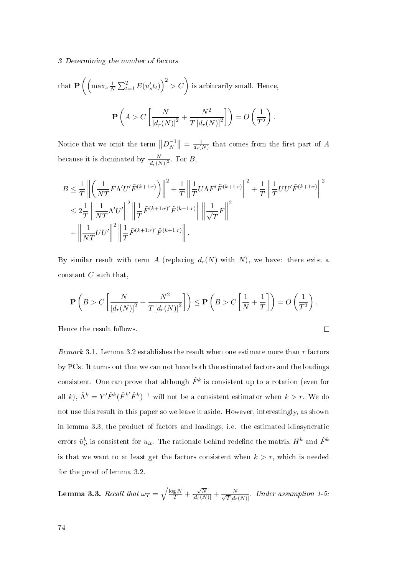#### 3 Determining the number of factors

that 
$$
\mathbf{P}\left(\left(\max_{s} \frac{1}{N} \sum_{t=1}^{T} E(u'_s t_t)\right)^2 > C\right)
$$
 is arbitrarily small. Hence,  

$$
\mathbf{P}\left(A > C\left[\frac{N}{\left[d_r(N)\right]^2} + \frac{N^2}{T\left[d_r(N)\right]^2}\right]\right) = O\left(\frac{1}{T^2}\right).
$$

Notice that we omit the term  $||D_N^{-1}||$  $\frac{-1}{N}$   $\Big\| = \frac{1}{d_r}$  $\frac{1}{d_r(N)}$  that comes from the first part of A because it is dominated by  $\frac{N}{[d_r(N)]^2}$ . For B,

$$
B \leq \frac{1}{T} \left\| \left( \frac{1}{NT} F\Lambda' U' \tilde{F}^{(k+1:r)} \right) \right\|^2 + \frac{1}{T} \left\| \frac{1}{T} U\Lambda F' \tilde{F}^{(k+1:r)} \right\|^2 + \frac{1}{T} \left\| \frac{1}{T} UU' \tilde{F}^{(k+1:r)} \right\|^2
$$
  

$$
\leq 2 \frac{1}{T} \left\| \frac{1}{NT} \Lambda' U' \right\|^2 \left\| \frac{1}{T} \tilde{F}^{(k+1:r)} \tilde{F}^{(k+1:r)} \right\| \left\| \frac{1}{\sqrt{T}} F \right\|^2
$$
  

$$
+ \left\| \frac{1}{NT} UU' \right\|^2 \left\| \frac{1}{T} \tilde{F}^{(k+1:r)} \tilde{F}^{(k+1:r)} \right\|.
$$

By similar result with term A (replacing  $d_r(N)$  with N), we have: there exist a constant  $C$  such that,

$$
\mathbf{P}\left(B > C\left[\frac{N}{\left[d_r(N)\right]^2} + \frac{N^2}{T\left[d_r(N)\right]^2}\right]\right) \le \mathbf{P}\left(B > C\left[\frac{1}{N} + \frac{1}{T}\right]\right) = O\left(\frac{1}{T^2}\right).
$$

 $\Box$ 

Hence the result follows.

Remark 3.1. Lemma 3.2 establishes the result when one estimate more than  $r$  factors by PCs. It turns out that we can not have both the estimated factors and the loadings consistent. One can prove that although  $\hat{F}^k$  is consistent up to a rotation (even for all k),  $\hat{\Lambda}^k = Y' \hat{F}^k (\hat{F}^{k'} \hat{F}^k)^{-1}$  will not be a consistent estimator when  $k > r$ . We do not use this result in this paper so we leave it aside. However, interestingly, as shown in lemma 3.3, the product of factors and loadings, i.e. the estimated idiosyncratic errors  $\tilde{u}_{it}^k$  is consistent for  $u_{it}$ . The rationale behind redefine the matrix  $H^k$  and  $\hat{F}^k$ is that we want to at least get the factors consistent when  $k > r$ , which is needed for the proof of lemma 3.2.

Lemma 3.3. Recall that  $\omega_T = \sqrt{\frac{\log N}{T}} +$  $\frac{\sqrt{N}}{[d_r(N)]} + \frac{N}{\sqrt{T}[d_r(N)]}$ . Under assumption 1-5.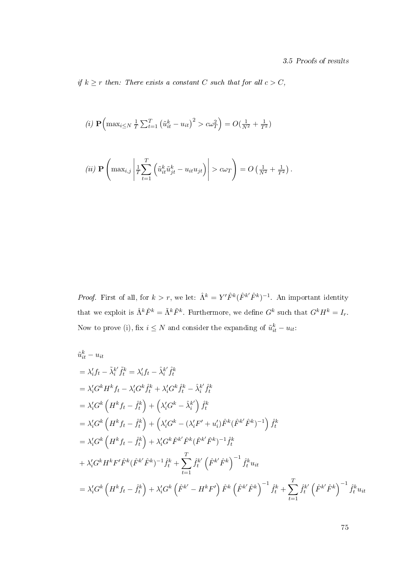if  $k \geq r$  then: There exists a constant C such that for all  $c > C$ ,

(i) 
$$
\mathbf{P}\left(\max_{i \leq N} \frac{1}{T} \sum_{t=1}^{T} (\tilde{u}_{it}^{k} - u_{it})^{2} > c\omega_{T}^{2}\right) = O(\frac{1}{N^{2}} + \frac{1}{T^{2}})
$$

$$
(ii) \mathbf{P}\left(\max_{i,j}\left|\frac{1}{T}\sum_{t=1}^T\left(\tilde{u}_{it}^k\tilde{u}_{jt}^k - u_{it}u_{jt}\right)\right| > c\omega_T\right) = O\left(\frac{1}{N^2} + \frac{1}{T^2}\right).
$$

*Proof.* First of all, for  $k > r$ , we let:  $\hat{\Lambda}^k = Y' \hat{F}^k (\hat{F}^{k'} \hat{F}^k)^{-1}$ . An important identity that we exploit is  $\hat{\Lambda}^k \hat{F}^k = \tilde{\Lambda}^k \tilde{F}^k$ . Furthermore, we define  $G^k$  such that  $G^k H^k = I_r$ . Now to prove (i), fix  $i \leq N$  and consider the expanding of  $\tilde{u}_{it}^k - u_{it}$ :

$$
\tilde{u}_{it}^{k} - u_{it}
$$
\n
$$
= \lambda_{i}'f_{t} - \tilde{\lambda}_{i}^{k'}\tilde{f}_{t}^{k} = \lambda_{i}'f_{t} - \hat{\lambda}_{i}^{k'}\hat{f}_{t}^{k}
$$
\n
$$
= \lambda_{i}'G^{k}H^{k}f_{t} - \lambda_{i}'G^{k}\hat{f}_{t}^{k} + \lambda_{i}'G^{k}\hat{f}_{t}^{k} - \hat{\lambda}_{i}^{k'}\hat{f}_{t}^{k}
$$
\n
$$
= \lambda_{i}'G^{k}\left(H^{k}f_{t} - \hat{f}_{t}^{k}\right) + \left(\lambda_{i}'G^{k} - \hat{\lambda}_{i}^{k'}\right)\hat{f}_{t}^{k}
$$
\n
$$
= \lambda_{i}'G^{k}\left(H^{k}f_{t} - \hat{f}_{t}^{k}\right) + \left(\lambda_{i}'G^{k} - (\lambda_{i}'F' + u_{i}')\hat{F}^{k}(\hat{F}^{k'}\hat{F}^{k})^{-1}\right)\hat{f}_{t}^{k}
$$
\n
$$
= \lambda_{i}'G^{k}\left(H^{k}f_{t} - \hat{f}_{t}^{k}\right) + \lambda_{i}'G^{k}\hat{F}^{k'}\hat{F}^{k}(\hat{F}^{k'}\hat{F}^{k})^{-1}\hat{f}_{t}^{k}
$$
\n
$$
+ \lambda_{i}'G^{k}H^{k}F'\hat{F}^{k}(\hat{F}^{k'}\hat{F}^{k})^{-1}\hat{f}_{t}^{k} + \sum_{t=1}^{T}\hat{f}_{t}^{k'}\left(\hat{F}^{k'}\hat{F}^{k}\right)^{-1}\hat{f}_{t}^{k}u_{it}
$$
\n
$$
= \lambda_{i}'G^{k}\left(H^{k}f_{t} - \hat{f}_{t}^{k}\right) + \lambda_{i}'G^{k}\left(\hat{F}^{k'} - H^{k}F'\right)\hat{F}^{k}\left(\hat{F}^{k'}\hat{F}^{k}\right)^{-1}\hat{f}_{t}^{k} + \sum_{t=1}^{T}\hat{f}_{t}^{k'}\left(\hat{F}^{k'}\hat{F}^{k}\right)^{-1}\hat{f}_{t}^{k}u_{it}
$$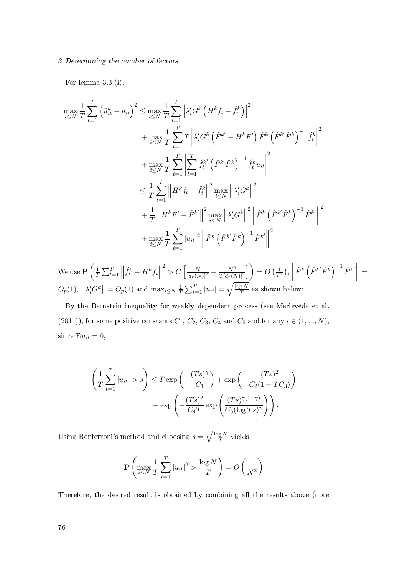#### 3 Determining the number of factors

For lemma 3.3 (i):

$$
\max_{i \leq N} \frac{1}{T} \sum_{t=1}^{T} \left( \tilde{u}_{it}^{k} - u_{it} \right)^{2} \leq \max_{i \leq N} \frac{1}{T} \sum_{t=1}^{T} \left| \lambda_{i}^{\prime} G^{k} \left( H^{k} f_{t} - \hat{f}_{t}^{k} \right) \right|^{2} \n+ \max_{i \leq N} \frac{1}{T} \sum_{t=1}^{T} T \left| \lambda_{i}^{\prime} G^{k} \left( \hat{F}^{k^{\prime}} - H^{k} F^{l} \right) \hat{F}^{k} \left( \hat{F}^{k^{\prime}} \hat{F}^{k} \right)^{-1} \hat{f}_{t}^{k} \right|^{2} \n+ \max_{i \leq N} \frac{1}{T} \sum_{t=1}^{T} \left| \sum_{t=1}^{T} \hat{f}_{t}^{k^{\prime}} \left( \hat{F}^{k^{\prime}} \hat{F}^{k} \right)^{-1} \hat{f}_{t}^{k} u_{it} \right|^{2} \n\leq \frac{1}{T} \sum_{t=1}^{T} \left| H^{k} f_{t} - \hat{f}_{t}^{k} \right|^{2} \max_{i \leq N} \left\| \lambda_{i}^{\prime} G^{k} \right\|^{2} \n+ \frac{1}{T} \left\| H^{k} F^{l} - \hat{F}^{k^{\prime}} \right\|^{2} \max_{i \leq N} \left\| \lambda_{i}^{\prime} G^{k} \right\|^{2} \left\| \hat{F}^{k} \left( \hat{F}^{k^{\prime}} \hat{F}^{k} \right)^{-1} \hat{F}^{k^{\prime}} \right\|^{2} \n+ \max_{i \leq N} \frac{1}{T} \sum_{t=1}^{T} |u_{it}|^{2} \left\| \hat{F}^{k} \left( \hat{F}^{k^{\prime}} \hat{F}^{k} \right)^{-1} \hat{F}^{k^{\prime}} \right\|^{2}
$$

We use  $\mathbf{P} \left( \frac{1}{7} \right)$  $\frac{1}{T}\sum_{t=1}^T$  $\hat{f}_t^k - H^k f_t$  $\sum_{l}^{2} > C \left[ \frac{N}{[d_r(N)]^2} + \frac{N^2}{T[d_r(N)]^2} \right]$  $\overline{T[d_r(N)]^2}$  $\Big|\Big) = O\left(\frac{1}{T^2}\right),$  $\begin{array}{c} \begin{array}{c} \begin{array}{c} \begin{array}{c} \end{array} \\ \end{array} \\ \begin{array}{c} \end{array} \end{array} \end{array} \end{array}$  $\left| \hat{F}^{k} \left( \hat{F}^{k'} \hat{F}^{k} \right)^{-1} \hat{F}^{k'} \right| \right| =$  $O_p(1)$ ,  $\left\|\lambda_i' G^k \right\| = O_p(1)$  and  $\max_{i \le N} \frac{1}{T}$  $\frac{1}{T}\sum_{t=1}^T |u_{it}| = \sqrt{\frac{\log N}{T}}$  $\frac{g N}{T}$  as shown below:

By the Bernstein inequality for weakly dependent process (see Merlevède et al. (2011)), for some positive constants  $C_1$ ,  $C_2$ ,  $C_3$ ,  $C_4$  and  $C_5$  and for any  $i \in (1, ..., N)$ , since  $E u_{it} = 0$ ,

$$
\left(\frac{1}{T}\sum_{t=1}^{T}|u_{it}| > s\right) \leq T \exp\left(-\frac{(Ts)^{\gamma}}{C_1}\right) + \exp\left(-\frac{(Ts)^2}{C_2(1+TC_3)}\right) + \exp\left(-\frac{(Ts)^2}{C_4T}\exp\left(\frac{(Ts)^{\gamma(1-\gamma)}}{C_5(\log Ts)^{\gamma}}\right)\right).
$$

Using Bonferroni's method and choosing  $s = \sqrt{\frac{\log N}{T}}$  $\frac{g N}{T}$  yields:

$$
\mathbf{P}\left(\max_{i\leq N} \frac{1}{T} \sum_{t=1}^{T} |u_{it}|^2 > \frac{\log N}{T}\right) = O\left(\frac{1}{N^2}\right)
$$

Therefore, the desired result is obtained by combining all the results above (note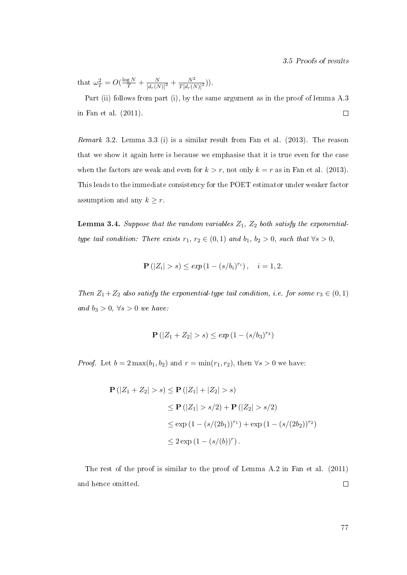that  $\omega_T^2 = O(\frac{\log N}{T} + \frac{N}{[d_r(N)]^2} + \frac{N^2}{T[d_r(N)]^2})$ .

Part (ii) follows from part (i), by the same argument as in the proof of lemma A.3 in Fan et al. (2011).  $\Box$ 

Remark 3.2. Lemma 3.3 (i) is a similar result from Fan et al. (2013). The reason that we show it again here is because we emphasise that it is true even for the case when the factors are weak and even for  $k > r$ , not only  $k = r$  as in Fan et al. (2013). This leads to the immediate consistency for the POET estimator under weaker factor assumption and any  $k \geq r$ .

**Lemma 3.4.** Suppose that the random variables  $Z_1$ ,  $Z_2$  both satisfy the exponentialtype tail condition: There exists  $r_1, r_2 \in (0, 1)$  and  $b_1, b_2 > 0$ , such that  $\forall s > 0$ ,

$$
\mathbf{P}(|Z_i| > s) \le \exp(1 - (s/b_i)^{r_i}), \quad i = 1, 2.
$$

Then  $Z_1 + Z_2$  also satisfy the exponential-type tail condition, i.e. for some  $r_3 \in (0,1)$ and  $b_3 > 0$ ,  $\forall s > 0$  we have:

$$
\mathbf{P}(|Z_1 + Z_2| > s) \le \exp(1 - (s/b_3)^{r_3})
$$

*Proof.* Let  $b = 2 \max(b_1, b_2)$  and  $r = \min(r_1, r_2)$ , then  $\forall s > 0$  we have:

$$
\mathbf{P}(|Z_1 + Z_2| > s) \le \mathbf{P}(|Z_1| + |Z_2| > s)
$$
  
\n
$$
\le \mathbf{P}(|Z_1| > s/2) + \mathbf{P}(|Z_2| > s/2)
$$
  
\n
$$
\le \exp(1 - (s/(2b_1))^{r_1}) + \exp(1 - (s/(2b_2))^{r_2})
$$
  
\n
$$
\le 2 \exp(1 - (s/(b))^r).
$$

The rest of the proof is similar to the proof of Lemma A.2 in Fan et al. (2011) and hence omitted.  $\Box$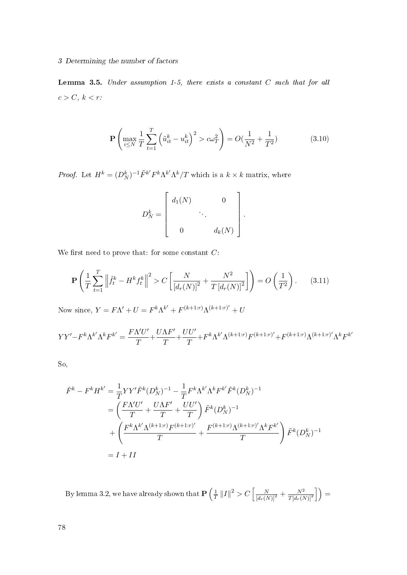#### 3 Determining the number of factors

Lemma 3.5. Under assumption 1-5, there exists a constant  $C$  such that for all  $c>C,\,k < r.$ 

$$
\mathbf{P}\left(\max_{i\leq N} \frac{1}{T} \sum_{t=1}^{T} \left(\tilde{u}_{it}^{k} - u_{it}^{k}\right)^{2} > c\omega_{T}^{2}\right) = O\left(\frac{1}{N^{2}} + \frac{1}{T^{2}}\right) \tag{3.10}
$$

*Proof.* Let  $H^k = (D_N^k)^{-1} \tilde{F}^{k'} F^k \Lambda^{k'} \Lambda^k / T$  which is a  $k \times k$  matrix, where

$$
D_N^k = \begin{bmatrix} d_1(N) & 0 \\ & \ddots & \\ 0 & d_k(N) \end{bmatrix}.
$$

We first need to prove that: for some constant  $C$ :

$$
\mathbf{P}\left(\frac{1}{T}\sum_{t=1}^{T} \left\|\hat{f}_t^k - H^k f_t^k\right\|^2 > C\left[\frac{N}{\left[d_r(N)\right]^2} + \frac{N^2}{T\left[d_r(N)\right]^2}\right]\right) = O\left(\frac{1}{T^2}\right). \tag{3.11}
$$

Now since,  $Y = F\Lambda' + U = F^k \Lambda^{k'} + F^{(k+1:r)} \Lambda^{(k+1:r)'} + U$ 

$$
YY'-F^{k}\Lambda^{k'}\Lambda^{k}F^{k'}=\frac{F\Lambda' U'}{T}+\frac{U\Lambda F'}{T}+\frac{UU'}{T}+F^{k}\Lambda^{k'}\Lambda^{(k+1:r)}F^{(k+1:r)'}+F^{(k+1:r)}\Lambda^{(k+1:r)'}\Lambda^{k}F^{k'}
$$

So,

$$
\hat{F}^{k} - F^{k} H^{k'} = \frac{1}{T} Y Y' \tilde{F}^{k} (D_{N}^{k})^{-1} - \frac{1}{T} F^{k} \Lambda^{k'} \Lambda^{k} F^{k'} \tilde{F}^{k} (D_{N}^{k})^{-1}
$$
\n
$$
= \left( \frac{F \Lambda' U'}{T} + \frac{U \Lambda F'}{T} + \frac{U U'}{T} \right) \tilde{F}^{k} (D_{N}^{k})^{-1}
$$
\n
$$
+ \left( \frac{F^{k} \Lambda^{k'} \Lambda^{(k+1:r)} F^{(k+1:r)}}{T} + \frac{F^{(k+1:r)} \Lambda^{(k+1:r)}}{T} \right) \tilde{F}^{k} (D_{N}^{k})^{-1}
$$
\n
$$
= I + II
$$

By lemma 3.2, we have already shown that  ${\bf P} \left(\frac{1}{7}\right)$  $\frac{1}{T}$   $||I||^2 > C \left[ \frac{N}{[d_r(N)]^2} + \frac{N^2}{T[d_r(N)]^2} \right]$  $\left.\frac{N^2}{T[d_r(N)]^2}\right]\bigg)=$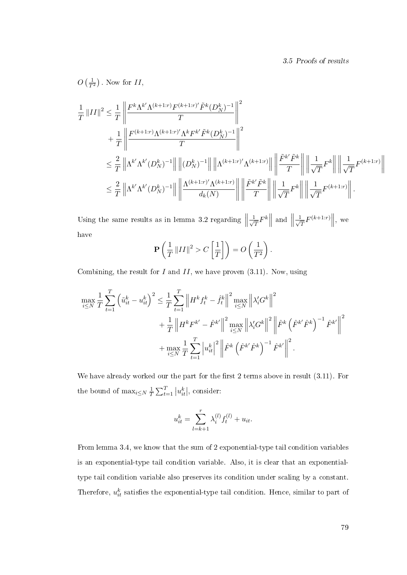$$
O\left(\frac{1}{T^2}\right)
$$
. Now for  $\Pi$ ,

$$
\frac{1}{T} ||II||^{2} \leq \frac{1}{T} \left\| \frac{F^{k} \Lambda^{k'} \Lambda^{(k+1:r)} F^{(k+1:r)'} \tilde{F}^{k} (D_{N}^{k})^{-1}}{T} \right\|^{2} \n+ \frac{1}{T} \left\| \frac{F^{(k+1:r)} \Lambda^{(k+1:r)'} \Lambda^{k} F^{k'} \tilde{F}^{k} (D_{N}^{k})^{-1}}{T} \right\|^{2} \n\leq \frac{2}{T} \left\| \Lambda^{k'} \Lambda^{k'} (D_{N}^{k})^{-1} \right\| ||(D_{N}^{k})^{-1}|| \left\| \Lambda^{(k+1:r)'} \Lambda^{(k+1:r)} \right\| \left\| \frac{\tilde{F}^{k'} \tilde{F}^{k}}{T} \right\| \left\| \frac{1}{\sqrt{T}} F^{k} \right\| \left\| \frac{1}{\sqrt{T}} F^{(k+1:r)} \right\| \n\leq \frac{2}{T} \left\| \Lambda^{k'} \Lambda^{k'} (D_{N}^{k})^{-1} \right\| \left\| \frac{\Lambda^{(k+1:r)'} \Lambda^{(k+1:r)}}{d_{k}(N)} \right\| \left\| \frac{\tilde{F}^{k'} \tilde{F}^{k}}{T} \right\| \left\| \frac{1}{\sqrt{T}} F^{k} \right\| \left\| \frac{1}{\sqrt{T}} F^{(k+1:r)} \right\|.
$$

Using the same results as in lemma 3.2 regarding  $\left\| \frac{1}{\sqrt{2}} \right\|$  $\frac{1}{T}F^k$ and  $\left\| \frac{1}{\sqrt{2}} \right\|$  $\frac{1}{\overline{T}}F^{(k+1:r)}\Big\|,$  we have

$$
\mathbf{P}\left(\frac{1}{T}\left\|II\right\|^2 > C\left[\frac{1}{T}\right]\right) = O\left(\frac{1}{T^2}\right).
$$

Combining, the result for  $I$  and  $II$ , we have proven  $(3.11)$ . Now, using

$$
\max_{i \leq N} \frac{1}{T} \sum_{t=1}^{T} \left( \tilde{u}_{it}^{k} - u_{it}^{k} \right)^{2} \leq \frac{1}{T} \sum_{t=1}^{T} \left\| H^{k} f_{t}^{k} - \hat{f}_{t}^{k} \right\|^{2} \max_{i \leq N} \left\| \lambda_{i}^{\prime} G^{k} \right\|^{2} + \frac{1}{T} \left\| H^{k} F^{k^{\prime}} - \hat{F}^{k^{\prime}} \right\|^{2} \max_{i \leq N} \left\| \lambda_{i}^{\prime} G^{k} \right\|^{2} \left\| \hat{F}^{k} \left( \hat{F}^{k^{\prime}} \hat{F}^{k} \right)^{-1} \hat{F}^{k^{\prime}} \right\|^{2} + \max_{i \leq N} \frac{1}{T} \sum_{t=1}^{T} \left| u_{it}^{k} \right|^{2} \left\| \hat{F}^{k} \left( \hat{F}^{k^{\prime}} \hat{F}^{k} \right)^{-1} \hat{F}^{k^{\prime}} \right\|^{2}.
$$

We have already worked our the part for the first 2 terms above in result  $(3.11)$ . For the bound of  $\max_{i \leq N} \frac{1}{\tau}$  $\frac{1}{T} \sum_{t=1}^{T} |u_{it}^k|$ , consider:

$$
u_{it}^k = \sum_{l=k+1}^r \lambda_i^{(l)} f_t^{(l)} + u_{it}.
$$

From lemma 3.4, we know that the sum of 2 exponential-type tail condition variables is an exponential-type tail condition variable. Also, it is clear that an exponentialtype tail condition variable also preserves its condition under scaling by a constant. Therefore,  $u_{it}^k$  satisfies the exponential-type tail condition. Hence, similar to part of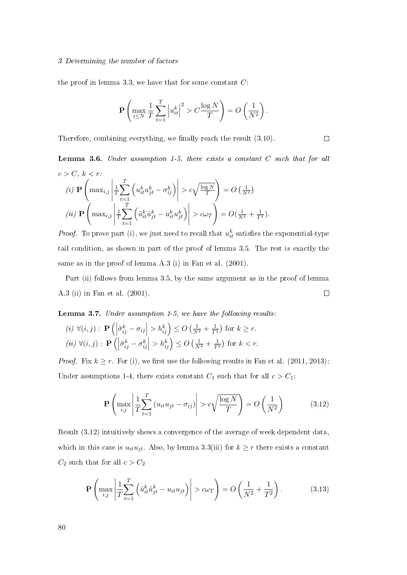#### 3 Determining the number of factors

the proof in lemma 3.3, we have that for some constant  $C$ :

$$
\mathbf{P}\left(\max_{i\leq N} \frac{1}{T} \sum_{t=1}^T \left|u_{it}^k\right|^2 > C \frac{\log N}{T}\right) = O\left(\frac{1}{N^2}\right).
$$

 $\Box$ 

Therefore, combining everything, we finally reach the result  $(3.10)$ .

**Lemma 3.6.** Under assumption 1-5, there exists a constant  $C$  such that for all  $c > C, k < r$ :

(i) 
$$
\mathbf{P}\left(\max_{i,j} \left|\frac{1}{T}\sum_{t=1}^T \left(u_{it}^k u_{jt}^k - \sigma_{ij}^k\right)\right| > c\sqrt{\frac{\log N}{T}}\right) = O\left(\frac{1}{N^2}\right)
$$
  
\n(ii)  $\mathbf{P}\left(\max_{i,j} \left|\frac{1}{T}\sum_{t=1}^T \left(\tilde{u}_{it}^k \tilde{u}_{jt}^k - u_{it}^k u_{jt}^k\right)\right| > c\omega_T\right) = O\left(\frac{1}{N^2} + \frac{1}{T^2}\right).$ 

*Proof.* To prove part (i), we just need to recall that  $u_{it}^k$  satisfies the exponential-type tail condition, as shown in part of the proof of lemma 3.5. The rest is exactly the same as in the proof of lemma A.3 (i) in Fan et al. (2001).

Part (ii) follows from lemma 3.5, by the same argument as in the proof of lemma A.3 (ii) in Fan et al. (2001).  $\Box$ 

Lemma 3.7. Under assumption 1-5, we have the following results:

$$
(i) \ \forall (i,j): \mathbf{P}\left(\left|\tilde{\sigma}_{ij}^k - \sigma_{ij}\right| > h_{ij}^k\right) \le O\left(\frac{1}{N^2} + \frac{1}{T^2}\right) \text{ for } k \ge r.
$$
\n
$$
(ii) \ \forall (i,j): \mathbf{P}\left(\left|\tilde{\sigma}_{ij}^k - \sigma_{ij}^k\right| > h_{ij}^k\right) \le O\left(\frac{1}{N^2} + \frac{1}{T^2}\right) \text{ for } k < r.
$$

*Proof.* Fix  $k \ge r$ . For (i), we first use the following results in Fan et al. (2011, 2013): Under assumptions 1-4, there exists constant  $C_1$  such that for all  $c > C_1$ :

$$
\mathbf{P}\left(\max_{i,j}\left|\frac{1}{T}\sum_{t=1}^{T}\left(u_{it}u_{jt}-\sigma_{ij}\right)\right|>c\sqrt{\frac{\log N}{T}}\right)=O\left(\frac{1}{N^2}\right)\tag{3.12}
$$

Result (3.12) intuitively shows a convergence of the average of week dependent data, which in this case is  $u_{it}u_{jt}$ . Also, by lemma 3.3(iii) for  $k \geq r$  there exists a constant  $C_2$  such that for all  $c > C_2$ 

$$
\mathbf{P}\left(\max_{i,j}\left|\frac{1}{T}\sum_{t=1}^{T}\left(\tilde{u}_{it}^{k}\tilde{u}_{jt}^{k}-u_{it}u_{jt}\right)\right|>\alpha\omega_{T}\right)=O\left(\frac{1}{N^{2}}+\frac{1}{T^{2}}\right).
$$
 (3.13)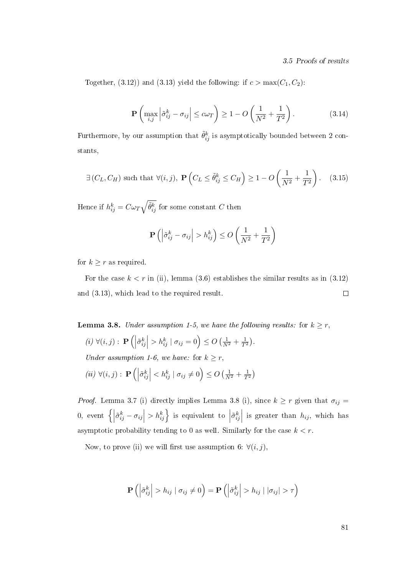3.5 Proofs of results

Together, (3.12)) and (3.13) yield the following: if  $c > max(C_1, C_2)$ :

$$
\mathbf{P}\left(\max_{i,j} \left|\tilde{\sigma}_{ij}^k - \sigma_{ij}\right| \le c\omega_T\right) \ge 1 - O\left(\frac{1}{N^2} + \frac{1}{T^2}\right). \tag{3.14}
$$

Furthermore, by our assumption that  $\tilde{\theta}_{ij}^k$  is asymptotically bounded between  $2$  constants,

$$
\exists (C_L, C_H) \text{ such that } \forall (i, j), \ \mathbf{P}\left(C_L \leq \tilde{\theta}_{ij}^k \leq C_H\right) \geq 1 - O\left(\frac{1}{N^2} + \frac{1}{T^2}\right). \tag{3.15}
$$

Hence if  $h_{ij}^k = C \omega_T \sqrt{\tilde{\theta}_{ij}^k}$  for some constant  $C$  then

$$
\mathbf{P}\left(\left|\tilde{\sigma}_{ij}^k - \sigma_{ij}\right| > h_{ij}^k\right) \le O\left(\frac{1}{N^2} + \frac{1}{T^2}\right)
$$

for  $k \geq r$  as required.

For the case  $k < r$  in (ii), lemma (3.6) establishes the similar results as in (3.12) and (3.13), which lead to the required result.  $\Box$ 

**Lemma 3.8.** Under assumption 1-5, we have the following results: for  $k \geq r$ ,

 $(i) \ \forall (i, j) : \mathbf{P} \left( \left| \right.$  $\left| \tilde{\sigma}_{ij}^{k} \right| > h_{ij}^{k} \mid \sigma_{ij} = 0 \right) \leq O\left( \frac{1}{N^2} + \frac{1}{T^2} \right).$ Under assumption 1-6, we have: for  $k \geq r$ ,  $(ii)$   $\forall (i, j) : \mathbf{P} \bigoplus$  $\left| \tilde{\sigma}_{ij}^{k} \right| < h_{ij}^{k} \mid \sigma_{ij} \neq 0$   $\left( \frac{1}{N^{2}} + \frac{1}{T^{2}} \right)$ 

*Proof.* Lemma 3.7 (i) directly implies Lemma 3.8 (i), since  $k \ge r$  given that  $\sigma_{ij} =$  $0,$  event  $\{$  $\left| \tilde{\sigma}_{ij}^{k} - \sigma_{ij} \right| > h_{ij}^{k}$  is equivalent to  $\left| \right|$  $\tilde{\sigma}_{ij}^k\Big|$  is greater than  $h_{ij}$ , which has asymptotic probability tending to 0 as well. Similarly for the case  $k < r$ .

Now, to prove (ii) we will first use assumption 6:  $\forall (i, j)$ ,

$$
\mathbf{P}\left(\left|\tilde{\sigma}_{ij}^{k}\right|>h_{ij}\mid\sigma_{ij}\neq0\right)=\mathbf{P}\left(\left|\tilde{\sigma}_{ij}^{k}\right|>h_{ij}\mid\left|\sigma_{ij}\right|>\tau\right)
$$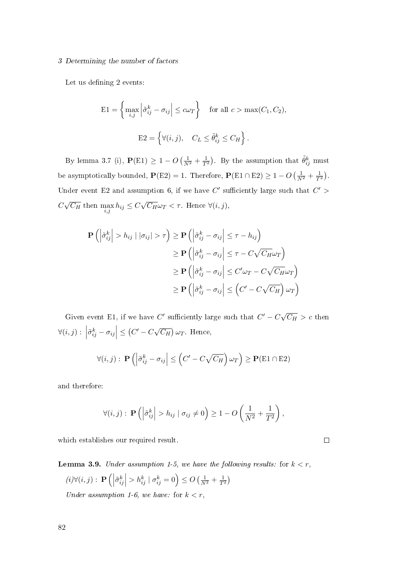#### 3 Determining the number of factors

Let us defining 2 events:

$$
E1 = \left\{ \max_{i,j} \left| \tilde{\sigma}_{ij}^k - \sigma_{ij} \right| \le c\omega_T \right\} \quad \text{for all } c > \max(C_1, C_2),
$$
  

$$
E2 = \left\{ \forall (i, j), \quad C_L \le \tilde{\theta}_{ij}^k \le C_H \right\}.
$$

By lemma 3.7 (i),  $\mathbf{P}(E1) \geq 1 - O\left(\frac{1}{N^2} + \frac{1}{T^2}\right)$ . By the assumption that  $\tilde{\theta}_{ij}^k$  must be asymptotically bounded,  $P(E2) = 1$ . Therefore,  $P(E1 \cap E2) \ge 1 - O\left(\frac{1}{N^2} + \frac{1}{T^2}\right)$ . Under event E2 and assumption 6, if we have  $C'$  sufficiently large such that  $C'$  >  $\mathcal{C}_{0}^{(n)}$ √  $\overline{C_H}$  then  $\max_{i,j} h_{ij} \leq C$ √  $\overline{C_H}\omega_T<\tau$  . Hence  $\forall (i,j),$ 

$$
\mathbf{P}\left(\left|\tilde{\sigma}_{ij}^{k}\right|>h_{ij}\mid|\sigma_{ij}|>\tau\right)\geq \mathbf{P}\left(\left|\tilde{\sigma}_{ij}^{k}-\sigma_{ij}\right|\leq\tau-h_{ij}\right)
$$
\n
$$
\geq \mathbf{P}\left(\left|\tilde{\sigma}_{ij}^{k}-\sigma_{ij}\right|\leq\tau-C\sqrt{C_{H}}\omega_{T}\right)
$$
\n
$$
\geq \mathbf{P}\left(\left|\tilde{\sigma}_{ij}^{k}-\sigma_{ij}\right|\leq C'\omega_{T}-C\sqrt{C_{H}}\omega_{T}\right)
$$
\n
$$
\geq \mathbf{P}\left(\left|\tilde{\sigma}_{ij}^{k}-\sigma_{ij}\right|\leq \left(C'-C\sqrt{C_{H}}\right)\omega_{T}\right)
$$

Given event E1, if we have C' sufficiently large such that  $C' - C \sqrt{ }$  $\overline{C_H}>c$  then  $\forall (i, j) : \Big\vert$  $\left| \tilde{\sigma}_{ij}^k - \sigma_{ij} \right| \leq \left( C' - C \sqrt{\sigma_{ij}} \right)$  $\overline{C_H}$ ) $\omega_T$  . Hence,

$$
\forall (i,j): \mathbf{P}\left(\left|\tilde{\sigma}_{ij}^k - \sigma_{ij}\right| \leq \left(C' - C\sqrt{C_H}\right)\omega_T\right) \geq \mathbf{P}(\text{E1} \cap \text{E2})
$$

and therefore:

$$
\forall (i,j): \mathbf{P}\left(\left|\tilde{\sigma}_{ij}^{k}\right| > h_{ij} \mid \sigma_{ij} \neq 0\right) \geq 1 - O\left(\frac{1}{N^2} + \frac{1}{T^2}\right),\
$$

 $\Box$ 

which establishes our required result.

**Lemma 3.9.** Under assumption 1-5, we have the following results: for 
$$
k < r
$$
,  
\n(*i*) $\forall$ (*i*, *j*) : **P**( $|\tilde{\sigma}_{ij}^k| > h_{ij}^k | \sigma_{ij}^k = 0$ )  $\leq O\left(\frac{1}{N^2} + \frac{1}{T^2}\right)$ 

Under assumption 1-6, we have: for  $k < r$ ,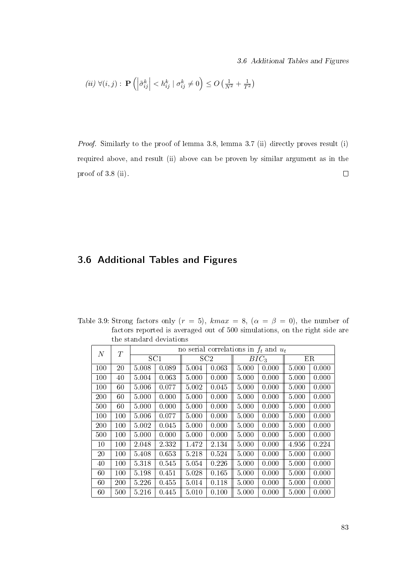$$
(ii) \ \forall (i,j): \ \mathbf{P}\left(\left|\tilde{\sigma}_{ij}^k\right| < h_{ij}^k \mid \sigma_{ij}^k \neq 0\right) \le O\left(\frac{1}{N^2} + \frac{1}{T^2}\right)
$$

Proof. Similarly to the proof of lemma 3.8, lemma 3.7 (ii) directly proves result (i) required above, and result (ii) above can be proven by similar argument as in the proof of 3.8 (ii).  $\Box$ 

# 3.6 Additional Tables and Figures

Table 3.9: Strong factors only  $(r = 5)$ ,  $kmax = 8$ ,  $(\alpha = \beta = 0)$ , the number of factors reported is averaged out of 500 simulations, on the right side are the standard deviations

| $\boldsymbol{N}$ | $\scriptstyle T$ |       |       |       | no serial correlations in $f_t$ and $u_t$ |                  |       |       |       |  |  |
|------------------|------------------|-------|-------|-------|-------------------------------------------|------------------|-------|-------|-------|--|--|
|                  |                  | SC1   |       | SC2   |                                           | BIC <sub>3</sub> |       | ΕR    |       |  |  |
| 100              | 20               | 5.008 | 0.089 | 5.004 | 0.063                                     | 5.000            | 0.000 | 5.000 | 0.000 |  |  |
| 100              | 40               | 5.004 | 0.063 | 5.000 | 0.000                                     | 5.000            | 0.000 | 5.000 | 0.000 |  |  |
| 100              | 60               | 5.006 | 0.077 | 5.002 | 0.045                                     | 5.000            | 0.000 | 5.000 | 0.000 |  |  |
| 200              | 60               | 5.000 | 0.000 | 5.000 | 0.000                                     | 5.000            | 0.000 | 5.000 | 0.000 |  |  |
| 500              | 60               | 5.000 | 0.000 | 5.000 | 0.000                                     | 5.000            | 0.000 | 5.000 | 0.000 |  |  |
| 100              | 100              | 5.006 | 0.077 | 5.000 | 0.000                                     | 5.000            | 0.000 | 5.000 | 0.000 |  |  |
| 200              | 100              | 5.002 | 0.045 | 5.000 | 0.000                                     | 5.000            | 0.000 | 5.000 | 0.000 |  |  |
| 500              | 100              | 5.000 | 0.000 | 5.000 | 0.000                                     | 5.000            | 0.000 | 5.000 | 0.000 |  |  |
| 10               | 100              | 2.048 | 2.332 | 1.472 | 2.134                                     | 5.000            | 0.000 | 4.956 | 0.224 |  |  |
| 20               | 100              | 5.408 | 0.653 | 5.218 | 0.524                                     | 5.000            | 0.000 | 5.000 | 0.000 |  |  |
| 40               | 100              | 5.318 | 0.545 | 5.054 | 0.226                                     | 5.000            | 0.000 | 5.000 | 0.000 |  |  |
| 60               | 100              | 5.198 | 0.451 | 5.028 | 0.165                                     | 5.000            | 0.000 | 5.000 | 0.000 |  |  |
| 60               | 200              | 5.226 | 0.455 | 5.014 | 0.118                                     | 5.000            | 0.000 | 5.000 | 0.000 |  |  |
| 60               | 500              | 5.216 | 0.445 | 5.010 | 0.100                                     | 5.000            | 0.000 | 5.000 | 0.000 |  |  |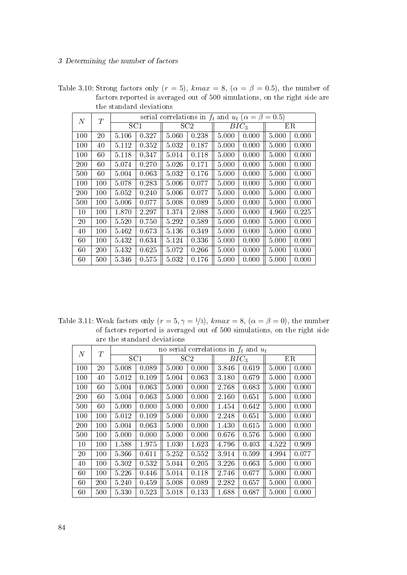Table 3.10: Strong factors only  $(r = 5)$ , kma $x = 8$ ,  $(\alpha = \beta = 0.5)$ , the number of factors reported is averaged out of 500 simulations, on the right side are the standard deviations

| $\,N$ | T       |       |       |       | serial correlations in $f_t$ and $u_t$ ( $\alpha = \beta = 0.5$ ) |       |         |       |             |
|-------|---------|-------|-------|-------|-------------------------------------------------------------------|-------|---------|-------|-------------|
|       |         | SC1   |       |       | SC2                                                               |       | $BIC_3$ |       | $_{\rm ER}$ |
| 100   | 20      | 5.106 | 0.327 | 5.060 | 0.238                                                             | 5.000 | 0.000   | 5.000 | 0.000       |
| 100   | 40      | 5.112 | 0.352 | 5.032 | 0.187                                                             | 5.000 | 0.000   | 5.000 | 0.000       |
| 100   | 60      | 5.118 | 0.347 | 5.014 | 0.118                                                             | 5.000 | 0.000   | 5.000 | 0.000       |
| 200   | 60      | 5.074 | 0.270 | 5.026 | 0.171                                                             | 5.000 | 0.000   | 5.000 | 0.000       |
| 500   | 60      | 5.004 | 0.063 | 5.032 | 0.176                                                             | 5.000 | 0.000   | 5.000 | 0.000       |
| 100   | 100     | 5.078 | 0.283 | 5.006 | 0.077                                                             | 5.000 | 0.000   | 5.000 | 0.000       |
| 200   | $100\,$ | 5.052 | 0.240 | 5.006 | 0.077                                                             | 5.000 | 0.000   | 5.000 | 0.000       |
| 500   | 100     | 5.006 | 0.077 | 5.008 | 0.089                                                             | 5.000 | 0.000   | 5.000 | 0.000       |
| 10    | 100     | 1.870 | 2.297 | 1.374 | 2.088                                                             | 5.000 | 0.000   | 4.960 | 0.225       |
| 20    | 100     | 5.520 | 0.750 | 5.292 | 0.589                                                             | 5.000 | 0.000   | 5.000 | 0.000       |
| 40    | 100     | 5.462 | 0.673 | 5.136 | 0.349                                                             | 5.000 | 0.000   | 5.000 | 0.000       |
| 60    | 100     | 5.432 | 0.634 | 5.124 | 0.336                                                             | 5.000 | 0.000   | 5.000 | 0.000       |
| 60    | 200     | 5.432 | 0.625 | 5.072 | 0.266                                                             | 5.000 | 0.000   | 5.000 | 0.000       |
| 60    | 500     | 5.346 | 0.575 | 5.032 | 0.176                                                             | 5.000 | 0.000   | 5.000 | 0.000       |

Table 3.11: Weak factors only  $(r = 5, \gamma = 1/3)$ ,  $kmax = 8$ ,  $(\alpha = \beta = 0)$ , the number of factors reported is averaged out of 500 simulations, on the right side are the standard deviations

| $\,N$ | T   |       |       | no serial correlations in $f_t$ and $u_t$ |       |         |       |       |       |
|-------|-----|-------|-------|-------------------------------------------|-------|---------|-------|-------|-------|
|       |     | SC1   |       | SC2                                       |       | $BIC_3$ |       |       | ER    |
| 100   | 20  | 5.008 | 0.089 | 5.000                                     | 0.000 | 3.846   | 0.619 | 5.000 | 0.000 |
| 100   | 40  | 5.012 | 0.109 | 5.004                                     | 0.063 | 3.180   | 0.679 | 5.000 | 0.000 |
| 100   | 60  | 5.004 | 0.063 | 5.000                                     | 0.000 | 2.768   | 0.683 | 5.000 | 0.000 |
| 200   | 60  | 5.004 | 0.063 | 5.000                                     | 0.000 | 2.160   | 0.651 | 5.000 | 0.000 |
| 500   | 60  | 5.000 | 0.000 | 5.000                                     | 0.000 | 1.454   | 0.642 | 5.000 | 0.000 |
| 100   | 100 | 5.012 | 0.109 | 5.000                                     | 0.000 | 2.248   | 0.651 | 5.000 | 0.000 |
| 200   | 100 | 5.004 | 0.063 | 5.000                                     | 0.000 | 1.430   | 0.615 | 5.000 | 0.000 |
| 500   | 100 | 5.000 | 0.000 | 5.000                                     | 0.000 | 0.676   | 0.576 | 5.000 | 0.000 |
| 10    | 100 | 1.588 | 1.975 | 1.030                                     | 1.623 | 4.796   | 0.403 | 4.522 | 0.909 |
| 20    | 100 | 5.366 | 0.611 | 5.252                                     | 0.552 | 3.914   | 0.599 | 4.994 | 0.077 |
| 40    | 100 | 5.302 | 0.532 | 5.044                                     | 0.205 | 3.226   | 0.663 | 5.000 | 0.000 |
| 60    | 100 | 5.226 | 0.446 | 5.014                                     | 0.118 | 2.746   | 0.677 | 5.000 | 0.000 |
| 60    | 200 | 5.240 | 0.459 | 5.008                                     | 0.089 | 2.282   | 0.657 | 5.000 | 0.000 |
| 60    | 500 | 5.330 | 0.523 | 5.018                                     | 0.133 | 1.688   | 0.687 | 5.000 | 0.000 |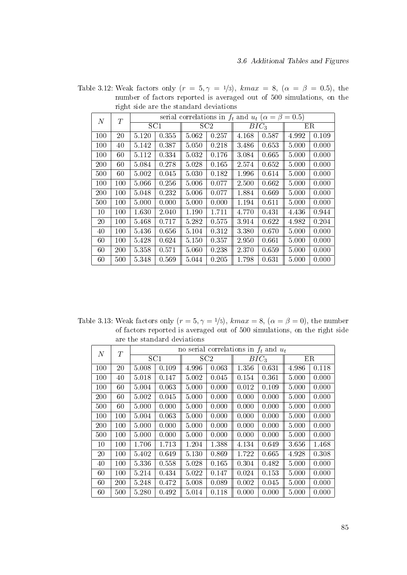| $\overline{N}$ | T   |       |       |           | serial correlations in $f_t$ and $u_t$ ( $\alpha = \beta = 0.5$ ) |                  |       |       |       |  |  |
|----------------|-----|-------|-------|-----------|-------------------------------------------------------------------|------------------|-------|-------|-------|--|--|
|                |     | SC1   |       |           | SC2                                                               | BIC <sub>3</sub> |       |       | ER    |  |  |
| 100            | 20  | 5.120 | 0.355 | 5.062     | 0.257                                                             | 4.168            | 0.587 | 4.992 | 0.109 |  |  |
| 100            | 40  | 5.142 | 0.387 | 5.050     | 0.218                                                             | 3.486            | 0.653 | 5.000 | 0.000 |  |  |
| 100            | 60  | 5.112 | 0.334 | 5.032     | 0.176                                                             | 3.084            | 0.665 | 5.000 | 0.000 |  |  |
| 200            | 60  | 5.084 | 0.278 | 5.028     | 0.165                                                             | 2.574            | 0.652 | 5.000 | 0.000 |  |  |
| 500            | 60  | 5.002 | 0.045 | 5.030     | 0.182                                                             | 1.996            | 0.614 | 5.000 | 0.000 |  |  |
| 100            | 100 | 5.066 | 0.256 | 5.006     | 0.077                                                             | 2.500            | 0.662 | 5.000 | 0.000 |  |  |
| 200            | 100 | 5.048 | 0.232 | 5.006     | 0.077                                                             | 1.884            | 0.669 | 5.000 | 0.000 |  |  |
| 500            | 100 | 5.000 | 0.000 | 5.000     | 0.000                                                             | 1.194            | 0.611 | 5.000 | 0.000 |  |  |
| 10             | 100 | 1.630 | 2.040 | 1.190     | 1.711                                                             | 4.770            | 0.431 | 4.436 | 0.944 |  |  |
| 20             | 100 | 5.468 | 0.717 | 5.282     | 0.575                                                             | 3.914            | 0.622 | 4.982 | 0.204 |  |  |
| 40             | 100 | 5.436 | 0.656 | $5.104\,$ | 0.312                                                             | 3.380            | 0.670 | 5.000 | 0.000 |  |  |
| 60             | 100 | 5.428 | 0.624 | 5.150     | 0.357                                                             | 2.950            | 0.661 | 5.000 | 0.000 |  |  |
| 60             | 200 | 5.358 | 0.571 | 5.060     | 0.238                                                             | 2.370            | 0.659 | 5.000 | 0.000 |  |  |
| 60             | 500 | 5.348 | 0.569 | 5.044     | 0.205                                                             | 1.798            | 0.631 | 5.000 | 0.000 |  |  |

Table 3.12: Weak factors only  $(r = 5, \gamma = 1/3)$ ,  $kmax = 8$ ,  $(\alpha = \beta = 0.5)$ , the number of factors reported is averaged out of 500 simulations, on the right side are the standard deviations

Table 3.13: Weak factors only  $(r = 5, \gamma = 1/5)$ , kmax = 8,  $(\alpha = \beta = 0)$ , the number of factors reported is averaged out of 500 simulations, on the right side are the standard deviations

| $\overline{N}$ | T   |       |       |       |                 | no serial correlations in $f_t$ and $u_t$ |                  |       |       |  |
|----------------|-----|-------|-------|-------|-----------------|-------------------------------------------|------------------|-------|-------|--|
|                |     | SC1   |       |       | SC <sub>2</sub> |                                           | BIC <sub>3</sub> |       | ER    |  |
| 100            | 20  | 5.008 | 0.109 | 4.996 | 0.063           | 1.356                                     | 0.631            | 4.986 | 0.118 |  |
| 100            | 40  | 5.018 | 0.147 | 5.002 | 0.045           | 0.154                                     | 0.361            | 5.000 | 0.000 |  |
| 100            | 60  | 5.004 | 0.063 | 5.000 | 0.000           | 0.012                                     | 0.109            | 5.000 | 0.000 |  |
| 200            | 60  | 5.002 | 0.045 | 5.000 | 0.000           | 0.000                                     | 0.000            | 5.000 | 0.000 |  |
| 500            | 60  | 5.000 | 0.000 | 5.000 | 0.000           | 0.000                                     | 0.000            | 5.000 | 0.000 |  |
| 100            | 100 | 5.004 | 0.063 | 5.000 | 0.000           | 0.000                                     | 0.000            | 5.000 | 0.000 |  |
| 200            | 100 | 5.000 | 0.000 | 5.000 | 0.000           | 0.000                                     | 0.000            | 5.000 | 0.000 |  |
| 500            | 100 | 5.000 | 0.000 | 5.000 | 0.000           | 0.000                                     | 0.000            | 5.000 | 0.000 |  |
| 10             | 100 | 1.706 | 1.713 | 1.204 | 1.388           | 4.134                                     | 0.649            | 3.656 | 1.468 |  |
| 20             | 100 | 5.402 | 0.649 | 5.130 | 0.869           | 1.722                                     | 0.665            | 4.928 | 0.308 |  |
| 40             | 100 | 5.336 | 0.558 | 5.028 | 0.165           | 0.304                                     | 0.482            | 5.000 | 0.000 |  |
| 60             | 100 | 5.214 | 0.434 | 5.022 | 0.147           | 0.024                                     | 0.153            | 5.000 | 0.000 |  |
| 60             | 200 | 5.248 | 0.472 | 5.008 | 0.089           | 0.002                                     | 0.045            | 5.000 | 0.000 |  |
| 60             | 500 | 5.280 | 0.492 | 5.014 | 0.118           | 0.000                                     | 0.000            | 5.000 | 0.000 |  |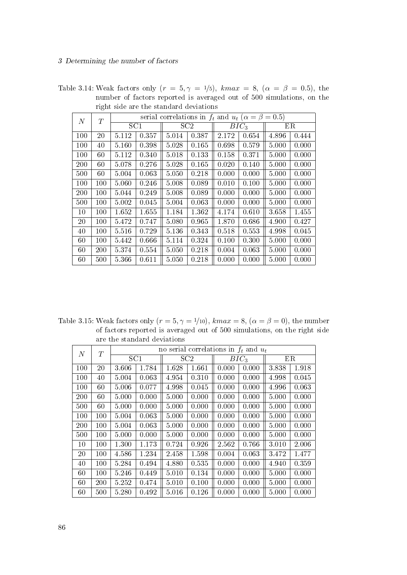Table 3.14: Weak factors only  $(r = 5, \gamma = 1/5)$ ,  $kmax = 8$ ,  $(\alpha = \beta = 0.5)$ , the number of factors reported is averaged out of 500 simulations, on the right side are the standard deviations

| $\,N$ | T   |       |       |       | serial correlations in $f_t$ and $u_t$ ( $\alpha = \beta = 0.5$ ) |         |       |       |       |
|-------|-----|-------|-------|-------|-------------------------------------------------------------------|---------|-------|-------|-------|
|       |     | SC1   |       |       | SC <sub>2</sub>                                                   | $BIC_3$ |       |       | ΕR    |
| 100   | 20  | 5.112 | 0.357 | 5.014 | 0.387                                                             | 2.172   | 0.654 | 4.896 | 0.444 |
| 100   | 40  | 5.160 | 0.398 | 5.028 | 0.165                                                             | 0.698   | 0.579 | 5.000 | 0.000 |
| 100   | 60  | 5.112 | 0.340 | 5.018 | 0.133                                                             | 0.158   | 0.371 | 5.000 | 0.000 |
| 200   | 60  | 5.078 | 0.276 | 5.028 | 0.165                                                             | 0.020   | 0.140 | 5.000 | 0.000 |
| 500   | 60  | 5.004 | 0.063 | 5.050 | 0.218                                                             | 0.000   | 0.000 | 5.000 | 0.000 |
| 100   | 100 | 5.060 | 0.246 | 5.008 | 0.089                                                             | 0.010   | 0.100 | 5.000 | 0.000 |
| 200   | 100 | 5.044 | 0.249 | 5.008 | 0.089                                                             | 0.000   | 0.000 | 5.000 | 0.000 |
| 500   | 100 | 5.002 | 0.045 | 5.004 | 0.063                                                             | 0.000   | 0.000 | 5.000 | 0.000 |
| 10    | 100 | 1.652 | 1.655 | 1.184 | 1.362                                                             | 4.174   | 0.610 | 3.658 | 1.455 |
| 20    | 100 | 5.472 | 0.747 | 5.080 | 0.965                                                             | 1.870   | 0.686 | 4.900 | 0.427 |
| 40    | 100 | 5.516 | 0.729 | 5.136 | 0.343                                                             | 0.518   | 0.553 | 4.998 | 0.045 |
| 60    | 100 | 5.442 | 0.666 | 5.114 | 0.324                                                             | 0.100   | 0.300 | 5.000 | 0.000 |
| 60    | 200 | 5.374 | 0.554 | 5.050 | 0.218                                                             | 0.004   | 0.063 | 5.000 | 0.000 |
| 60    | 500 | 5 366 | 0.611 | 5.050 | 0.218                                                             | 0.000   | 0.000 | 5.000 | 0.000 |

Table 3.15: Weak factors only  $(r = 5, \gamma = 1/10)$ ,  $kmax = 8$ ,  $(\alpha = \beta = 0)$ , the number of factors reported is averaged out of 500 simulations, on the right side are the standard deviations

| N   | T   |                 |         | no serial correlations in $f_t$ and $u_t$ |       |         |       |       |       |
|-----|-----|-----------------|---------|-------------------------------------------|-------|---------|-------|-------|-------|
|     |     | SC <sub>1</sub> |         |                                           | SC2   | $BIC_3$ |       | ER    |       |
| 100 | 20  | 3.606           | 1.784   | 1.628                                     | 1.661 | 0.000   | 0.000 | 3.838 | 1.918 |
| 100 | 40  | 5.004           | 0.063   | 4.954                                     | 0.310 | 0.000   | 0.000 | 4.998 | 0.045 |
| 100 | 60  | 5.006           | 0.077   | 4.998                                     | 0.045 | 0.000   | 0.000 | 4.996 | 0.063 |
| 200 | 60  | 5.000           | 0.000   | 5.000                                     | 0.000 | 0.000   | 0.000 | 5.000 | 0.000 |
| 500 | 60  | 5.000           | 0.000   | 5.000                                     | 0.000 | 0.000   | 0.000 | 5.000 | 0.000 |
| 100 | 100 | 5.004           | 0.063   | 5.000                                     | 0.000 | 0.000   | 0.000 | 5.000 | 0.000 |
| 200 | 100 | 5.004           | 0.063   | 5.000                                     | 0.000 | 0.000   | 0.000 | 5.000 | 0.000 |
| 500 | 100 | 5.000           | 0.000   | 5.000                                     | 0.000 | 0.000   | 0.000 | 5.000 | 0.000 |
| 10  | 100 | 1.300           | 1.173   | 0.724                                     | 0.926 | 2.562   | 0.766 | 3.010 | 2.006 |
| 20  | 100 | 4.586           | 1 2 3 4 | 2.458                                     | 1598  | 0.004   | 0.063 | 3.472 | 1.477 |
| 40  | 100 | 5.284           | 0.494   | 4.880                                     | 0.535 | 0.000   | 0.000 | 4.940 | 0.359 |
| 60  | 100 | 5.246           | 0.449   | 5.010                                     | 0.134 | 0.000   | 0.000 | 5.000 | 0.000 |
| 60  | 200 | 5.252           | 0.474   | 5.010                                     | 0.100 | 0.000   | 0.000 | 5.000 | 0.000 |
| 60  | 500 | 5.280           | 0.492   | 5.016                                     | 0.126 | 0.000   | 0.000 | 5.000 | 0.000 |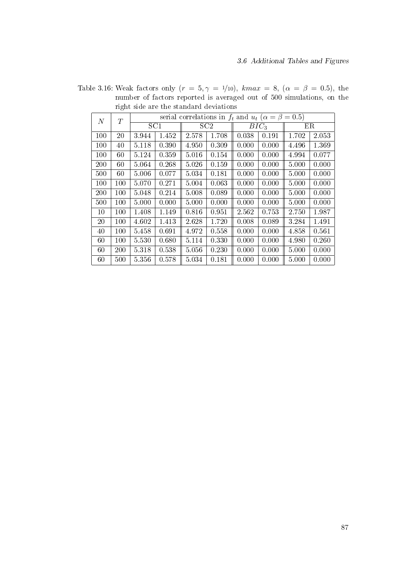|     |         |                 |       |       | serial correlations in $f_t$ and $u_t$ ( $\alpha = \beta = 0.5$ ) |       |                  |       |       |
|-----|---------|-----------------|-------|-------|-------------------------------------------------------------------|-------|------------------|-------|-------|
| N   | T       | SC <sub>1</sub> |       |       | SC2                                                               |       | BIC <sub>3</sub> |       | ER    |
| 100 | 20      | 3.944           | 1.452 | 2.578 | 1.708                                                             | 0.038 | 0.191            | 1.702 | 2.053 |
| 100 | 40      | 5.118           | 0.390 | 4.950 | 0.309                                                             | 0.000 | 0.000            | 4.496 | 1.369 |
| 100 | 60      | 5.124           | 0.359 | 5.016 | 0.154                                                             | 0.000 | 0.000            | 4.994 | 0.077 |
| 200 | 60      | 5.064           | 0.268 | 5.026 | 0.159                                                             | 0.000 | 0.000            | 5.000 | 0.000 |
| 500 | 60      | 5.006           | 0.077 | 5.034 | 0.181                                                             | 0.000 | 0.000            | 5.000 | 0.000 |
| 100 | 100     | 5.070           | 0.271 | 5.004 | 0.063                                                             | 0.000 | 0.000            | 5.000 | 0.000 |
| 200 | 100     | 5.048           | 0.214 | 5.008 | 0.089                                                             | 0.000 | 0.000            | 5.000 | 0.000 |
| 500 | 100     | 5.000           | 0.000 | 5.000 | 0.000                                                             | 0.000 | 0.000            | 5.000 | 0.000 |
| 10  | 100     | 1.408           | 1.149 | 0.816 | 0.951                                                             | 2.562 | 0.753            | 2.750 | 1.987 |
| 20  | $100\,$ | 4.602           | 1.413 | 2.628 | 1.720                                                             | 0.008 | 0.089            | 3.284 | 1.491 |
| 40  | 100     | 5.458           | 0.691 | 4.972 | 0.558                                                             | 0.000 | 0.000            | 4.858 | 0.561 |
| 60  | 100     | 5.530           | 0.680 | 5.114 | 0.330                                                             | 0.000 | 0.000            | 4.980 | 0.260 |
| 60  | 200     | 5.318           | 0.538 | 5.056 | 0.230                                                             | 0.000 | 0.000            | 5.000 | 0.000 |
| 60  | 500     | 5356            | 0.578 | 5.034 | 0.181                                                             | 0.000 | 0.000            | 5.000 | 0.000 |

Table 3.16: Weak factors only  $(r = 5, \gamma = 1/10)$ ,  $kmax = 8$ ,  $(\alpha = \beta = 0.5)$ , the number of factors reported is averaged out of 500 simulations, on the right side are the standard deviations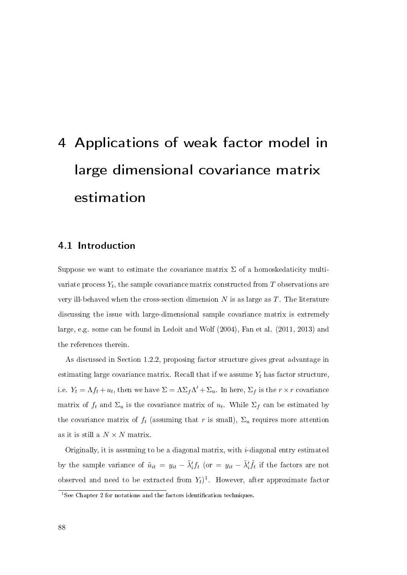# 4 Applications of weak factor model in large dimensional covariance matrix estimation

# 4.1 Introduction

Suppose we want to estimate the covariance matrix  $\Sigma$  of a homoskedaticity multivariate process  $Y_t$ , the sample covariance matrix constructed from  $T$  observations are very ill-behaved when the cross-section dimension  $N$  is as large as  $T$ . The literature discussing the issue with large-dimensional sample covariance matrix is extremely large, e.g. some can be found in Ledoit and Wolf (2004), Fan et al. (2011, 2013) and the references therein.

As discussed in Section 1.2.2, proposing factor structure gives great advantage in estimating large covariance matrix. Recall that if we assume  $Y_t$  has factor structure, i.e.  $Y_t = \Lambda f_t + u_t$ , then we have  $\Sigma = \Lambda \Sigma_f \Lambda' + \Sigma_u$ . In here,  $\Sigma_f$  is the  $r \times r$  covariance matrix of  $f_t$  and  $\Sigma_u$  is the covariance matrix of  $u_t$ . While  $\Sigma_f$  can be estimated by the covariance matrix of  $f_t$  (assuming that r is small),  $\Sigma_u$  requires more attention as it is still a  $N \times N$  matrix.

Originally, it is assuming to be a diagonal matrix, with i-diagonal entry estimated by the sample variance of  $\tilde{u}_{it} = y_{it} - \tilde{\lambda}'_i f_t$  (or  $= y_{it} - \tilde{\lambda}'_i \tilde{f}_t$  if the factors are not observed and need to be extracted from  $Y_t$ <sup>1</sup>. However, after approximate factor

 $1$ See Chapter 2 for notations and the factors identification techniques.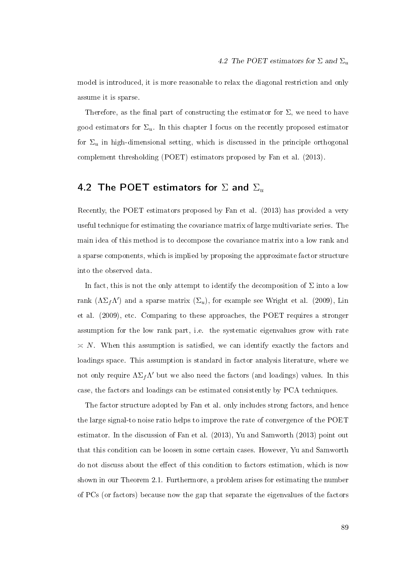model is introduced, it is more reasonable to relax the diagonal restriction and only assume it is sparse.

Therefore, as the final part of constructing the estimator for  $\Sigma$ , we need to have good estimators for  $\Sigma_u$ . In this chapter I focus on the recently proposed estimator for  $\Sigma_u$  in high-dimensional setting, which is discussed in the principle orthogonal complement thresholding (POET) estimators proposed by Fan et al. (2013).

# 4.2 The POET estimators for  $\Sigma$  and  $\Sigma_u$

Recently, the POET estimators proposed by Fan et al. (2013) has provided a very useful technique for estimating the covariance matrix of large multivariate series. The main idea of this method is to decompose the covariance matrix into a low rank and a sparse components, which is implied by proposing the approximate factor structure into the observed data.

In fact, this is not the only attempt to identify the decomposition of  $\Sigma$  into a low rank  $(\Lambda \Sigma_f \Lambda')$  and a sparse matrix  $(\Sigma_u)$ , for example see Wright et al. (2009), Lin et al. (2009), etc. Comparing to these approaches, the POET requires a stronger assumption for the low rank part, i.e. the systematic eigenvalues grow with rate  $\alpha \times N$ . When this assumption is satisfied, we can identify exactly the factors and loadings space. This assumption is standard in factor analysis literature, where we not only require  $\Lambda \Sigma_f \Lambda'$  but we also need the factors (and loadings) values. In this case, the factors and loadings can be estimated consistently by PCA techniques.

The factor structure adopted by Fan et al. only includes strong factors, and hence the large signal-to noise ratio helps to improve the rate of convergence of the POET estimator. In the discussion of Fan et al. (2013), Yu and Samworth (2013) point out that this condition can be loosen in some certain cases. However, Yu and Samworth do not discuss about the effect of this condition to factors estimation, which is now shown in our Theorem 2.1. Furthermore, a problem arises for estimating the number of PCs (or factors) because now the gap that separate the eigenvalues of the factors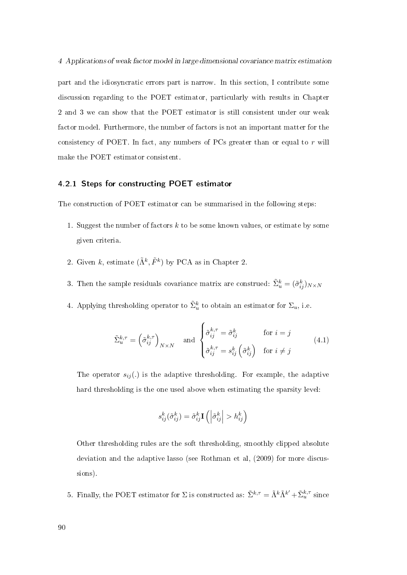part and the idiosyncratic errors part is narrow. In this section, I contribute some discussion regarding to the POET estimator, particularly with results in Chapter 2 and 3 we can show that the POET estimator is still consistent under our weak factor model. Furthermore, the number of factors is not an important matter for the consistency of POET. In fact, any numbers of PCs greater than or equal to  $r$  will make the POET estimator consistent.

#### 4.2.1 Steps for constructing POET estimator

The construction of POET estimator can be summarised in the following steps:

- 1. Suggest the number of factors k to be some known values, or estimate by some given criteria.
- 2. Given k, estimate  $(\tilde{\Lambda}^k, \tilde{F}^k)$  by PCA as in Chapter 2.
- 3. Then the sample residuals covariance matrix are construed:  $\tilde{\Sigma}_u^k = (\tilde{\sigma}_{ij}^k)_{N \times N}$
- 4. Applying thresholding operator to  $\tilde{\Sigma}^k_u$  to obtain an estimator for  $\Sigma_u$ , i.e.

$$
\tilde{\Sigma}_{u}^{k,\tau} = \left(\tilde{\sigma}_{ij}^{k,\tau}\right)_{N\times N} \quad \text{and} \quad \begin{cases} \tilde{\sigma}_{ij}^{k,\tau} = \tilde{\sigma}_{ij}^{k} & \text{for } i = j \\ \tilde{\sigma}_{ij}^{k,\tau} = s_{ij}^{k} \left(\tilde{\sigma}_{ij}^{k}\right) & \text{for } i \neq j \end{cases} \tag{4.1}
$$

The operator  $s_{ij}$ .) is the adaptive thresholding. For example, the adaptive hard thresholding is the one used above when estimating the sparsity level:

$$
s_{ij}^k(\tilde{\sigma}_{ij}^k) = \tilde{\sigma}_{ij}^k \mathbf{I}\left(\left|\tilde{\sigma}_{ij}^k\right| > h_{ij}^k\right)
$$

Other thresholding rules are the soft thresholding, smoothly clipped absolute deviation and the adaptive lasso (see Rothman et al, (2009) for more discussions).

5. Finally, the POET estimator for  $\Sigma$  is constructed as:  $\tilde{\Sigma}^{k,\tau} = \tilde{\Lambda}^k \tilde{\Lambda}^{k'} + \tilde{\Sigma}_u^{k,\tau}$  since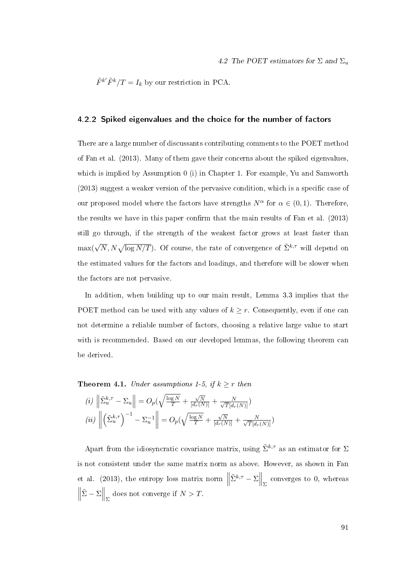$\tilde{F}^{k'}\tilde{F}^k/T = I_k$  by our restriction in PCA.

#### 4.2.2 Spiked eigenvalues and the choice for the number of factors

There are a large number of discussants contributing comments to the POET method of Fan et al. (2013). Many of them gave their concerns about the spiked eigenvalues, which is implied by Assumption 0 (i) in Chapter 1. For example, Yu and Samworth  $(2013)$  suggest a weaker version of the pervasive condition, which is a specific case of our proposed model where the factors have strengths  $N^{\alpha}$  for  $\alpha \in (0,1)$ . Therefore, the results we have in this paper confirm that the main results of Fan et al.  $(2013)$ still go through, if the strength of the weakest factor grows at least faster than  $\max(\sqrt{N}, N\sqrt{\log N/T})$ . Of course, the rate of convergence of  $\tilde{\Sigma}^{k,\tau}$  will depend on the estimated values for the factors and loadings, and therefore will be slower when the factors are not pervasive.

In addition, when building up to our main result, Lemma 3.3 implies that the POET method can be used with any values of  $k \geq r$ . Consequently, even if one can not determine a reliable number of factors, choosing a relative large value to start with is recommended. Based on our developed lemmas, the following theorem can be derived.

**Theorem 4.1.** Under assumptions 1-5, if  $k \geq r$  then

$$
(i) \left\| \tilde{\Sigma}_u^{k,\tau} - \Sigma_u \right\| = O_p(\sqrt{\frac{\log N}{T}} + \frac{\sqrt{N}}{[d_r(N)]} + \frac{N}{\sqrt{T}[d_r(N)]})
$$

$$
(ii) \left\| \left( \tilde{\Sigma}_u^{k,\tau} \right)^{-1} - \Sigma_u^{-1} \right\| = O_p(\sqrt{\frac{\log N}{T}} + \frac{\sqrt{N}}{[d_r(N)]} + \frac{N}{\sqrt{T}[d_r(N)]})
$$

Apart from the idiosyncratic covariance matrix, using  $\tilde{\Sigma}^{k,\tau}$  as an estimator for  $\Sigma$ is not consistent under the same matrix norm as above. However, as shown in Fan et al. (2013), the entropy loss matrix norm  $\parallel$  $\tilde{\Sigma}^{k,\tau} - \Sigma \Big\|_{\Sigma}$  converges to 0, whereas  $\begin{array}{c} \hline \end{array}$  $\tilde{\Sigma} - \Sigma \Big\|_{\Sigma}$  does not converge if  $N > T$ .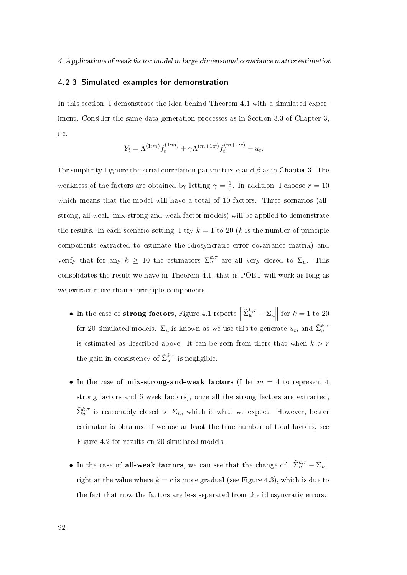#### 4.2.3 Simulated examples for demonstration

In this section, I demonstrate the idea behind Theorem 4.1 with a simulated experiment. Consider the same data generation processes as in Section 3.3 of Chapter 3, i.e.

$$
Y_t = \Lambda^{(1:m)} f_t^{(1:m)} + \gamma \Lambda^{(m+1:r)} f_t^{(m+1:r)} + u_t.
$$

For simplicity I ignore the serial correlation parameters  $\alpha$  and  $\beta$  as in Chapter 3. The weakness of the factors are obtained by letting  $\gamma = \frac{1}{5}$  $\frac{1}{5}$ . In addition, I choose  $r = 10$ which means that the model will have a total of 10 factors. Three scenarios (allstrong, all-weak, mix-strong-and-weak factor models) will be applied to demonstrate the results. In each scenario setting, I try  $k = 1$  to 20 (k is the number of principle components extracted to estimate the idiosyncratic error covariance matrix) and verify that for any  $k \geq 10$  the estimators  $\tilde{\Sigma}_u^{k,\tau}$  are all very closed to  $\Sigma_u$ . This consolidates the result we have in Theorem 4.1, that is POET will work as long as we extract more than r principle components.

- In the case of strong factors, Figure 4.1 reports  $\parallel$  $\left\| \sum_{u=1}^{k,\tau} -\sum_{u=1}^{k} \right\|$ for  $k = 1$  to 20 for 20 simulated models.  $\Sigma_u$  is known as we use this to generate  $u_t$ , and  $\tilde{\Sigma}_u^{k,\tau}$ is estimated as described above. It can be seen from there that when  $k > r$ the gain in consistency of  $\tilde{\Sigma}_u^{k,\tau}$  is negligible.
- In the case of mix-strong-and-weak factors (I let  $m = 4$  to represent 4 strong factors and 6 week factors), once all the strong factors are extracted,  $\tilde{\Sigma}_u^{k,\tau}$  is reasonably closed to  $\Sigma_u$ , which is what we expect. However, better estimator is obtained if we use at least the true number of total factors, see Figure 4.2 for results on 20 simulated models.
- In the case of all-weak factors, we can see that the change of  $\parallel$  $\tilde{\Sigma}_u^{k,\tau} - \Sigma_u$ right at the value where  $k = r$  is more gradual (see Figure 4.3), which is due to the fact that now the factors are less separated from the idiosyncratic errors.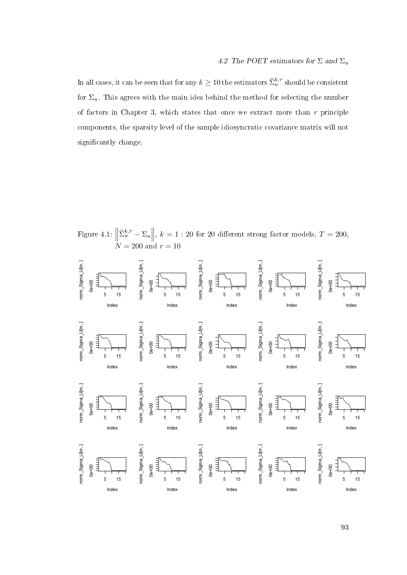In all cases, it can be seen that for any  $k\geq 10$  the estimators  $\tilde \Sigma^{k, \tau}_u$  should be consistent for  $\Sigma_u$ . This agrees with the main idea behind the method for selecting the number of factors in Chapter 3, which states that once we extract more than  $r$  principle components, the sparsity level of the sample idiosyncratic covariance matrix will not significantly change.

Figure 4.1:  $\parallel$  $\tilde{\Sigma}_u^{k,\tau} - \Sigma_u \Big\|, k = 1 : 20$  for 20 different strong factor models,  $T = 200$ ,  $\stackrel{\ldots}{N} = 200$  and  $r = 10$ 

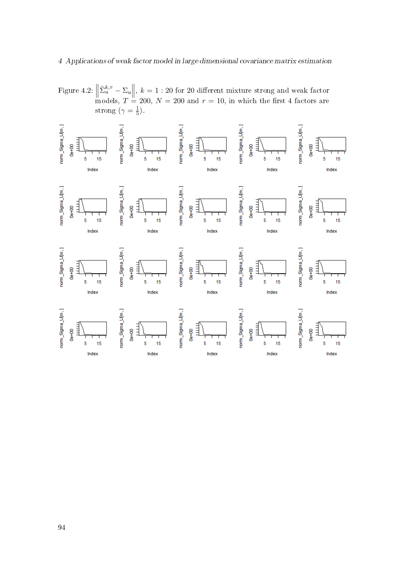#### 4 Applications of weak factor model in large dimensional covariance matrix estimation

Figure 4.2:  $\parallel$  $\left\| \tilde{\Sigma}_u^{k,\tau} - \Sigma_u \right\|, k = 1:20$  for 20 different mixture strong and weak factor models,  $T = 200, N = 200$  and  $r = 10$ , in which the first 4 factors are strong ( $\gamma = \frac{1}{5}$  $\frac{1}{5}$ ).

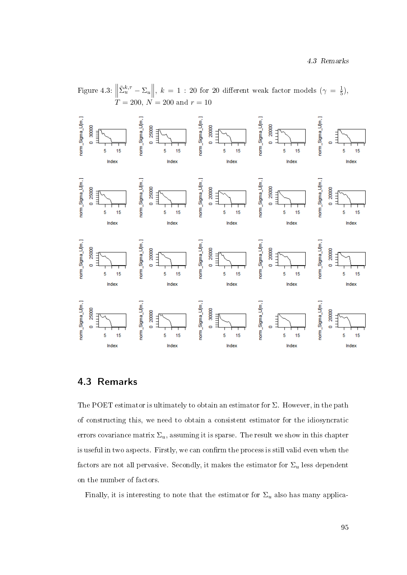

# 4.3 Remarks

The POET estimator is ultimately to obtain an estimator for  $\Sigma$ . However, in the path of constructing this, we need to obtain a consistent estimator for the idiosyncratic errors covariance matrix  $\Sigma_u$ , assuming it is sparse. The result we show in this chapter is useful in two aspects. Firstly, we can confirm the process is still valid even when the factors are not all pervasive. Secondly, it makes the estimator for  $\Sigma_u$  less dependent on the number of factors.

Finally, it is interesting to note that the estimator for  $\Sigma_u$  also has many applica-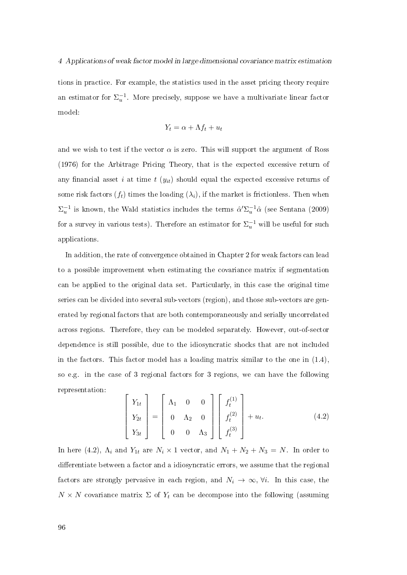tions in practice. For example, the statistics used in the asset pricing theory require an estimator for  $\Sigma_u^{-1}$ . More precisely, suppose we have a multivariate linear factor model:

$$
Y_t = \alpha + \Lambda f_t + u_t
$$

and we wish to test if the vector  $\alpha$  is zero. This will support the argument of Ross (1976) for the Arbitrage Pricing Theory, that is the expected excessive return of any financial asset i at time t  $(y_{it})$  should equal the expected excessive returns of some risk factors  $(f_t)$  times the loading  $(\lambda_i)$ , if the market is frictionless. Then when  $\Sigma_u^{-1}$  is known, the Wald statistics includes the terms  $\hat{\alpha}'\Sigma_u^{-1}\hat{\alpha}$  (see Sentana (2009) for a survey in various tests). Therefore an estimator for  $\Sigma_u^{-1}$  will be useful for such applications.

In addition, the rate of convergence obtained in Chapter 2 for weak factors can lead to a possible improvement when estimating the covariance matrix if segmentation can be applied to the original data set. Particularly, in this case the original time series can be divided into several sub-vectors (region), and those sub-vectors are generated by regional factors that are both contemporaneously and serially uncorrelated across regions. Therefore, they can be modeled separately. However, out-of-sector dependence is still possible, due to the idiosyncratic shocks that are not included in the factors. This factor model has a loading matrix similar to the one in  $(1.4)$ , so e.g. in the case of 3 regional factors for 3 regions, we can have the following representation:

$$
\begin{bmatrix} Y_{1t} \\ Y_{2t} \\ Y_{3t} \end{bmatrix} = \begin{bmatrix} \Lambda_1 & 0 & 0 \\ 0 & \Lambda_2 & 0 \\ 0 & 0 & \Lambda_3 \end{bmatrix} \begin{bmatrix} f_t^{(1)} \\ f_t^{(2)} \\ f_t^{(3)} \end{bmatrix} + u_t.
$$
 (4.2)

In here (4.2),  $\Lambda_i$  and  $Y_{1t}$  are  $N_i \times 1$  vector, and  $N_1 + N_2 + N_3 = N$ . In order to differentiate between a factor and a idiosyncratic errors, we assume that the regional factors are strongly pervasive in each region, and  $N_i \to \infty$ ,  $\forall i$ . In this case, the  $N \times N$  covariance matrix  $\Sigma$  of  $Y_t$  can be decompose into the following (assuming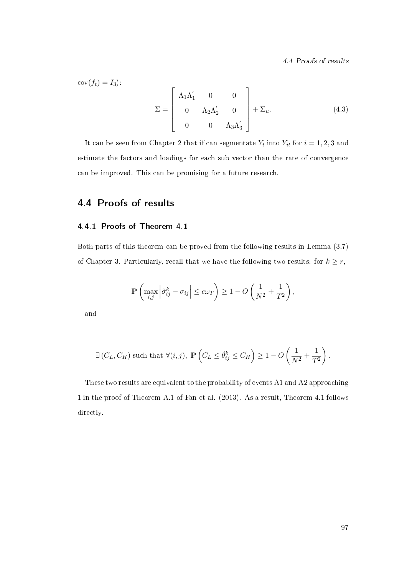4.4 Proofs of results

 $cov(f_t) = I_3$ :

$$
\Sigma = \begin{bmatrix} \Lambda_1 \Lambda'_1 & 0 & 0 \\ 0 & \Lambda_2 \Lambda'_2 & 0 \\ 0 & 0 & \Lambda_3 \Lambda'_3 \end{bmatrix} + \Sigma_u.
$$
 (4.3)

It can be seen from Chapter 2 that if can segmentate  $Y_t$  into  $Y_{it}$  for  $i = 1, 2, 3$  and estimate the factors and loadings for each sub vector than the rate of convergence can be improved. This can be promising for a future research.

# 4.4 Proofs of results

#### 4.4.1 Proofs of Theorem 4.1

Both parts of this theorem can be proved from the following results in Lemma (3.7) of Chapter 3. Particularly, recall that we have the following two results: for  $k \geq r$ ,

$$
\mathbf{P}\left(\max_{i,j} \left|\tilde{\sigma}_{ij}^k - \sigma_{ij}\right| \leq c\omega_T\right) \geq 1 - O\left(\frac{1}{N^2} + \frac{1}{T^2}\right),\,
$$

and

$$
\exists (C_L, C_H) \text{ such that } \forall (i, j), \ \mathbf{P}\left(C_L \leq \tilde{\theta}_{ij}^k \leq C_H\right) \geq 1 - O\left(\frac{1}{N^2} + \frac{1}{T^2}\right).
$$

These two results are equivalent to the probability of events A1 and A2 approaching 1 in the proof of Theorem A.1 of Fan et al. (2013). As a result, Theorem 4.1 follows directly.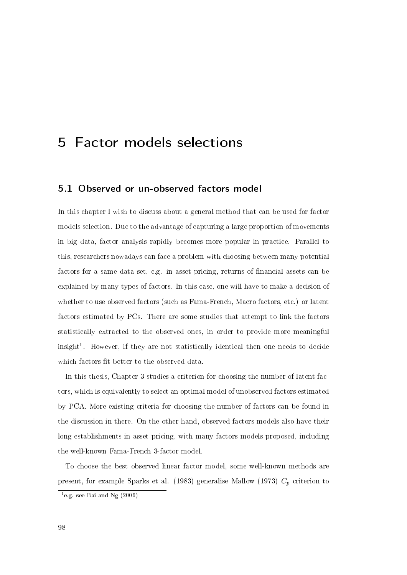# 5 Factor models selections

# 5.1 Observed or un-observed factors model

In this chapter I wish to discuss about a general method that can be used for factor models selection. Due to the advantage of capturing a large proportion of movements in big data, factor analysis rapidly becomes more popular in practice. Parallel to this, researchers nowadays can face a problem with choosing between many potential factors for a same data set, e.g. in asset pricing, returns of nancial assets can be explained by many types of factors. In this case, one will have to make a decision of whether to use observed factors (such as Fama-French, Macro factors, etc.) or latent factors estimated by PCs. There are some studies that attempt to link the factors statistically extracted to the observed ones, in order to provide more meaningful  $insight<sup>1</sup>$ . However, if they are not statistically identical then one needs to decide which factors fit better to the observed data.

In this thesis, Chapter 3 studies a criterion for choosing the number of latent factors, which is equivalently to select an optimal model of unobserved factors estimated by PCA. More existing criteria for choosing the number of factors can be found in the discussion in there. On the other hand, observed factors models also have their long establishments in asset pricing, with many factors models proposed, including the well-known Fama-French 3-factor model.

To choose the best observed linear factor model, some well-known methods are present, for example Sparks et al. (1983) generalise Mallow (1973)  $C_p$  criterion to

 $^{1}$ e.g. see Bai and Ng (2006)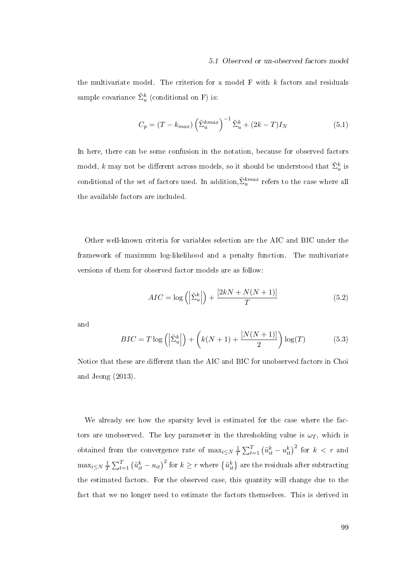#### 5.1 Observed or un-observed factors model

the multivariate model. The criterion for a model  $F$  with  $k$  factors and residuals sample covariance  $\tilde{\Sigma}^k_u$  (conditional on F) is:

$$
C_p = (T - k_{max}) \left(\tilde{\Sigma}_u^{kmax}\right)^{-1} \tilde{\Sigma}_u^k + (2k - T)I_N \tag{5.1}
$$

In here, there can be some confusion in the notation, because for observed factors model,  $k$  may not be different across models, so it should be understood that  $\tilde{\Sigma}_u^k$  is conditional of the set of factors used. In addition, $\tilde{\Sigma}_u^{kmax}$  refers to the case where all the available factors are included.

Other well-known criteria for variables selection are the AIC and BIC under the framework of maximum log-likelihood and a penalty function. The multivariate versions of them for observed factor models are as follow:

$$
AIC = \log\left(\left|\tilde{\Sigma}_u^k\right|\right) + \frac{\left[2kN + N(N+1)\right]}{T} \tag{5.2}
$$

and

$$
BIC = T \log \left( \left| \tilde{\Sigma}_u^k \right| \right) + \left( k(N+1) + \frac{[N(N+1)]}{2} \right) \log(T) \tag{5.3}
$$

Notice that these are different than the AIC and BIC for unobserved factors in Choi and Jeong (2013).

We already see how the sparsity level is estimated for the case where the factors are unobserved. The key parameter in the thresholding value is  $\omega_T$ , which is obtained from the convergence rate of  $\max_{i \leq N} \frac{1}{T}$  $\frac{1}{T} \sum_{t=1}^{T} \left( \tilde{u}_{it}^{k} - u_{it}^{k} \right)^{2}$  for  $k \, < \, r$  and  $\max_{i \leq N} \frac{1}{7}$  $\frac{1}{T}\sum_{t=1}^T \left(\tilde{u}^k_{it}-u_{it}\right)^2$  for  $k\geq r$  where  $\left\{\tilde{u}^k_{it}\right\}$  are the residuals after subtracting the estimated factors. For the observed case, this quantity will change due to the fact that we no longer need to estimate the factors themselves. This is derived in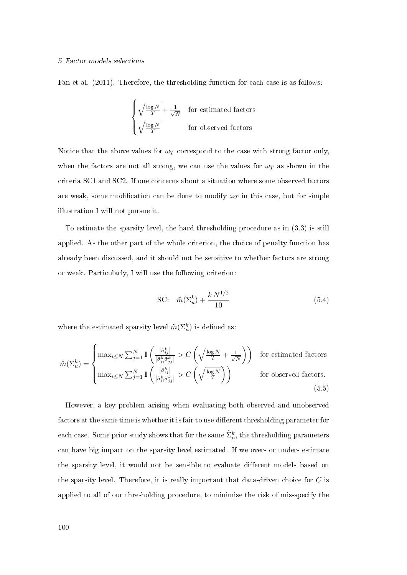#### 5 Factor models selections

Fan et al. (2011). Therefore, the thresholding function for each case is as follows:

$$
\begin{cases} \sqrt{\frac{\log N}{T}} + \frac{1}{\sqrt{N}} & \text{for estimated factors} \\ \sqrt{\frac{\log N}{T}} & \text{for observed factors} \end{cases}
$$

Notice that the above values for  $\omega_T$  correspond to the case with strong factor only, when the factors are not all strong, we can use the values for  $\omega_T$  as shown in the criteria SC1 and SC2. If one concerns about a situation where some observed factors are weak, some modification can be done to modify  $\omega_T$  in this case, but for simple illustration I will not pursue it.

To estimate the sparsity level, the hard thresholding procedure as in (3.3) is still applied. As the other part of the whole criterion, the choice of penalty function has already been discussed, and it should not be sensitive to whether factors are strong or weak. Particularly, I will use the following criterion:

SC: 
$$
\tilde{m}(\Sigma_u^k) + \frac{k N^{1/2}}{10}
$$
 (5.4)

where the estimated sparsity level  $\tilde{m}(\Sigma_{u}^{k})$  is defined as:

$$
\tilde{m}(\Sigma_{u}^{k}) = \begin{cases}\n\max_{i \leq N} \sum_{j=1}^{N} \mathbf{I}\left(\frac{|\tilde{\sigma}_{ij}^{k}|}{|\tilde{\sigma}_{ii}^{k}\tilde{\sigma}_{jj}^{k}|} > C\left(\sqrt{\frac{\log N}{T}} + \frac{1}{\sqrt{N}}\right)\right) & \text{for estimated factors} \\
\max_{i \leq N} \sum_{j=1}^{N} \mathbf{I}\left(\frac{|\tilde{\sigma}_{ij}^{k}|}{|\tilde{\sigma}_{ii}^{k}\tilde{\sigma}_{jj}^{k}|} > C\left(\sqrt{\frac{\log N}{T}}\right)\right) & \text{for observed factors.} \\
(5.5)\n\end{cases}
$$

However, a key problem arising when evaluating both observed and unobserved factors at the same time is whether it is fair to use different thresholding parameter for each case. Some prior study shows that for the same  $\tilde \Sigma_u^k$ , the thresholding parameters can have big impact on the sparsity level estimated. If we over- or under- estimate the sparsity level, it would not be sensible to evaluate different models based on the sparsity level. Therefore, it is really important that data-driven choice for C is applied to all of our thresholding procedure, to minimise the risk of mis-specify the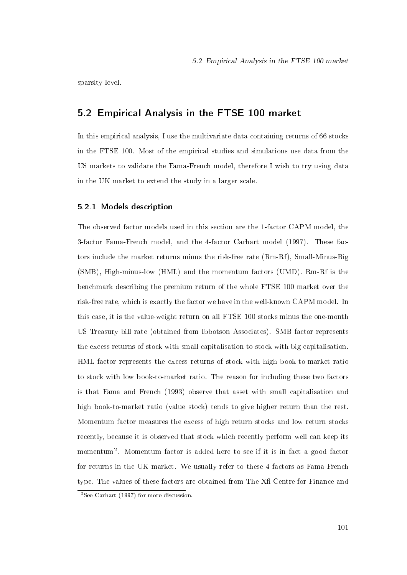sparsity level.

# 5.2 Empirical Analysis in the FTSE 100 market

In this empirical analysis, I use the multivariate data containing returns of 66 stocks in the FTSE 100. Most of the empirical studies and simulations use data from the US markets to validate the Fama-French model, therefore I wish to try using data in the UK market to extend the study in a larger scale.

#### 5.2.1 Models description

The observed factor models used in this section are the 1-factor CAPM model, the 3-factor Fama-French model, and the 4-factor Carhart model (1997). These factors include the market returns minus the risk-free rate (Rm-Rf), Small-Minus-Big (SMB), High-minus-low (HML) and the momentum factors (UMD). Rm-Rf is the benchmark describing the premium return of the whole FTSE 100 market over the risk-free rate, which is exactly the factor we have in the well-known CAPM model. In this case, it is the value-weight return on all FTSE 100 stocks minus the one-month US Treasury bill rate (obtained from Ibbotson Associates). SMB factor represents the excess returns of stock with small capitalisation to stock with big capitalisation. HML factor represents the excess returns of stock with high book-to-market ratio to stock with low book-to-market ratio. The reason for including these two factors is that Fama and French (1993) observe that asset with small capitalisation and high book-to-market ratio (value stock) tends to give higher return than the rest. Momentum factor measures the excess of high return stocks and low return stocks recently, because it is observed that stock which recently perform well can keep its momentum<sup>2</sup> . Momentum factor is added here to see if it is in fact a good factor for returns in the UK market. We usually refer to these 4 factors as Fama-French type. The values of these factors are obtained from The Xfi Centre for Finance and

 ${}^{2}$ See Carhart (1997) for more discussion.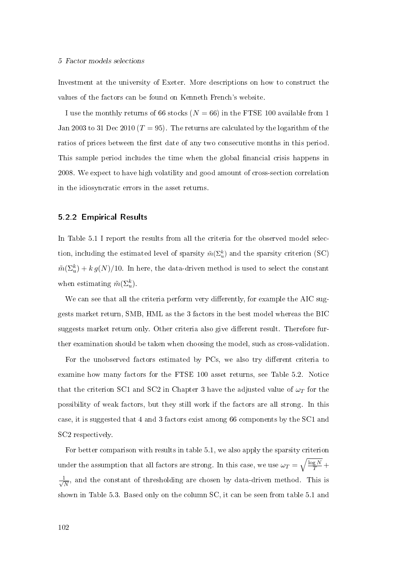#### 5 Factor models selections

Investment at the university of Exeter. More descriptions on how to construct the values of the factors can be found on Kenneth French's website.

I use the monthly returns of 66 stocks  $(N = 66)$  in the FTSE 100 available from 1 Jan 2003 to 31 Dec 2010 ( $T = 95$ ). The returns are calculated by the logarithm of the ratios of prices between the first date of any two consecutive months in this period. This sample period includes the time when the global financial crisis happens in 2008. We expect to have high volatility and good amount of cross-section correlation in the idiosyncratic errors in the asset returns.

#### 5.2.2 Empirical Results

In Table 5.1 I report the results from all the criteria for the observed model selection, including the estimated level of sparsity  $\tilde{m}(\Sigma_u^k)$  and the sparsity criterion (SC)  $\tilde{m}(\Sigma_u^k) + k\,g(N)/10$ . In here, the data-driven method is used to select the constant when estimating  $\tilde{m}(\Sigma_u^k)$ .

We can see that all the criteria perform very differently, for example the AIC suggests market return, SMB, HML as the 3 factors in the best model whereas the BIC suggests market return only. Other criteria also give different result. Therefore further examination should be taken when choosing the model, such as cross-validation.

For the unobserved factors estimated by PCs, we also try different criteria to examine how many factors for the FTSE 100 asset returns, see Table 5.2. Notice that the criterion SC1 and SC2 in Chapter 3 have the adjusted value of  $\omega_T$  for the possibility of weak factors, but they still work if the factors are all strong. In this case, it is suggested that 4 and 3 factors exist among 66 components by the SC1 and SC2 respectively.

For better comparison with results in table 5.1, we also apply the sparsity criterion under the assumption that all factors are strong. In this case, we use  $\omega_T = \sqrt{\frac{\log N}{T}} +$  $\frac{1}{\sqrt{2}}$  $\frac{1}{N}$ , and the constant of thresholding are chosen by data-driven method. This is shown in Table 5.3. Based only on the column SC, it can be seen from table 5.1 and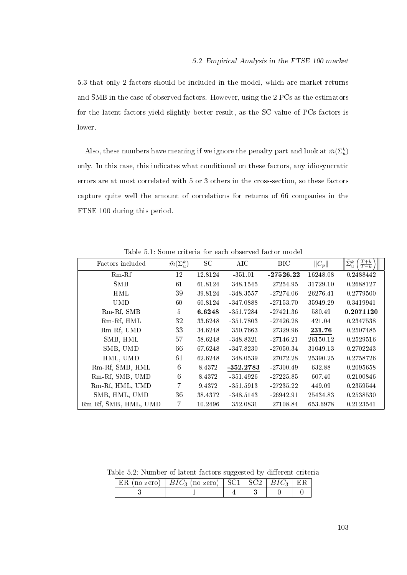5.3 that only 2 factors should be included in the model, which are market returns and SMB in the case of observed factors. However, using the 2 PCs as the estimators for the latent factors yield slightly better result, as the SC value of PCs factors is lower.

Also, these numbers have meaning if we ignore the penalty part and look at  $\tilde{m}(\Sigma_u^k)$ only. In this case, this indicates what conditional on these factors, any idiosyncratic errors are at most correlated with 5 or 3 others in the cross-section, so these factors capture quite well the amount of correlations for returns of 66 companies in the FTSE 100 during this period.

Table 5.1: Some criteria for each observed factor model

| Factors included     | $\tilde{m}(\Sigma_u^k)$ | SC      | AIC         | <b>BIC</b>  | $  C_p  $ | $\tilde{\Sigma}_u^k$<br>$\frac{T+k}{T-k}$ |
|----------------------|-------------------------|---------|-------------|-------------|-----------|-------------------------------------------|
| $Rm-Rf$              | 12                      | 12.8124 | $-351.01$   | $-27526.22$ | 16248.08  | 0.2488442                                 |
| <b>SMB</b>           | 61                      | 61.8124 | $-348.1545$ | $-27254.95$ | 31729.10  | 0.2688127                                 |
| <b>HML</b>           | 39                      | 39.8124 | $-348.3557$ | $-27274.06$ | 26276.41  | 0.2779500                                 |
| <b>UMD</b>           | 60                      | 60.8124 | $-347.0888$ | $-27153.70$ | 35949.29  | 0.3419941                                 |
| Rm-Rf, SMB           | 5                       | 6.6248  | $-351.7284$ | $-27421.36$ | 580.49    | 0.2071120                                 |
| Rm-Rf, HML           | 32                      | 33.6248 | $-351.7803$ | $-27426.28$ | 421.04    | 0.2347538                                 |
| Rm-Rf, UMD           | 33                      | 34.6248 | $-350.7663$ | $-27329.96$ | 231.76    | 0.2507485                                 |
| SMB, HML             | 57                      | 58.6248 | $-348.8321$ | $-27146.21$ | 26150.12  | 0.2529516                                 |
| SMB, UMD             | 66                      | 67.6248 | $-347.8230$ | $-27050.34$ | 31049.13  | 0.2702243                                 |
| HML, UMD             | 61                      | 62.6248 | $-348.0539$ | $-27072.28$ | 25390.25  | 0.2758726                                 |
| Rm-Rf, SMB, HML      | 6                       | 8.4372  | $-352.2783$ | $-27300.49$ | 632.88    | 0.2095658                                 |
| Rm-Rf, SMB, UMD      | 6                       | 8.4372  | $-351.4926$ | $-27225.85$ | 607.40    | 0.2100846                                 |
| Rm-Rf, HML, UMD      | $\overline{7}$          | 9.4372  | $-351.5913$ | $-27235.22$ | 449.09    | 0.2359544                                 |
| SMB, HML, UMD        | 36                      | 38.4372 | $-348.5143$ | $-26942.91$ | 25434.83  | 0.2538530                                 |
| Rm-Rf, SMB, HML, UMD | 7                       | 10.2496 | $-352.0831$ | $-27108.84$ | 653.6978  | 0.2123541                                 |

Table 5.2: Number of latent factors suggested by different criteria

|  | ER (no zero)   $BIC_3$ (no zero)   SC1   SC2   $BIC_3$   ER |  |  |
|--|-------------------------------------------------------------|--|--|
|  |                                                             |  |  |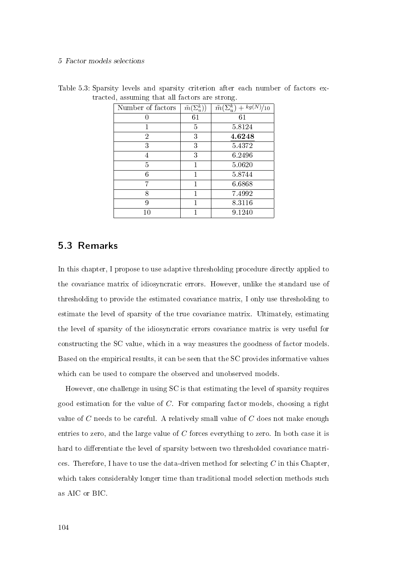#### 5 Factor models selections

| Number of factors | $\tilde{m}(\Sigma_n^k)$ | $\Sigma^k_n$<br>$-kg(N)/10$<br>$\tilde{m}$ ( |
|-------------------|-------------------------|----------------------------------------------|
|                   | 61                      | 61                                           |
|                   | 5                       | 5.8124                                       |
| $\overline{2}$    | 3                       | 4.6248                                       |
| 3                 | 3                       | 5.4372                                       |
| 4                 | 3                       | 6.2496                                       |
| 5                 | 1                       | 5.0620                                       |
| 6                 | 1                       | 5.8744                                       |
|                   | 1                       | 6.6868                                       |
| 8                 |                         | 7.4992                                       |
| 9                 |                         | 8 3 1 1 6                                    |
| $10\,$            |                         | 9.1240                                       |

Table 5.3: Sparsity levels and sparsity criterion after each number of factors extracted, assuming that all factors are strong.

## 5.3 Remarks

In this chapter, I propose to use adaptive thresholding procedure directly applied to the covariance matrix of idiosyncratic errors. However, unlike the standard use of thresholding to provide the estimated covariance matrix, I only use thresholding to estimate the level of sparsity of the true covariance matrix. Ultimately, estimating the level of sparsity of the idiosyncratic errors covariance matrix is very useful for constructing the SC value, which in a way measures the goodness of factor models. Based on the empirical results, it can be seen that the SC provides informative values which can be used to compare the observed and unobserved models.

However, one challenge in using SC is that estimating the level of sparsity requires good estimation for the value of  $C$ . For comparing factor models, choosing a right value of  $C$  needs to be careful. A relatively small value of  $C$  does not make enough entries to zero, and the large value of C forces everything to zero. In both case it is hard to differentiate the level of sparsity between two thresholded covariance matrices. Therefore, I have to use the data-driven method for selecting  $C$  in this Chapter, which takes considerably longer time than traditional model selection methods such as AIC or BIC.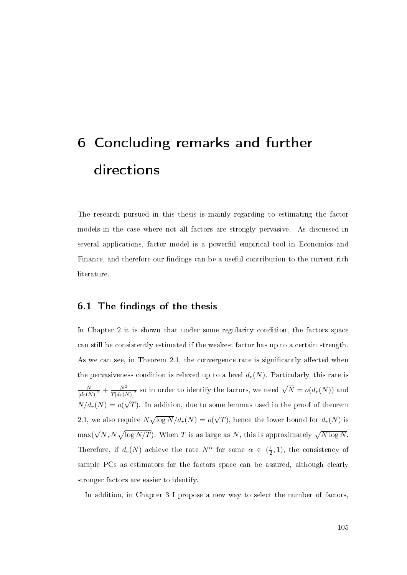# 6 Concluding remarks and further directions

The research pursued in this thesis is mainly regarding to estimating the factor models in the case where not all factors are strongly pervasive. As discussed in several applications, factor model is a powerful empirical tool in Economics and Finance, and therefore our findings can be a useful contribution to the current rich literature.

# $6.1$  The findings of the thesis

In Chapter 2 it is shown that under some regularity condition, the factors space can still be consistently estimated if the weakest factor has up to a certain strength. As we can see, in Theorem 2.1, the convergence rate is significantly affected when the pervasiveness condition is relaxed up to a level  $d_r(N)$ . Particularly, this rate is  $\frac{N}{[d_r(N)]^2} + \frac{N^2}{T[d_r(N)]^2}$  so in order to identify the factors, we need  $\sqrt{N} = o(d_r(N))$  and  $N/d_r(N) = o(\sqrt{T})$ . In addition, due to some lemmas used in the proof of theorem √  $2.1$ , we also require  $N$ √  $\overline{\log N}/d_r(N) = o($ √ T), hence the lower bound for  $d_r(N)$  is  $\max(\sqrt{N}, N\sqrt{\log N/T})$ . When  $T$  is as large as  $N,$  this is approximately  $\sqrt{N\log N}$ . Therefore, if  $d_r(N)$  achieve the rate  $N^{\alpha}$  for some  $\alpha \in (\frac{1}{2})$  $(\frac{1}{2}, 1)$ , the consistency of sample PCs as estimators for the factors space can be assured, although clearly stronger factors are easier to identify.

In addition, in Chapter 3 I propose a new way to select the number of factors,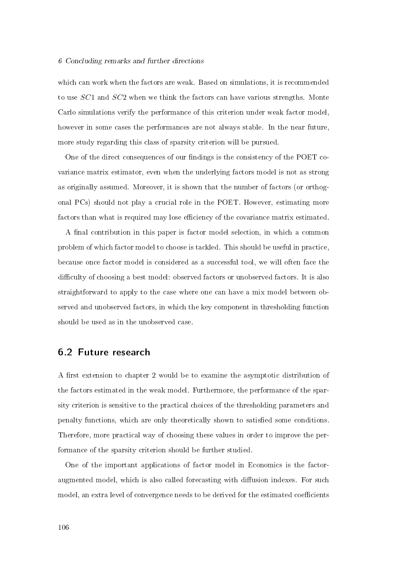#### 6 Concluding remarks and further directions

which can work when the factors are weak. Based on simulations, it is recommended to use SC1 and SC2 when we think the factors can have various strengths. Monte Carlo simulations verify the performance of this criterion under weak factor model, however in some cases the performances are not always stable. In the near future, more study regarding this class of sparsity criterion will be pursued.

One of the direct consequences of our findings is the consistency of the POET covariance matrix estimator, even when the underlying factors model is not as strong as originally assumed. Moreover, it is shown that the number of factors (or orthogonal PCs) should not play a crucial role in the POET. However, estimating more factors than what is required may lose efficiency of the covariance matrix estimated.

A final contribution in this paper is factor model selection, in which a common problem of which factor model to choose is tackled. This should be useful in practice, because once factor model is considered as a successful tool, we will often face the difficulty of choosing a best model: observed factors or unobserved factors. It is also straightforward to apply to the case where one can have a mix model between observed and unobserved factors, in which the key component in thresholding function should be used as in the unobserved case.

## 6.2 Future research

A first extension to chapter 2 would be to examine the asymptotic distribution of the factors estimated in the weak model. Furthermore, the performance of the sparsity criterion is sensitive to the practical choices of the thresholding parameters and penalty functions, which are only theoretically shown to satised some conditions. Therefore, more practical way of choosing these values in order to improve the performance of the sparsity criterion should be further studied.

One of the important applications of factor model in Economics is the factoraugmented model, which is also called forecasting with diffusion indexes. For such model, an extra level of convergence needs to be derived for the estimated coefficients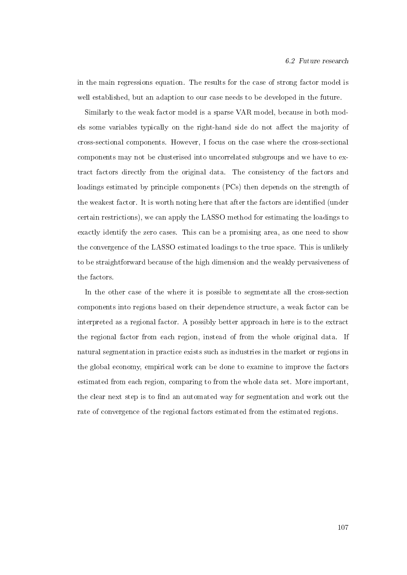in the main regressions equation. The results for the case of strong factor model is well established, but an adaption to our case needs to be developed in the future.

Similarly to the weak factor model is a sparse VAR model, because in both models some variables typically on the right-hand side do not affect the majority of cross-sectional components. However, I focus on the case where the cross-sectional components may not be clusterised into uncorrelated subgroups and we have to extract factors directly from the original data. The consistency of the factors and loadings estimated by principle components (PCs) then depends on the strength of the weakest factor. It is worth noting here that after the factors are identified (under certain restrictions), we can apply the LASSO method for estimating the loadings to exactly identify the zero cases. This can be a promising area, as one need to show the convergence of the LASSO estimated loadings to the true space. This is unlikely to be straightforward because of the high dimension and the weakly pervasiveness of the factors.

In the other case of the where it is possible to segmentate all the cross-section components into regions based on their dependence structure, a weak factor can be interpreted as a regional factor. A possibly better approach in here is to the extract the regional factor from each region, instead of from the whole original data. If natural segmentation in practice exists such as industries in the market or regions in the global economy, empirical work can be done to examine to improve the factors estimated from each region, comparing to from the whole data set. More important, the clear next step is to find an automated way for segmentation and work out the rate of convergence of the regional factors estimated from the estimated regions.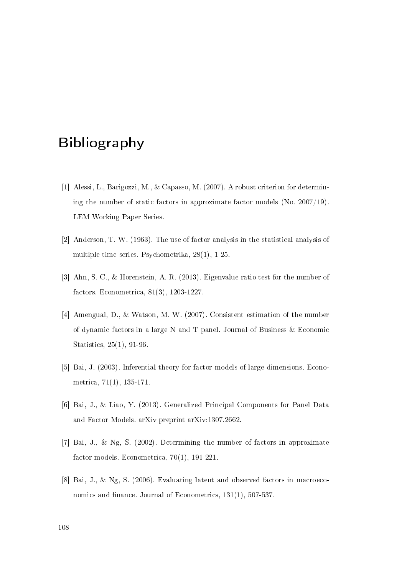## Bibliography

- [1] Alessi, L., Barigozzi, M., & Capasso, M. (2007). A robust criterion for determining the number of static factors in approximate factor models (No. 2007/19). LEM Working Paper Series.
- [2] Anderson, T. W. (1963). The use of factor analysis in the statistical analysis of multiple time series. Psychometrika, 28(1), 1-25.
- [3] Ahn, S. C., & Horenstein, A. R. (2013). Eigenvalue ratio test for the number of factors. Econometrica, 81(3), 1203-1227.
- [4] Amengual, D., & Watson, M. W. (2007). Consistent estimation of the number of dynamic factors in a large N and T panel. Journal of Business & Economic Statistics, 25(1), 91-96.
- [5] Bai, J. (2003). Inferential theory for factor models of large dimensions. Econometrica, 71(1), 135-171.
- [6] Bai, J., & Liao, Y. (2013). Generalized Principal Components for Panel Data and Factor Models. arXiv preprint arXiv:1307.2662.
- [7] Bai, J., & Ng, S. (2002). Determining the number of factors in approximate factor models. Econometrica, 70(1), 191-221.
- [8] Bai, J., & Ng, S. (2006). Evaluating latent and observed factors in macroeconomics and finance. Journal of Econometrics,  $131(1)$ ,  $507-537$ .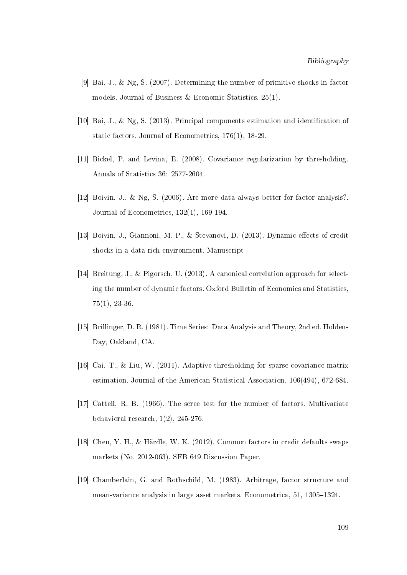- [9] Bai, J., & Ng, S. (2007). Determining the number of primitive shocks in factor models. Journal of Business & Economic Statistics,  $25(1)$ .
- [10] Bai, J., & Ng, S. (2013). Principal components estimation and identification of static factors. Journal of Econometrics, 176(1), 18-29.
- [11] Bickel, P. and Levina, E. (2008). Covariance regularization by thresholding. Annals of Statistics 36: 2577-2604.
- [12] Boivin, J., & Ng, S. (2006). Are more data always better for factor analysis?. Journal of Econometrics, 132(1), 169-194.
- [13] Boivin, J., Giannoni, M. P., & Stevanovi, D. (2013). Dynamic effects of credit shocks in a data-rich environment. Manuscript
- [14] Breitung, J., & Pigorsch, U. (2013). A canonical correlation approach for selecting the number of dynamic factors. Oxford Bulletin of Economics and Statistics, 75(1), 23-36.
- [15] Brillinger, D. R. (1981). Time Series: Data Analysis and Theory, 2nd ed. Holden-Day, Oakland, CA.
- [16] Cai, T., & Liu, W. (2011). Adaptive thresholding for sparse covariance matrix estimation. Journal of the American Statistical Association, 106(494), 672-684.
- [17] Cattell, R. B. (1966). The scree test for the number of factors. Multivariate behavioral research, 1(2), 245-276.
- [18] Chen, Y. H., & Härdle, W. K. (2012). Common factors in credit defaults swaps markets (No. 2012-063). SFB 649 Discussion Paper.
- [19] Chamberlain, G. and Rothschild, M. (1983). Arbitrage, factor structure and mean-variance analysis in large asset markets. Econometrica, 51, 1305–1324.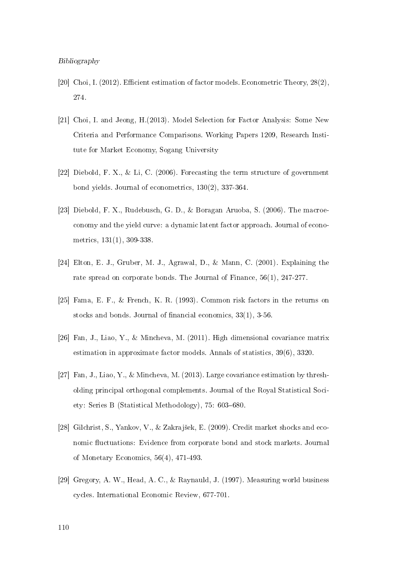- [20] Choi, I. (2012). Efficient estimation of factor models. Econometric Theory,  $28(2)$ , 274.
- [21] Choi, I. and Jeong, H.(2013). Model Selection for Factor Analysis: Some New Criteria and Performance Comparisons. Working Papers 1209, Research Institute for Market Economy, Sogang University
- [22] Diebold, F. X., & Li, C. (2006). Forecasting the term structure of government bond yields. Journal of econometrics, 130(2), 337-364.
- [23] Diebold, F. X., Rudebusch, G. D., & Boragan Aruoba, S. (2006). The macroeconomy and the yield curve: a dynamic latent factor approach. Journal of econometrics, 131(1), 309-338.
- [24] Elton, E. J., Gruber, M. J., Agrawal, D., & Mann, C. (2001). Explaining the rate spread on corporate bonds. The Journal of Finance, 56(1), 247-277.
- [25] Fama, E. F., & French, K. R. (1993). Common risk factors in the returns on stocks and bonds. Journal of financial economics,  $33(1)$ ,  $3-56$ .
- [26] Fan, J., Liao, Y., & Mincheva, M. (2011). High dimensional covariance matrix estimation in approximate factor models. Annals of statistics, 39(6), 3320.
- [27] Fan, J., Liao, Y., & Mincheva, M. (2013). Large covariance estimation by thresholding principal orthogonal complements. Journal of the Royal Statistical Society: Series B (Statistical Methodology),  $75: 603-680$ .
- [28] Gilchrist, S., Yankov, V., & Zakrajšek, E. (2009). Credit market shocks and economic fluctuations: Evidence from corporate bond and stock markets. Journal of Monetary Economics, 56(4), 471-493.
- [29] Gregory, A. W., Head, A. C., & Raynauld, J. (1997). Measuring world business cycles. International Economic Review, 677-701.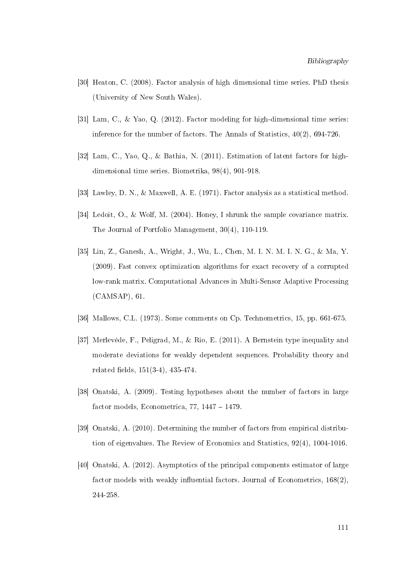- [30] Heaton, C. (2008). Factor analysis of high dimensional time series. PhD thesis (University of New South Wales).
- [31] Lam, C., & Yao, Q. (2012). Factor modeling for high-dimensional time series: inference for the number of factors. The Annals of Statistics, 40(2), 694-726.
- [32] Lam, C., Yao, Q., & Bathia, N. (2011). Estimation of latent factors for highdimensional time series. Biometrika, 98(4), 901-918.
- [33] Lawley, D. N., & Maxwell, A. E. (1971). Factor analysis as a statistical method.
- [34] Ledoit, O., & Wolf, M. (2004). Honey, I shrunk the sample covariance matrix. The Journal of Portfolio Management, 30(4), 110-119.
- [35] Lin, Z., Ganesh, A., Wright, J., Wu, L., Chen, M. I. N. M. I. N. G., & Ma, Y. (2009). Fast convex optimization algorithms for exact recovery of a corrupted low-rank matrix. Computational Advances in Multi-Sensor Adaptive Processing (CAMSAP), 61.
- [36] Mallows, C.L. (1973). Some comments on Cp. Technometrics, 15, pp. 661-675.
- [37] Merlevède, F., Peligrad, M., & Rio, E. (2011). A Bernstein type inequality and moderate deviations for weakly dependent sequences. Probability theory and related fields,  $151(3-4)$ ,  $435-474$ .
- [38] Onatski, A. (2009). Testing hypotheses about the number of factors in large factor models, Econometrica,  $77, 1447 - 1479$ .
- [39] Onatski, A. (2010). Determining the number of factors from empirical distribution of eigenvalues. The Review of Economics and Statistics, 92(4), 1004-1016.
- [40] Onatski, A. (2012). Asymptotics of the principal components estimator of large factor models with weakly influential factors. Journal of Econometrics,  $168(2)$ , 244-258.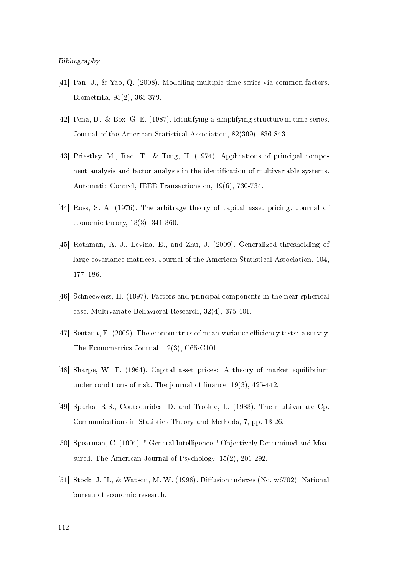## Bibliography

- [41] Pan, J., & Yao, Q. (2008). Modelling multiple time series via common factors. Biometrika, 95(2), 365-379.
- [42] Peña, D., & Box, G. E. (1987). Identifying a simplifying structure in time series. Journal of the American Statistical Association, 82(399), 836-843.
- [43] Priestley, M., Rao, T., & Tong, H. (1974). Applications of principal component analysis and factor analysis in the identification of multivariable systems. Automatic Control, IEEE Transactions on, 19(6), 730-734.
- [44] Ross, S. A. (1976). The arbitrage theory of capital asset pricing. Journal of economic theory, 13(3), 341-360.
- [45] Rothman, A. J., Levina, E., and Zhu, J. (2009). Generalized thresholding of large covariance matrices. Journal of the American Statistical Association, 104, 177-186.
- [46] Schneeweiss, H. (1997). Factors and principal components in the near spherical case. Multivariate Behavioral Research, 32(4), 375-401.
- [47] Sentana, E.  $(2009)$ . The econometrics of mean-variance efficiency tests: a survey. The Econometrics Journal, 12(3), C65-C101.
- [48] Sharpe, W. F. (1964). Capital asset prices: A theory of market equilibrium under conditions of risk. The journal of finance,  $19(3)$ ,  $425-442$ .
- [49] Sparks, R.S., Coutsourides, D. and Troskie, L. (1983). The multivariate Cp. Communications in Statistics-Theory and Methods, 7, pp. 13-26.
- [50] Spearman, C. (1904). " General Intelligence," Objectively Determined and Measured. The American Journal of Psychology, 15(2), 201-292.
- [51] Stock, J. H., & Watson, M. W. (1998). Diffusion indexes (No. w6702). National bureau of economic research.